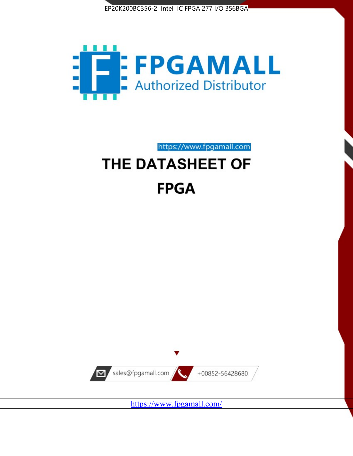



https://www.fpgamall.com

# THE DATASHEET OF **FPGA**



<https://www.fpgamall.com/>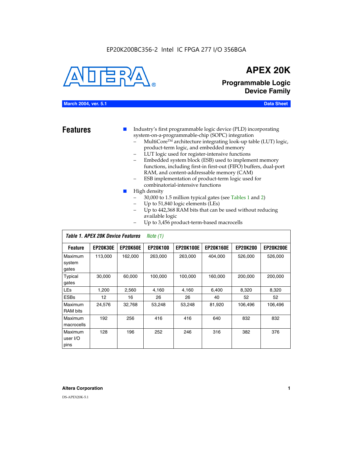# EP20K200BC356-2 Intel IC FPGA 277 I/O 356BGA



# **APEX 20K**

**Programmable Logic Device Family**

# **March 2004, ver. 5.1 Data Sheet**

**Features ■** Industry's first programmable logic device (PLD) incorporating system-on-a-programmable-chip (SOPC) integration

- MultiCore™ architecture integrating look-up table (LUT) logic, product-term logic, and embedded memory
- LUT logic used for register-intensive functions
- Embedded system block (ESB) used to implement memory functions, including first-in first-out (FIFO) buffers, dual-port RAM, and content-addressable memory (CAM)
- ESB implementation of product-term logic used for combinatorial-intensive functions
- High density
	- 30,000 to 1.5 million typical gates (see Tables 1 and 2)
	- Up to 51,840 logic elements (LEs)
	- Up to 442,368 RAM bits that can be used without reducing available logic
	- Up to 3,456 product-term-based macrocells

|                             | Table 1. APEX 20K Device Features |                 | Note $(1)$      |                  |                  |                 |                  |
|-----------------------------|-----------------------------------|-----------------|-----------------|------------------|------------------|-----------------|------------------|
| <b>Feature</b>              | <b>EP20K30E</b>                   | <b>EP20K60E</b> | <b>EP20K100</b> | <b>EP20K100E</b> | <b>EP20K160E</b> | <b>EP20K200</b> | <b>EP20K200E</b> |
| Maximum<br>system<br>gates  | 113,000                           | 162,000         | 263,000         | 263,000          | 404,000          | 526,000         | 526,000          |
| Typical<br>gates            | 30,000                            | 60,000          | 100,000         | 100.000          | 160,000          | 200,000         | 200,000          |
| <b>LEs</b>                  | 1,200                             | 2,560           | 4,160           | 4,160            | 6,400            | 8,320           | 8,320            |
| <b>ESBs</b>                 | 12                                | 16              | 26              | 26               | 40               | 52              | 52               |
| Maximum<br>RAM bits         | 24,576                            | 32,768          | 53,248          | 53,248           | 81,920           | 106,496         | 106,496          |
| Maximum<br>macrocells       | 192                               | 256             | 416             | 416              | 640              | 832             | 832              |
| Maximum<br>user I/O<br>pins | 128                               | 196             | 252             | 246              | 316              | 382             | 376              |

# **Altera Corporation 1**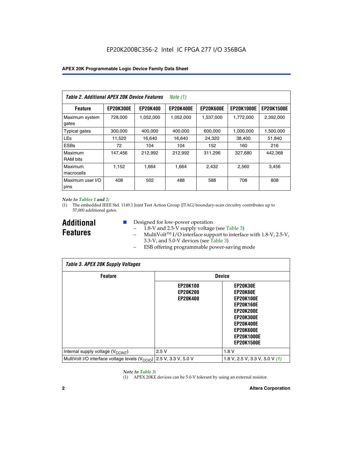| Table 2. Additional APEX 20K Device Features |                  |                 | <i>Note</i> $(1)$ |                  |                   |                   |
|----------------------------------------------|------------------|-----------------|-------------------|------------------|-------------------|-------------------|
| <b>Feature</b>                               | <b>EP20K300E</b> | <b>EP20K400</b> | <b>EP20K400E</b>  | <b>EP20K600E</b> | <b>EP20K1000E</b> | <b>EP20K1500E</b> |
| Maximum system<br>gates                      | 728,000          | 1,052,000       | 1,052,000         | 1,537,000        | 1,772,000         | 2,392,000         |
| <b>Typical gates</b>                         | 300,000          | 400,000         | 400,000           | 600,000          | 1,000,000         | 1,500,000         |
| <b>LEs</b>                                   | 11,520           | 16.640          | 16,640            | 24,320           | 38,400            | 51,840            |
| <b>ESBs</b>                                  | 72               | 104             | 104               | 152              | 160               | 216               |
| Maximum<br><b>RAM bits</b>                   | 147,456          | 212,992         | 212.992           | 311,296          | 327,680           | 442.368           |
| Maximum<br>macrocells                        | 1,152            | 1,664           | 1,664             | 2.432            | 2,560             | 3,456             |
| Maximum user I/O<br>pins                     | 408              | 502             | 488               | 588              | 708               | 808               |

# *Note to Tables 1 and 2:*

*Table 3. APEX 20K Supply Voltages*

(1) The embedded IEEE Std. 1149.1 Joint Test Action Group (JTAG) boundary-scan circuitry contributes up to 57,000 additional gates.

**Additional Features**

 $\mathbf{I}$ 

- Designed for low-power operation
	- 1.8-V and 2.5-V supply voltage (see Table 3)
	- $-$  MultiVolt<sup>TM</sup> I/O interface support to interface with 1.8-V, 2.5-V, 3.3-V, and 5.0-V devices (see Table 3)
	- ESB offering programmable power-saving mode

| Tadie 3. Apex zuk Supply voltages                                               |                                                       |                                                                                                                                                                                 |  |  |  |  |
|---------------------------------------------------------------------------------|-------------------------------------------------------|---------------------------------------------------------------------------------------------------------------------------------------------------------------------------------|--|--|--|--|
| <b>Feature</b>                                                                  | <b>Device</b>                                         |                                                                                                                                                                                 |  |  |  |  |
|                                                                                 | <b>EP20K100</b><br><b>EP20K200</b><br><b>EP20K400</b> | EP20K30E<br>EP20K60E<br><b>EP20K100E</b><br><b>EP20K160E</b><br><b>EP20K200E</b><br><b>EP20K300E</b><br><b>EP20K400E</b><br>EP20K600E<br><b>EP20K1000E</b><br><b>EP20K1500E</b> |  |  |  |  |
| Internal supply voltage (V <sub>CCINT</sub> )                                   | 2.5V                                                  | 1.8V                                                                                                                                                                            |  |  |  |  |
| MultiVolt I/O interface voltage levels (V <sub>CCIO</sub> ) 2.5 V, 3.3 V, 5.0 V |                                                       | 1.8 V, 2.5 V, 3.3 V, 5.0 V (1)                                                                                                                                                  |  |  |  |  |

# *Note to Table 3:*

(1) APEX 20KE devices can be 5.0-V tolerant by using an external resistor.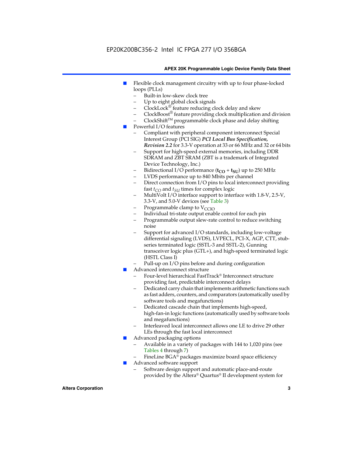# EP20K200BC356-2 Intel IC FPGA 277 I/O 356BGA

# **APEX 20K Programmable Logic Device Family Data Sheet**

- Flexible clock management circuitry with up to four phase-locked loops (PLLs)
	- Built-in low-skew clock tree
	- Up to eight global clock signals
	- $ClockLock^{\circledR}$  feature reducing clock delay and skew
	- $ClockBoost^{\circledR}$  feature providing clock multiplication and division
	- ClockShiftTM programmable clock phase and delay shifting
- Powerful I/O features
	- Compliant with peripheral component interconnect Special Interest Group (PCI SIG) *PCI Local Bus Specification, Revision 2.2* for 3.3-V operation at 33 or 66 MHz and 32 or 64 bits
	- Support for high-speed external memories, including DDR SDRAM and ZBT SRAM (ZBT is a trademark of Integrated Device Technology, Inc.)
	- Bidirectional I/O performance  $(t_{CO} + t_{SU})$  up to 250 MHz
	- LVDS performance up to 840 Mbits per channel
	- Direct connection from I/O pins to local interconnect providing fast  $t_{CO}$  and  $t_{SU}$  times for complex logic
	- MultiVolt I/O interface support to interface with 1.8-V, 2.5-V, 3.3-V, and 5.0-V devices (see Table 3)
	- Programmable clamp to  $V_{\text{C}CD}$
	- Individual tri-state output enable control for each pin
	- Programmable output slew-rate control to reduce switching noise
	- Support for advanced I/O standards, including low-voltage differential signaling (LVDS), LVPECL, PCI-X, AGP, CTT, stubseries terminated logic (SSTL-3 and SSTL-2), Gunning transceiver logic plus (GTL+), and high-speed terminated logic (HSTL Class I)
	- Pull-up on I/O pins before and during configuration
- Advanced interconnect structure
	- Four-level hierarchical FastTrack® Interconnect structure providing fast, predictable interconnect delays
	- Dedicated carry chain that implements arithmetic functions such as fast adders, counters, and comparators (automatically used by software tools and megafunctions)
	- Dedicated cascade chain that implements high-speed, high-fan-in logic functions (automatically used by software tools and megafunctions)
	- Interleaved local interconnect allows one LE to drive 29 other LEs through the fast local interconnect
- Advanced packaging options
	- Available in a variety of packages with 144 to 1,020 pins (see Tables 4 through 7)
	- FineLine BGA® packages maximize board space efficiency
- Advanced software support
	- Software design support and automatic place-and-route provided by the Altera® Quartus® II development system for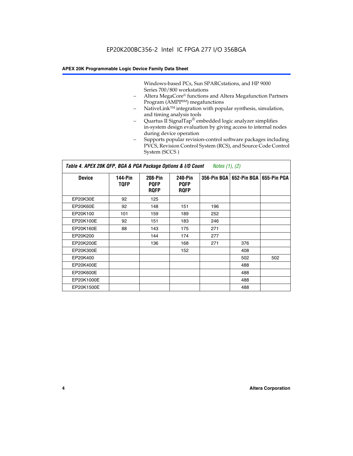Windows-based PCs, Sun SPARCstations, and HP 9000 Series 700/800 workstations

- Altera MegaCore® functions and Altera Megafunction Partners Program (AMPP<sup>SM</sup>) megafunctions
- NativeLink™ integration with popular synthesis, simulation, and timing analysis tools
- Quartus II SignalTap® embedded logic analyzer simplifies in-system design evaluation by giving access to internal nodes during device operation
- Supports popular revision-control software packages including PVCS, Revision Control System (RCS), and Source Code Control System (SCCS )

*Table 4. APEX 20K QFP, BGA & PGA Package Options & I/O Count Notes (1), (2)*

| <b>Device</b>   | 144-Pin<br><b>TQFP</b> | 208-Pin<br><b>PQFP</b><br><b>ROFP</b> | 240-Pin<br><b>PQFP</b><br><b>ROFP</b> |     | 356-Pin BGA   652-Pin BGA | 655-Pin PGA |
|-----------------|------------------------|---------------------------------------|---------------------------------------|-----|---------------------------|-------------|
| EP20K30E        | 92                     | 125                                   |                                       |     |                           |             |
| <b>EP20K60E</b> | 92                     | 148                                   | 151                                   | 196 |                           |             |
| EP20K100        | 101                    | 159                                   | 189                                   | 252 |                           |             |
| EP20K100E       | 92                     | 151                                   | 183                                   | 246 |                           |             |
| EP20K160E       | 88                     | 143                                   | 175                                   | 271 |                           |             |
| EP20K200        |                        | 144                                   | 174                                   | 277 |                           |             |
| EP20K200E       |                        | 136                                   | 168                                   | 271 | 376                       |             |
| EP20K300E       |                        |                                       | 152                                   |     | 408                       |             |
| EP20K400        |                        |                                       |                                       |     | 502                       | 502         |
| EP20K400E       |                        |                                       |                                       |     | 488                       |             |
| EP20K600E       |                        |                                       |                                       |     | 488                       |             |
| EP20K1000E      |                        |                                       |                                       |     | 488                       |             |
| EP20K1500E      |                        |                                       |                                       |     | 488                       |             |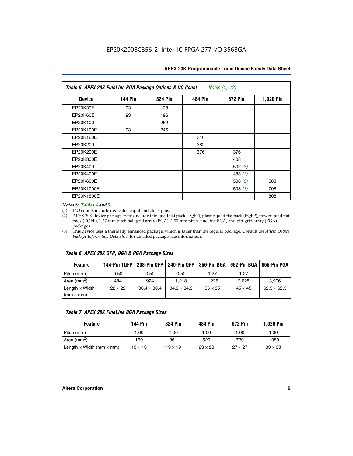| APEX 20K Programmable Logic Device Family Data Sheet |  |  |
|------------------------------------------------------|--|--|
|------------------------------------------------------|--|--|

| Table 5. APEX 20K FineLine BGA Package Options & I/O Count<br>Notes $(1)$ , $(2)$ |                |                |                |           |           |  |  |
|-----------------------------------------------------------------------------------|----------------|----------------|----------------|-----------|-----------|--|--|
| <b>Device</b>                                                                     | <b>144 Pin</b> | <b>324 Pin</b> | <b>484 Pin</b> | 672 Pin   | 1,020 Pin |  |  |
| EP20K30E                                                                          | 93             | 128            |                |           |           |  |  |
| <b>EP20K60E</b>                                                                   | 93             | 196            |                |           |           |  |  |
| EP20K100                                                                          |                | 252            |                |           |           |  |  |
| EP20K100E                                                                         | 93             | 246            |                |           |           |  |  |
| EP20K160E                                                                         |                |                | 316            |           |           |  |  |
| EP20K200                                                                          |                |                | 382            |           |           |  |  |
| EP20K200E                                                                         |                |                | 376            | 376       |           |  |  |
| EP20K300E                                                                         |                |                |                | 408       |           |  |  |
| EP20K400                                                                          |                |                |                | 502 $(3)$ |           |  |  |
| EP20K400E                                                                         |                |                |                | 488 $(3)$ |           |  |  |
| EP20K600E                                                                         |                |                |                | 508 $(3)$ | 588       |  |  |
| EP20K1000E                                                                        |                |                |                | 508 $(3)$ | 708       |  |  |
| EP20K1500E                                                                        |                |                |                |           | 808       |  |  |

# *Notes to Tables 4 and 5:*

(1) I/O counts include dedicated input and clock pins.

(2) APEX 20K device package types include thin quad flat pack (TQFP), plastic quad flat pack (PQFP), power quad flat pack (RQFP), 1.27-mm pitch ball-grid array (BGA), 1.00-mm pitch FineLine BGA, and pin-grid array (PGA) packages.

(3) This device uses a thermally enhanced package, which is taller than the regular package. Consult the *Altera Device Package Information Data Sheet* for detailed package size information.

| Table 6. APEX 20K QFP, BGA & PGA Package Sizes                                                            |                |                    |                    |                |                |                    |  |  |
|-----------------------------------------------------------------------------------------------------------|----------------|--------------------|--------------------|----------------|----------------|--------------------|--|--|
| 208-Pin QFP<br>240-Pin QFP<br>652-Pin BGA<br>144-Pin TQFP<br>356-Pin BGA<br>655-Pin PGA<br><b>Feature</b> |                |                    |                    |                |                |                    |  |  |
| Pitch (mm)                                                                                                | 0.50           | 0.50               | 0.50               | 1.27           | 1.27           |                    |  |  |
| Area ( $mm2$ )                                                                                            | 484            | 924                | 1.218              | 1.225          | 2.025          | 3,906              |  |  |
| Length $\times$ Width<br>$(mm \times mm)$                                                                 | $22 \times 22$ | $30.4 \times 30.4$ | $34.9 \times 34.9$ | $35 \times 35$ | $45 \times 45$ | $62.5 \times 62.5$ |  |  |

| Table 7. APEX 20K FineLine BGA Package Sizes                                          |                |                |                |                |                |  |  |  |
|---------------------------------------------------------------------------------------|----------------|----------------|----------------|----------------|----------------|--|--|--|
| <b>324 Pin</b><br><b>1,020 Pin</b><br>144 Pin<br>672 Pin<br>484 Pin<br><b>Feature</b> |                |                |                |                |                |  |  |  |
| Pitch (mm)                                                                            | 1.00           | 1.00           | 1.00           | 1.00           | 1.00           |  |  |  |
| Area ( $mm2$ )                                                                        | 169            | 361            | 529            | 729            | 1,089          |  |  |  |
| Length $\times$ Width (mm $\times$ mm)                                                | $13 \times 13$ | $19 \times 19$ | $23 \times 23$ | $27 \times 27$ | $33 \times 33$ |  |  |  |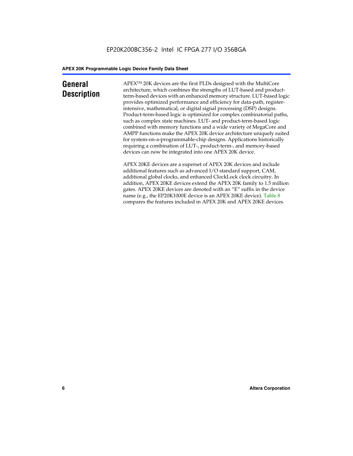# **General Description**

APEXTM 20K devices are the first PLDs designed with the MultiCore architecture, which combines the strengths of LUT-based and productterm-based devices with an enhanced memory structure. LUT-based logic provides optimized performance and efficiency for data-path, registerintensive, mathematical, or digital signal processing (DSP) designs. Product-term-based logic is optimized for complex combinatorial paths, such as complex state machines. LUT- and product-term-based logic combined with memory functions and a wide variety of MegaCore and AMPP functions make the APEX 20K device architecture uniquely suited for system-on-a-programmable-chip designs. Applications historically requiring a combination of LUT-, product-term-, and memory-based devices can now be integrated into one APEX 20K device.

APEX 20KE devices are a superset of APEX 20K devices and include additional features such as advanced I/O standard support, CAM, additional global clocks, and enhanced ClockLock clock circuitry. In addition, APEX 20KE devices extend the APEX 20K family to 1.5 million gates. APEX 20KE devices are denoted with an "E" suffix in the device name (e.g., the EP20K1000E device is an APEX 20KE device). Table 8 compares the features included in APEX 20K and APEX 20KE devices.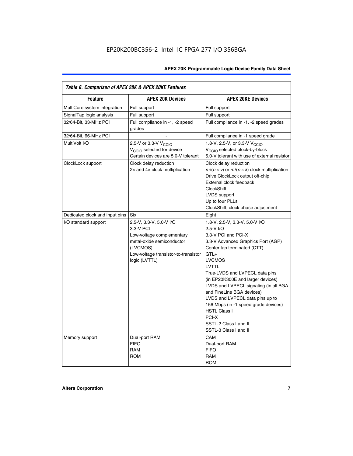| Table 8. Comparison of APEX 20K & APEX 20KE Features |                                                                                                                                                                     |                                                                                                                                                                                                                                                                                                                                                                                                                                                                                              |  |  |  |  |
|------------------------------------------------------|---------------------------------------------------------------------------------------------------------------------------------------------------------------------|----------------------------------------------------------------------------------------------------------------------------------------------------------------------------------------------------------------------------------------------------------------------------------------------------------------------------------------------------------------------------------------------------------------------------------------------------------------------------------------------|--|--|--|--|
| <b>Feature</b>                                       | <b>APEX 20K Devices</b>                                                                                                                                             | <b>APEX 20KE Devices</b>                                                                                                                                                                                                                                                                                                                                                                                                                                                                     |  |  |  |  |
| MultiCore system integration                         | Full support                                                                                                                                                        | Full support                                                                                                                                                                                                                                                                                                                                                                                                                                                                                 |  |  |  |  |
| SignalTap logic analysis                             | Full support                                                                                                                                                        | Full support                                                                                                                                                                                                                                                                                                                                                                                                                                                                                 |  |  |  |  |
| 32/64-Bit, 33-MHz PCI                                | Full compliance in -1, -2 speed<br>grades                                                                                                                           | Full compliance in -1, -2 speed grades                                                                                                                                                                                                                                                                                                                                                                                                                                                       |  |  |  |  |
| 32/64-Bit, 66-MHz PCI                                |                                                                                                                                                                     | Full compliance in -1 speed grade                                                                                                                                                                                                                                                                                                                                                                                                                                                            |  |  |  |  |
| MultiVolt I/O                                        | 2.5-V or 3.3-V V <sub>CCIO</sub><br>V <sub>CCIO</sub> selected for device<br>Certain devices are 5.0-V tolerant                                                     | 1.8-V, 2.5-V, or 3.3-V V <sub>CCIO</sub><br>V <sub>CCIO</sub> selected block-by-block<br>5.0-V tolerant with use of external resistor                                                                                                                                                                                                                                                                                                                                                        |  |  |  |  |
| ClockLock support                                    | Clock delay reduction<br>$2\times$ and $4\times$ clock multiplication                                                                                               | Clock delay reduction<br>$m/(n \times v)$ or $m/(n \times k)$ clock multiplication<br>Drive ClockLock output off-chip<br>External clock feedback<br><b>ClockShift</b><br>LVDS support<br>Up to four PLLs<br>ClockShift, clock phase adjustment                                                                                                                                                                                                                                               |  |  |  |  |
| Dedicated clock and input pins                       | Six                                                                                                                                                                 | Eight                                                                                                                                                                                                                                                                                                                                                                                                                                                                                        |  |  |  |  |
| I/O standard support                                 | 2.5-V, 3.3-V, 5.0-V I/O<br>3.3-V PCI<br>Low-voltage complementary<br>metal-oxide semiconductor<br>(LVCMOS)<br>Low-voltage transistor-to-transistor<br>logic (LVTTL) | 1.8-V, 2.5-V, 3.3-V, 5.0-V I/O<br>2.5-V I/O<br>3.3-V PCI and PCI-X<br>3.3-V Advanced Graphics Port (AGP)<br>Center tap terminated (CTT)<br>$GTL+$<br><b>LVCMOS</b><br><b>LVTTL</b><br>True-LVDS and LVPECL data pins<br>(in EP20K300E and larger devices)<br>LVDS and LVPECL signaling (in all BGA<br>and FineLine BGA devices)<br>LVDS and LVPECL data pins up to<br>156 Mbps (in -1 speed grade devices)<br><b>HSTL Class I</b><br>PCI-X<br>SSTL-2 Class I and II<br>SSTL-3 Class I and II |  |  |  |  |
| Memory support                                       | Dual-port RAM<br><b>FIFO</b><br><b>RAM</b><br><b>ROM</b>                                                                                                            | CAM<br>Dual-port RAM<br><b>FIFO</b><br><b>RAM</b><br><b>ROM</b>                                                                                                                                                                                                                                                                                                                                                                                                                              |  |  |  |  |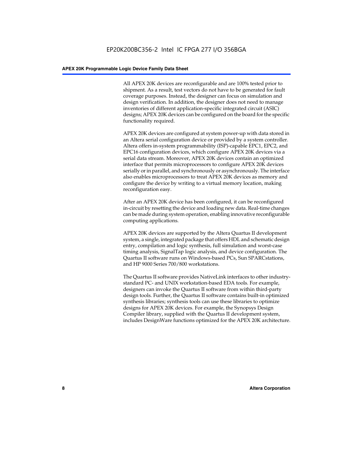All APEX 20K devices are reconfigurable and are 100% tested prior to shipment. As a result, test vectors do not have to be generated for fault coverage purposes. Instead, the designer can focus on simulation and design verification. In addition, the designer does not need to manage inventories of different application-specific integrated circuit (ASIC) designs; APEX 20K devices can be configured on the board for the specific functionality required.

APEX 20K devices are configured at system power-up with data stored in an Altera serial configuration device or provided by a system controller. Altera offers in-system programmability (ISP)-capable EPC1, EPC2, and EPC16 configuration devices, which configure APEX 20K devices via a serial data stream. Moreover, APEX 20K devices contain an optimized interface that permits microprocessors to configure APEX 20K devices serially or in parallel, and synchronously or asynchronously. The interface also enables microprocessors to treat APEX 20K devices as memory and configure the device by writing to a virtual memory location, making reconfiguration easy.

After an APEX 20K device has been configured, it can be reconfigured in-circuit by resetting the device and loading new data. Real-time changes can be made during system operation, enabling innovative reconfigurable computing applications.

APEX 20K devices are supported by the Altera Quartus II development system, a single, integrated package that offers HDL and schematic design entry, compilation and logic synthesis, full simulation and worst-case timing analysis, SignalTap logic analysis, and device configuration. The Quartus II software runs on Windows-based PCs, Sun SPARCstations, and HP 9000 Series 700/800 workstations.

The Quartus II software provides NativeLink interfaces to other industrystandard PC- and UNIX workstation-based EDA tools. For example, designers can invoke the Quartus II software from within third-party design tools. Further, the Quartus II software contains built-in optimized synthesis libraries; synthesis tools can use these libraries to optimize designs for APEX 20K devices. For example, the Synopsys Design Compiler library, supplied with the Quartus II development system, includes DesignWare functions optimized for the APEX 20K architecture.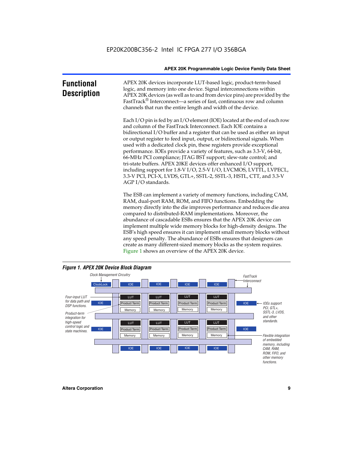| <b>Functional</b><br><b>Description</b> | APEX 20K devices incorporate LUT-based logic, product-term-based<br>logic, and memory into one device. Signal interconnections within<br>APEX 20K devices (as well as to and from device pins) are provided by the<br>FastTrack <sup>®</sup> Interconnect—a series of fast, continuous row and column<br>channels that run the entire length and width of the device.                                                                                                                                                                                                                                                                                                                                                                                              |
|-----------------------------------------|--------------------------------------------------------------------------------------------------------------------------------------------------------------------------------------------------------------------------------------------------------------------------------------------------------------------------------------------------------------------------------------------------------------------------------------------------------------------------------------------------------------------------------------------------------------------------------------------------------------------------------------------------------------------------------------------------------------------------------------------------------------------|
|                                         | Each I/O pin is fed by an I/O element (IOE) located at the end of each row<br>and column of the FastTrack Interconnect. Each IOE contains a<br>bidirectional I/O buffer and a register that can be used as either an input<br>or output register to feed input, output, or bidirectional signals. When<br>used with a dedicated clock pin, these registers provide exceptional<br>performance. IOEs provide a variety of features, such as 3.3-V, 64-bit,<br>66-MHz PCI compliance; JTAG BST support; slew-rate control; and<br>tri-state buffers. APEX 20KE devices offer enhanced I/O support,<br>including support for 1.8-V I/O, 2.5-V I/O, LVCMOS, LVTTL, LVPECL,<br>3.3-V PCI, PCI-X, LVDS, GTL+, SSTL-2, SSTL-3, HSTL, CTT, and 3.3-V<br>AGP I/O standards. |
|                                         | The ESB can implement a variety of memory functions, including CAM,<br>RAM, dual-port RAM, ROM, and FIFO functions. Embedding the<br>memory directly into the die improves performance and reduces die area<br>compared to distributed-RAM implementations. Moreover, the<br>abundance of cascadable ESBs ensures that the APEX 20K device can<br>implement multiple wide memory blocks for high-density designs. The<br>ESB's high speed ensures it can implement small memory blocks without<br>any speed penalty. The abundance of ESBs ensures that designers can<br>create as many different-sized memory blocks as the system requires.                                                                                                                      |



Figure 1 shows an overview of the APEX 20K device.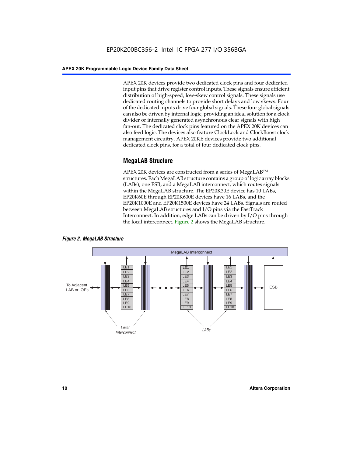APEX 20K devices provide two dedicated clock pins and four dedicated input pins that drive register control inputs. These signals ensure efficient distribution of high-speed, low-skew control signals. These signals use dedicated routing channels to provide short delays and low skews. Four of the dedicated inputs drive four global signals. These four global signals can also be driven by internal logic, providing an ideal solution for a clock divider or internally generated asynchronous clear signals with high fan-out. The dedicated clock pins featured on the APEX 20K devices can also feed logic. The devices also feature ClockLock and ClockBoost clock management circuitry. APEX 20KE devices provide two additional dedicated clock pins, for a total of four dedicated clock pins.

# **MegaLAB Structure**

APEX 20K devices are constructed from a series of MegaLAB<sup>™</sup> structures. Each MegaLAB structure contains a group of logic array blocks (LABs), one ESB, and a MegaLAB interconnect, which routes signals within the MegaLAB structure. The EP20K30E device has 10 LABs, EP20K60E through EP20K600E devices have 16 LABs, and the EP20K1000E and EP20K1500E devices have 24 LABs. Signals are routed between MegaLAB structures and I/O pins via the FastTrack Interconnect. In addition, edge LABs can be driven by I/O pins through the local interconnect. Figure 2 shows the MegaLAB structure.



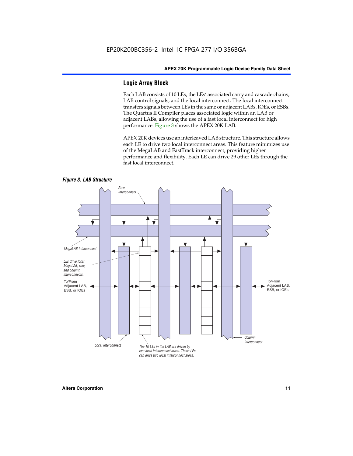# **Logic Array Block**

Each LAB consists of 10 LEs, the LEs' associated carry and cascade chains, LAB control signals, and the local interconnect. The local interconnect transfers signals between LEs in the same or adjacent LABs, IOEs, or ESBs. The Quartus II Compiler places associated logic within an LAB or adjacent LABs, allowing the use of a fast local interconnect for high performance. Figure 3 shows the APEX 20K LAB.

APEX 20K devices use an interleaved LAB structure. This structure allows each LE to drive two local interconnect areas. This feature minimizes use of the MegaLAB and FastTrack interconnect, providing higher performance and flexibility. Each LE can drive 29 other LEs through the fast local interconnect.

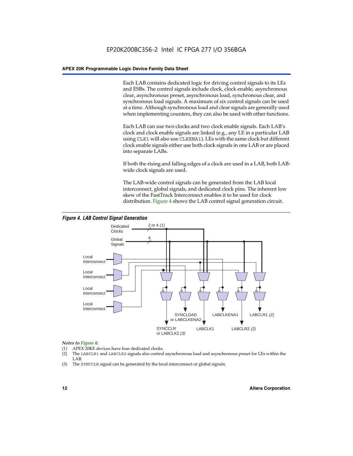Each LAB contains dedicated logic for driving control signals to its LEs and ESBs. The control signals include clock, clock enable, asynchronous clear, asynchronous preset, asynchronous load, synchronous clear, and synchronous load signals. A maximum of six control signals can be used at a time. Although synchronous load and clear signals are generally used when implementing counters, they can also be used with other functions.

Each LAB can use two clocks and two clock enable signals. Each LAB's clock and clock enable signals are linked (e.g., any LE in a particular LAB using CLK1 will also use CLKENA1). LEs with the same clock but different clock enable signals either use both clock signals in one LAB or are placed into separate LABs.

If both the rising and falling edges of a clock are used in a LAB, both LABwide clock signals are used.

The LAB-wide control signals can be generated from the LAB local interconnect, global signals, and dedicated clock pins. The inherent low skew of the FastTrack Interconnect enables it to be used for clock distribution. Figure 4 shows the LAB control signal generation circuit.



# *Figure 4. LAB Control Signal Generation*

# *Notes to Figure 4:*

- (1) APEX 20KE devices have four dedicated clocks.
- (2) The LABCLR1 and LABCLR2 signals also control asynchronous load and asynchronous preset for LEs within the LAB.
- (3) The SYNCCLR signal can be generated by the local interconnect or global signals.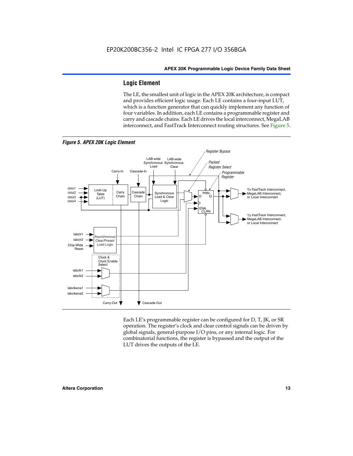# **Logic Element**

The LE, the smallest unit of logic in the APEX 20K architecture, is compact and provides efficient logic usage. Each LE contains a four-input LUT, which is a function generator that can quickly implement any function of four variables. In addition, each LE contains a programmable register and carry and cascade chains. Each LE drives the local interconnect, MegaLAB interconnect, and FastTrack Interconnect routing structures. See Figure 5.



Each LE's programmable register can be configured for D, T, JK, or SR operation. The register's clock and clear control signals can be driven by global signals, general-purpose I/O pins, or any internal logic. For combinatorial functions, the register is bypassed and the output of the LUT drives the outputs of the LE.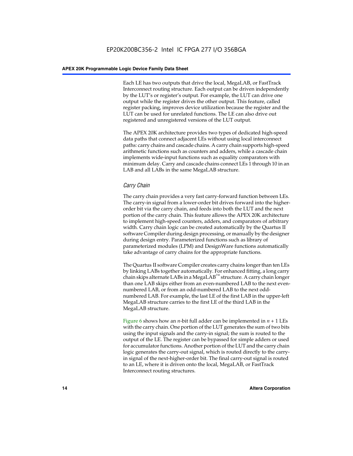Each LE has two outputs that drive the local, MegaLAB, or FastTrack Interconnect routing structure. Each output can be driven independently by the LUT's or register's output. For example, the LUT can drive one output while the register drives the other output. This feature, called register packing, improves device utilization because the register and the LUT can be used for unrelated functions. The LE can also drive out registered and unregistered versions of the LUT output.

The APEX 20K architecture provides two types of dedicated high-speed data paths that connect adjacent LEs without using local interconnect paths: carry chains and cascade chains. A carry chain supports high-speed arithmetic functions such as counters and adders, while a cascade chain implements wide-input functions such as equality comparators with minimum delay. Carry and cascade chains connect LEs 1 through 10 in an LAB and all LABs in the same MegaLAB structure.

# *Carry Chain*

The carry chain provides a very fast carry-forward function between LEs. The carry-in signal from a lower-order bit drives forward into the higherorder bit via the carry chain, and feeds into both the LUT and the next portion of the carry chain. This feature allows the APEX 20K architecture to implement high-speed counters, adders, and comparators of arbitrary width. Carry chain logic can be created automatically by the Quartus II software Compiler during design processing, or manually by the designer during design entry. Parameterized functions such as library of parameterized modules (LPM) and DesignWare functions automatically take advantage of carry chains for the appropriate functions.

The Quartus II software Compiler creates carry chains longer than ten LEs by linking LABs together automatically. For enhanced fitting, a long carry chain skips alternate LABs in a MegaLAB<sup>™</sup> structure. A carry chain longer than one LAB skips either from an even-numbered LAB to the next evennumbered LAB, or from an odd-numbered LAB to the next oddnumbered LAB. For example, the last LE of the first LAB in the upper-left MegaLAB structure carries to the first LE of the third LAB in the MegaLAB structure.

Figure 6 shows how an *n*-bit full adder can be implemented in *n* + 1 LEs with the carry chain. One portion of the LUT generates the sum of two bits using the input signals and the carry-in signal; the sum is routed to the output of the LE. The register can be bypassed for simple adders or used for accumulator functions. Another portion of the LUT and the carry chain logic generates the carry-out signal, which is routed directly to the carryin signal of the next-higher-order bit. The final carry-out signal is routed to an LE, where it is driven onto the local, MegaLAB, or FastTrack Interconnect routing structures.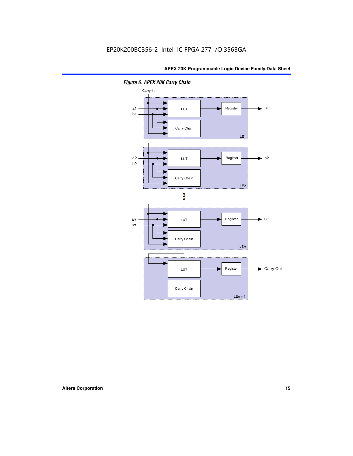

*Figure 6. APEX 20K Carry Chain*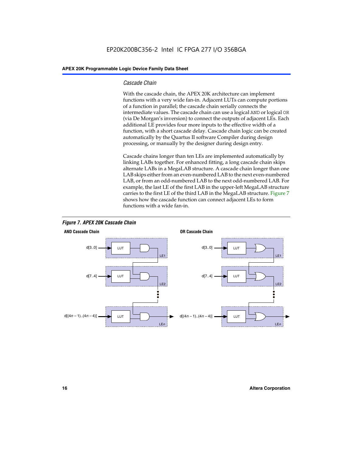# *Cascade Chain*

With the cascade chain, the APEX 20K architecture can implement functions with a very wide fan-in. Adjacent LUTs can compute portions of a function in parallel; the cascade chain serially connects the intermediate values. The cascade chain can use a logical AND or logical OR (via De Morgan's inversion) to connect the outputs of adjacent LEs. Each additional LE provides four more inputs to the effective width of a function, with a short cascade delay. Cascade chain logic can be created automatically by the Quartus II software Compiler during design processing, or manually by the designer during design entry.

Cascade chains longer than ten LEs are implemented automatically by linking LABs together. For enhanced fitting, a long cascade chain skips alternate LABs in a MegaLAB structure. A cascade chain longer than one LAB skips either from an even-numbered LAB to the next even-numbered LAB, or from an odd-numbered LAB to the next odd-numbered LAB. For example, the last LE of the first LAB in the upper-left MegaLAB structure carries to the first LE of the third LAB in the MegaLAB structure. Figure 7 shows how the cascade function can connect adjacent LEs to form functions with a wide fan-in.



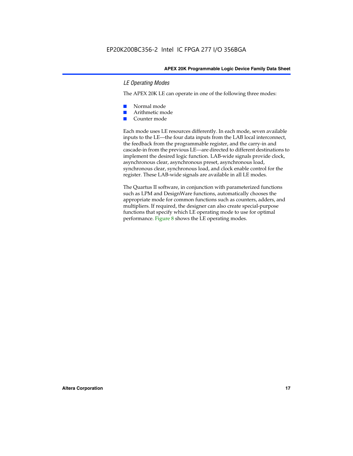# *LE Operating Modes*

The APEX 20K LE can operate in one of the following three modes:

- Normal mode
- Arithmetic mode
- Counter mode

Each mode uses LE resources differently. In each mode, seven available inputs to the LE—the four data inputs from the LAB local interconnect, the feedback from the programmable register, and the carry-in and cascade-in from the previous LE—are directed to different destinations to implement the desired logic function. LAB-wide signals provide clock, asynchronous clear, asynchronous preset, asynchronous load, synchronous clear, synchronous load, and clock enable control for the register. These LAB-wide signals are available in all LE modes.

The Quartus II software, in conjunction with parameterized functions such as LPM and DesignWare functions, automatically chooses the appropriate mode for common functions such as counters, adders, and multipliers. If required, the designer can also create special-purpose functions that specify which LE operating mode to use for optimal performance. Figure 8 shows the LE operating modes.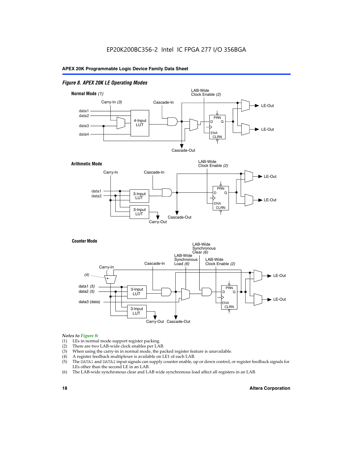# *Figure 8. APEX 20K LE Operating Modes*



# *Notes to Figure 8:*

- (1) LEs in normal mode support register packing.
- (2) There are two LAB-wide clock enables per LAB.
- (3) When using the carry-in in normal mode, the packed register feature is unavailable.
- (4) A register feedback multiplexer is available on LE1 of each LAB.
- (5) The DATA1 and DATA2 input signals can supply counter enable, up or down control, or register feedback signals for LEs other than the second LE in an LAB.
- (6) The LAB-wide synchronous clear and LAB wide synchronous load affect all registers in an LAB.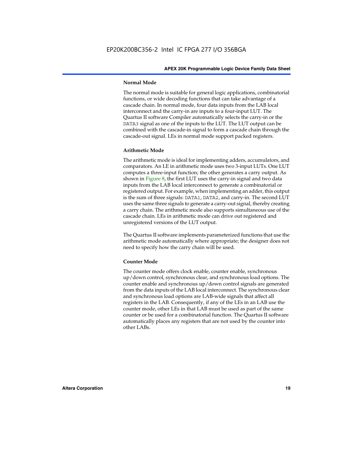# **Normal Mode**

The normal mode is suitable for general logic applications, combinatorial functions, or wide decoding functions that can take advantage of a cascade chain. In normal mode, four data inputs from the LAB local interconnect and the carry-in are inputs to a four-input LUT. The Quartus II software Compiler automatically selects the carry-in or the DATA3 signal as one of the inputs to the LUT. The LUT output can be combined with the cascade-in signal to form a cascade chain through the cascade-out signal. LEs in normal mode support packed registers.

# **Arithmetic Mode**

The arithmetic mode is ideal for implementing adders, accumulators, and comparators. An LE in arithmetic mode uses two 3-input LUTs. One LUT computes a three-input function; the other generates a carry output. As shown in Figure 8, the first LUT uses the carry-in signal and two data inputs from the LAB local interconnect to generate a combinatorial or registered output. For example, when implementing an adder, this output is the sum of three signals: DATA1, DATA2, and carry-in. The second LUT uses the same three signals to generate a carry-out signal, thereby creating a carry chain. The arithmetic mode also supports simultaneous use of the cascade chain. LEs in arithmetic mode can drive out registered and unregistered versions of the LUT output.

The Quartus II software implements parameterized functions that use the arithmetic mode automatically where appropriate; the designer does not need to specify how the carry chain will be used.

# **Counter Mode**

The counter mode offers clock enable, counter enable, synchronous up/down control, synchronous clear, and synchronous load options. The counter enable and synchronous up/down control signals are generated from the data inputs of the LAB local interconnect. The synchronous clear and synchronous load options are LAB-wide signals that affect all registers in the LAB. Consequently, if any of the LEs in an LAB use the counter mode, other LEs in that LAB must be used as part of the same counter or be used for a combinatorial function. The Quartus II software automatically places any registers that are not used by the counter into other LABs.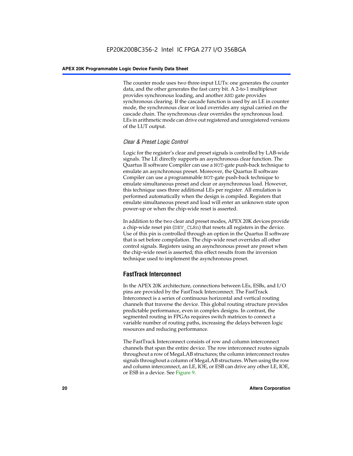The counter mode uses two three-input LUTs: one generates the counter data, and the other generates the fast carry bit. A 2-to-1 multiplexer provides synchronous loading, and another AND gate provides synchronous clearing. If the cascade function is used by an LE in counter mode, the synchronous clear or load overrides any signal carried on the cascade chain. The synchronous clear overrides the synchronous load. LEs in arithmetic mode can drive out registered and unregistered versions of the LUT output.

# *Clear & Preset Logic Control*

Logic for the register's clear and preset signals is controlled by LAB-wide signals. The LE directly supports an asynchronous clear function. The Quartus II software Compiler can use a NOT-gate push-back technique to emulate an asynchronous preset. Moreover, the Quartus II software Compiler can use a programmable NOT-gate push-back technique to emulate simultaneous preset and clear or asynchronous load. However, this technique uses three additional LEs per register. All emulation is performed automatically when the design is compiled. Registers that emulate simultaneous preset and load will enter an unknown state upon power-up or when the chip-wide reset is asserted.

In addition to the two clear and preset modes, APEX 20K devices provide a chip-wide reset pin (DEV\_CLRn) that resets all registers in the device. Use of this pin is controlled through an option in the Quartus II software that is set before compilation. The chip-wide reset overrides all other control signals. Registers using an asynchronous preset are preset when the chip-wide reset is asserted; this effect results from the inversion technique used to implement the asynchronous preset.

# **FastTrack Interconnect**

In the APEX 20K architecture, connections between LEs, ESBs, and I/O pins are provided by the FastTrack Interconnect. The FastTrack Interconnect is a series of continuous horizontal and vertical routing channels that traverse the device. This global routing structure provides predictable performance, even in complex designs. In contrast, the segmented routing in FPGAs requires switch matrices to connect a variable number of routing paths, increasing the delays between logic resources and reducing performance.

The FastTrack Interconnect consists of row and column interconnect channels that span the entire device. The row interconnect routes signals throughout a row of MegaLAB structures; the column interconnect routes signals throughout a column of MegaLAB structures. When using the row and column interconnect, an LE, IOE, or ESB can drive any other LE, IOE, or ESB in a device. See Figure 9.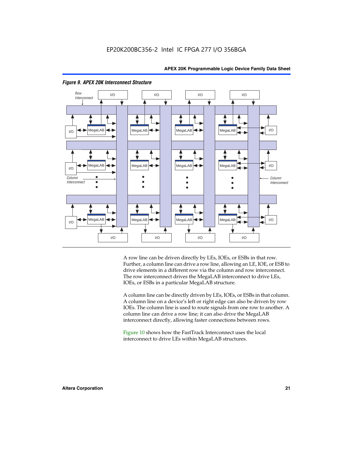



# *Figure 9. APEX 20K Interconnect Structure*

A row line can be driven directly by LEs, IOEs, or ESBs in that row. Further, a column line can drive a row line, allowing an LE, IOE, or ESB to drive elements in a different row via the column and row interconnect. The row interconnect drives the MegaLAB interconnect to drive LEs, IOEs, or ESBs in a particular MegaLAB structure.

A column line can be directly driven by LEs, IOEs, or ESBs in that column. A column line on a device's left or right edge can also be driven by row IOEs. The column line is used to route signals from one row to another. A column line can drive a row line; it can also drive the MegaLAB interconnect directly, allowing faster connections between rows.

Figure 10 shows how the FastTrack Interconnect uses the local interconnect to drive LEs within MegaLAB structures.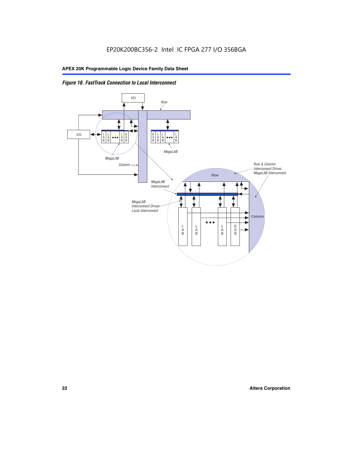

# *Figure 10. FastTrack Connection to Local Interconnect*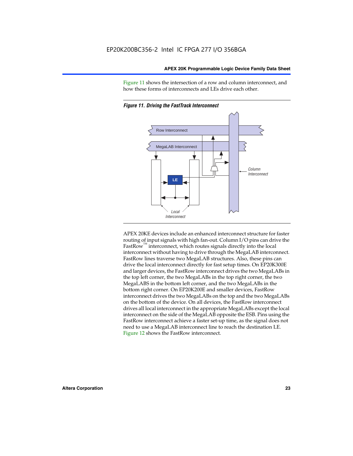Figure 11 shows the intersection of a row and column interconnect, and how these forms of interconnects and LEs drive each other.



*Figure 11. Driving the FastTrack Interconnect*

APEX 20KE devices include an enhanced interconnect structure for faster routing of input signals with high fan-out. Column I/O pins can drive the FastRow<sup>™</sup> interconnect, which routes signals directly into the local interconnect without having to drive through the MegaLAB interconnect. FastRow lines traverse two MegaLAB structures. Also, these pins can drive the local interconnect directly for fast setup times. On EP20K300E and larger devices, the FastRow interconnect drives the two MegaLABs in the top left corner, the two MegaLABs in the top right corner, the two MegaLABS in the bottom left corner, and the two MegaLABs in the bottom right corner. On EP20K200E and smaller devices, FastRow interconnect drives the two MegaLABs on the top and the two MegaLABs on the bottom of the device. On all devices, the FastRow interconnect drives all local interconnect in the appropriate MegaLABs except the local interconnect on the side of the MegaLAB opposite the ESB. Pins using the FastRow interconnect achieve a faster set-up time, as the signal does not need to use a MegaLAB interconnect line to reach the destination LE. Figure 12 shows the FastRow interconnect.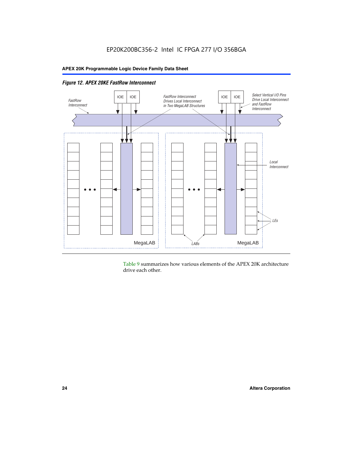

Table 9 summarizes how various elements of the APEX 20K architecture drive each other.

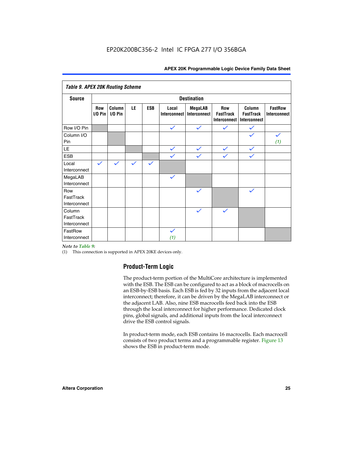| <b>Table 9. APEX 20K Routing Scheme</b> |                  |                      |              |              |                              |                                |                                                |                                            |                                |
|-----------------------------------------|------------------|----------------------|--------------|--------------|------------------------------|--------------------------------|------------------------------------------------|--------------------------------------------|--------------------------------|
| <b>Source</b>                           |                  |                      |              |              |                              | <b>Destination</b>             |                                                |                                            |                                |
|                                         | Row<br>$1/0$ Pin | Column<br>$I/O P$ in | LE           | <b>ESB</b>   | Local<br><b>Interconnect</b> | <b>MegaLAB</b><br>Interconnect | Row<br><b>FastTrack</b><br><b>Interconnect</b> | Column<br><b>FastTrack</b><br>Interconnect | <b>FastRow</b><br>Interconnect |
| Row I/O Pin                             |                  |                      |              |              | $\checkmark$                 | $\checkmark$                   | $\checkmark$                                   | $\checkmark$                               |                                |
| Column I/O<br>Pin                       |                  |                      |              |              |                              |                                |                                                | $\checkmark$                               | $\checkmark$<br>(1)            |
| LE                                      |                  |                      |              |              | $\checkmark$                 | $\checkmark$                   | $\checkmark$                                   | $\checkmark$                               |                                |
| <b>ESB</b>                              |                  |                      |              |              | $\checkmark$                 | $\checkmark$                   | $\checkmark$                                   | $\checkmark$                               |                                |
| Local<br>Interconnect                   | $\checkmark$     | $\checkmark$         | $\checkmark$ | $\checkmark$ |                              |                                |                                                |                                            |                                |
| MegaLAB<br>Interconnect                 |                  |                      |              |              | $\checkmark$                 |                                |                                                |                                            |                                |
| Row<br>FastTrack<br>Interconnect        |                  |                      |              |              |                              | $\checkmark$                   |                                                | $\checkmark$                               |                                |
| Column<br>FastTrack<br>Interconnect     |                  |                      |              |              |                              | $\checkmark$                   | $\checkmark$                                   |                                            |                                |
| FastRow<br>Interconnect                 |                  |                      |              |              | $\checkmark$<br>(1)          |                                |                                                |                                            |                                |

# *Note to Table 9:*

(1) This connection is supported in APEX 20KE devices only.

# **Product-Term Logic**

The product-term portion of the MultiCore architecture is implemented with the ESB. The ESB can be configured to act as a block of macrocells on an ESB-by-ESB basis. Each ESB is fed by 32 inputs from the adjacent local interconnect; therefore, it can be driven by the MegaLAB interconnect or the adjacent LAB. Also, nine ESB macrocells feed back into the ESB through the local interconnect for higher performance. Dedicated clock pins, global signals, and additional inputs from the local interconnect drive the ESB control signals.

In product-term mode, each ESB contains 16 macrocells. Each macrocell consists of two product terms and a programmable register. Figure 13 shows the ESB in product-term mode.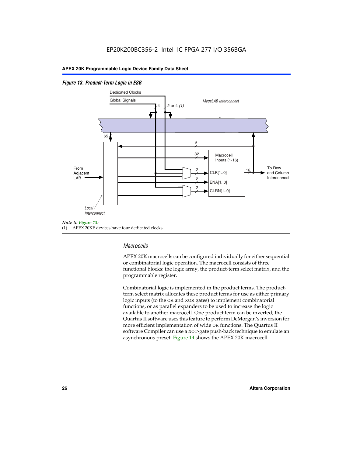# *Figure 13. Product-Term Logic in ESB*



(1) APEX 20KE devices have four dedicated clocks.

# *Macrocells*

APEX 20K macrocells can be configured individually for either sequential or combinatorial logic operation. The macrocell consists of three functional blocks: the logic array, the product-term select matrix, and the programmable register.

Combinatorial logic is implemented in the product terms. The productterm select matrix allocates these product terms for use as either primary logic inputs (to the OR and XOR gates) to implement combinatorial functions, or as parallel expanders to be used to increase the logic available to another macrocell. One product term can be inverted; the Quartus II software uses this feature to perform DeMorgan's inversion for more efficient implementation of wide OR functions. The Quartus II software Compiler can use a NOT-gate push-back technique to emulate an asynchronous preset. Figure 14 shows the APEX 20K macrocell.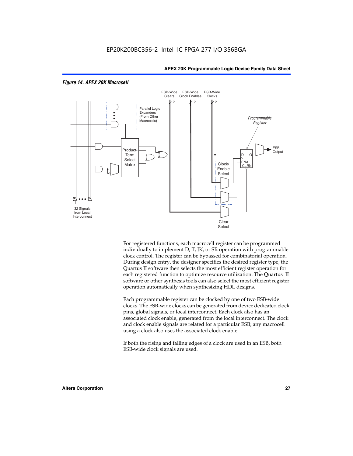

# *Figure 14. APEX 20K Macrocell*

For registered functions, each macrocell register can be programmed individually to implement D, T, JK, or SR operation with programmable clock control. The register can be bypassed for combinatorial operation. During design entry, the designer specifies the desired register type; the Quartus II software then selects the most efficient register operation for each registered function to optimize resource utilization. The Quartus II software or other synthesis tools can also select the most efficient register operation automatically when synthesizing HDL designs.

Each programmable register can be clocked by one of two ESB-wide clocks. The ESB-wide clocks can be generated from device dedicated clock pins, global signals, or local interconnect. Each clock also has an associated clock enable, generated from the local interconnect. The clock and clock enable signals are related for a particular ESB; any macrocell using a clock also uses the associated clock enable.

If both the rising and falling edges of a clock are used in an ESB, both ESB-wide clock signals are used.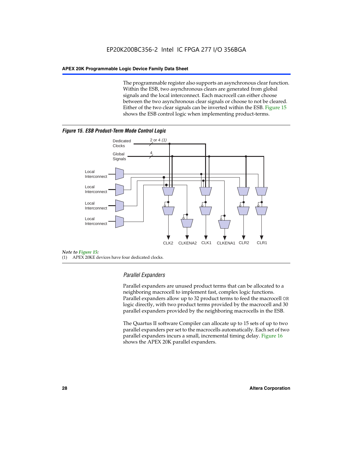The programmable register also supports an asynchronous clear function. Within the ESB, two asynchronous clears are generated from global signals and the local interconnect. Each macrocell can either choose between the two asynchronous clear signals or choose to not be cleared. Either of the two clear signals can be inverted within the ESB. Figure 15 shows the ESB control logic when implementing product-terms.





(1) APEX 20KE devices have four dedicated clocks.

# *Parallel Expanders*

Parallel expanders are unused product terms that can be allocated to a neighboring macrocell to implement fast, complex logic functions. Parallel expanders allow up to 32 product terms to feed the macrocell OR logic directly, with two product terms provided by the macrocell and 30 parallel expanders provided by the neighboring macrocells in the ESB.

The Quartus II software Compiler can allocate up to 15 sets of up to two parallel expanders per set to the macrocells automatically. Each set of two parallel expanders incurs a small, incremental timing delay. Figure 16 shows the APEX 20K parallel expanders.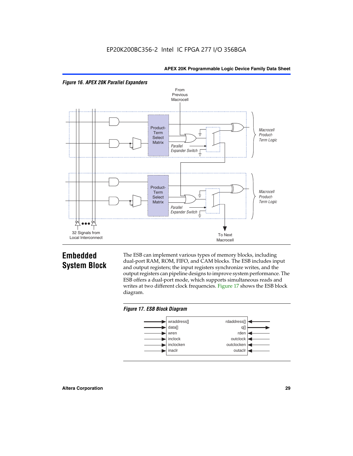



# **Embedded System Block**

The ESB can implement various types of memory blocks, including dual-port RAM, ROM, FIFO, and CAM blocks. The ESB includes input and output registers; the input registers synchronize writes, and the output registers can pipeline designs to improve system performance. The ESB offers a dual-port mode, which supports simultaneous reads and writes at two different clock frequencies. Figure 17 shows the ESB block diagram.



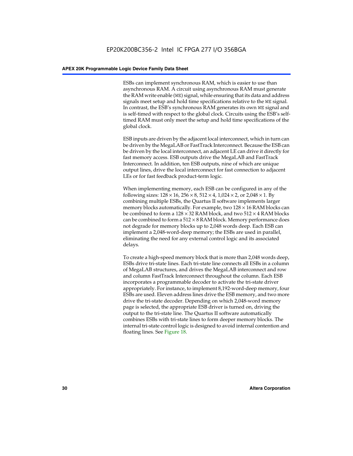ESBs can implement synchronous RAM, which is easier to use than asynchronous RAM. A circuit using asynchronous RAM must generate the RAM write enable (WE) signal, while ensuring that its data and address signals meet setup and hold time specifications relative to the WE signal. In contrast, the ESB's synchronous RAM generates its own WE signal and is self-timed with respect to the global clock. Circuits using the ESB's selftimed RAM must only meet the setup and hold time specifications of the global clock.

ESB inputs are driven by the adjacent local interconnect, which in turn can be driven by the MegaLAB or FastTrack Interconnect. Because the ESB can be driven by the local interconnect, an adjacent LE can drive it directly for fast memory access. ESB outputs drive the MegaLAB and FastTrack Interconnect. In addition, ten ESB outputs, nine of which are unique output lines, drive the local interconnect for fast connection to adjacent LEs or for fast feedback product-term logic.

When implementing memory, each ESB can be configured in any of the following sizes:  $128 \times 16$ ,  $256 \times 8$ ,  $512 \times 4$ ,  $1,024 \times 2$ , or  $2,048 \times 1$ . By combining multiple ESBs, the Quartus II software implements larger memory blocks automatically. For example, two  $128 \times 16$  RAM blocks can be combined to form a  $128 \times 32$  RAM block, and two  $512 \times 4$  RAM blocks can be combined to form a  $512 \times 8$  RAM block. Memory performance does not degrade for memory blocks up to 2,048 words deep. Each ESB can implement a 2,048-word-deep memory; the ESBs are used in parallel, eliminating the need for any external control logic and its associated delays.

To create a high-speed memory block that is more than 2,048 words deep, ESBs drive tri-state lines. Each tri-state line connects all ESBs in a column of MegaLAB structures, and drives the MegaLAB interconnect and row and column FastTrack Interconnect throughout the column. Each ESB incorporates a programmable decoder to activate the tri-state driver appropriately. For instance, to implement 8,192-word-deep memory, four ESBs are used. Eleven address lines drive the ESB memory, and two more drive the tri-state decoder. Depending on which 2,048-word memory page is selected, the appropriate ESB driver is turned on, driving the output to the tri-state line. The Quartus II software automatically combines ESBs with tri-state lines to form deeper memory blocks. The internal tri-state control logic is designed to avoid internal contention and floating lines. See Figure 18.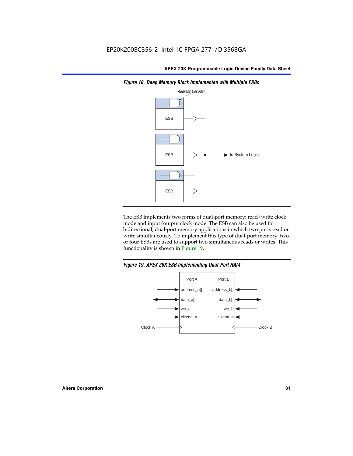

*Figure 18. Deep Memory Block Implemented with Multiple ESBs*

The ESB implements two forms of dual-port memory: read/write clock mode and input/output clock mode. The ESB can also be used for bidirectional, dual-port memory applications in which two ports read or write simultaneously. To implement this type of dual-port memory, two or four ESBs are used to support two simultaneous reads or writes. This functionality is shown in Figure 19.

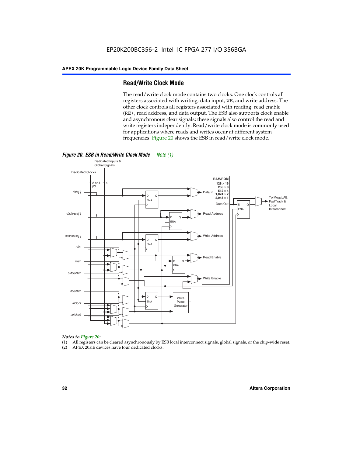# **Read/Write Clock Mode**

The read/write clock mode contains two clocks. One clock controls all registers associated with writing: data input, WE, and write address. The other clock controls all registers associated with reading: read enable (RE), read address, and data output. The ESB also supports clock enable and asynchronous clear signals; these signals also control the read and write registers independently. Read/write clock mode is commonly used for applications where reads and writes occur at different system frequencies. Figure 20 shows the ESB in read/write clock mode.



# *Notes to Figure 20:*

- (1) All registers can be cleared asynchronously by ESB local interconnect signals, global signals, or the chip-wide reset.
- (2) APEX 20KE devices have four dedicated clocks.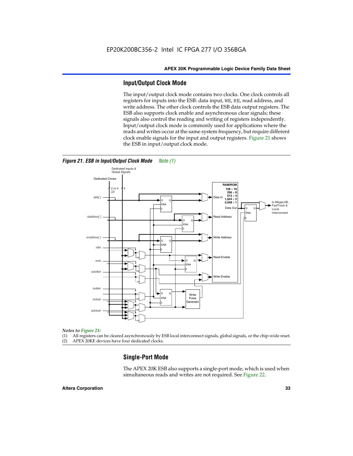# **Input/Output Clock Mode**

The input/output clock mode contains two clocks. One clock controls all registers for inputs into the ESB: data input, WE, RE, read address, and write address. The other clock controls the ESB data output registers. The ESB also supports clock enable and asynchronous clear signals; these signals also control the reading and writing of registers independently. Input/output clock mode is commonly used for applications where the reads and writes occur at the same system frequency, but require different clock enable signals for the input and output registers. Figure 21 shows the ESB in input/output clock mode.



# *Figure 21. ESB in Input/Output Clock Mode Note (1)*

#### *Notes to Figure 21:*

(1) All registers can be cleared asynchronously by ESB local interconnect signals, global signals, or the chip-wide reset.

(2) APEX 20KE devices have four dedicated clocks.

# **Single-Port Mode**

The APEX 20K ESB also supports a single-port mode, which is used when simultaneous reads and writes are not required. See Figure 22.

### **Altera Corporation 33**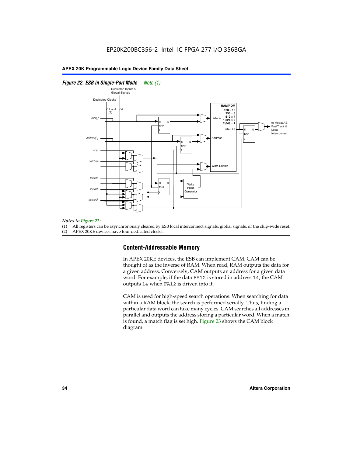# *Figure 22. ESB in Single-Port Mode Note (1)*



#### *Notes to Figure 22:*

(1) All registers can be asynchronously cleared by ESB local interconnect signals, global signals, or the chip-wide reset.

(2) APEX 20KE devices have four dedicated clocks.

# **Content-Addressable Memory**

In APEX 20KE devices, the ESB can implement CAM. CAM can be thought of as the inverse of RAM. When read, RAM outputs the data for a given address. Conversely, CAM outputs an address for a given data word. For example, if the data FA12 is stored in address 14, the CAM outputs 14 when FA12 is driven into it.

CAM is used for high-speed search operations. When searching for data within a RAM block, the search is performed serially. Thus, finding a particular data word can take many cycles. CAM searches all addresses in parallel and outputs the address storing a particular word. When a match is found, a match flag is set high. Figure 23 shows the CAM block diagram.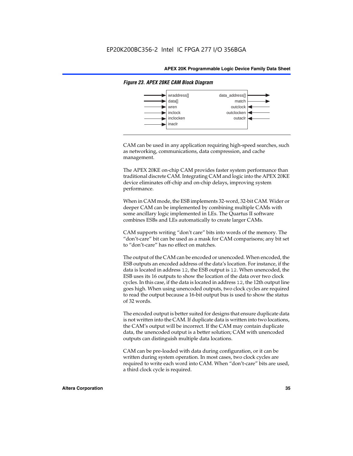

# *Figure 23. APEX 20KE CAM Block Diagram*

CAM can be used in any application requiring high-speed searches, such as networking, communications, data compression, and cache management.

The APEX 20KE on-chip CAM provides faster system performance than traditional discrete CAM. Integrating CAM and logic into the APEX 20KE device eliminates off-chip and on-chip delays, improving system performance.

When in CAM mode, the ESB implements 32-word, 32-bit CAM. Wider or deeper CAM can be implemented by combining multiple CAMs with some ancillary logic implemented in LEs. The Quartus II software combines ESBs and LEs automatically to create larger CAMs.

CAM supports writing "don't care" bits into words of the memory. The "don't-care" bit can be used as a mask for CAM comparisons; any bit set to "don't-care" has no effect on matches.

The output of the CAM can be encoded or unencoded. When encoded, the ESB outputs an encoded address of the data's location. For instance, if the data is located in address 12, the ESB output is 12. When unencoded, the ESB uses its 16 outputs to show the location of the data over two clock cycles. In this case, if the data is located in address 12, the 12th output line goes high. When using unencoded outputs, two clock cycles are required to read the output because a 16-bit output bus is used to show the status of 32 words.

The encoded output is better suited for designs that ensure duplicate data is not written into the CAM. If duplicate data is written into two locations, the CAM's output will be incorrect. If the CAM may contain duplicate data, the unencoded output is a better solution; CAM with unencoded outputs can distinguish multiple data locations.

CAM can be pre-loaded with data during configuration, or it can be written during system operation. In most cases, two clock cycles are required to write each word into CAM. When "don't-care" bits are used, a third clock cycle is required.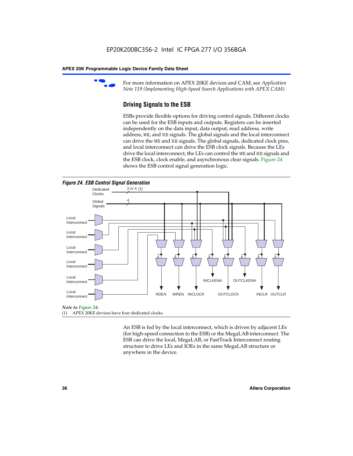

For more information on APEX 20KE devices and CAM, see *Application Note 119 (Implementing High-Speed Search Applications with APEX CAM).*

# **Driving Signals to the ESB**

ESBs provide flexible options for driving control signals. Different clocks can be used for the ESB inputs and outputs. Registers can be inserted independently on the data input, data output, read address, write address, WE, and RE signals. The global signals and the local interconnect can drive the WE and RE signals. The global signals, dedicated clock pins, and local interconnect can drive the ESB clock signals. Because the LEs drive the local interconnect, the LEs can control the WE and RE signals and the ESB clock, clock enable, and asynchronous clear signals. Figure 24 shows the ESB control signal generation logic.





#### *Note to Figure 24:*

(1) APEX 20KE devices have four dedicated clocks.

An ESB is fed by the local interconnect, which is driven by adjacent LEs (for high-speed connection to the ESB) or the MegaLAB interconnect. The ESB can drive the local, MegaLAB, or FastTrack Interconnect routing structure to drive LEs and IOEs in the same MegaLAB structure or anywhere in the device.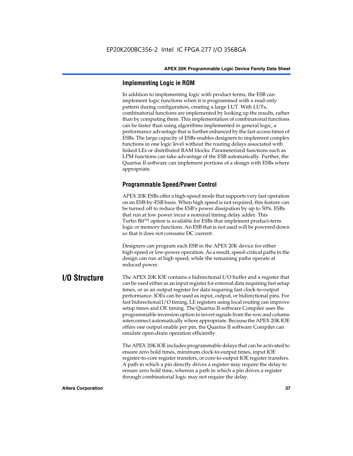# **Implementing Logic in ROM**

In addition to implementing logic with product terms, the ESB can implement logic functions when it is programmed with a read-only pattern during configuration, creating a large LUT. With LUTs, combinatorial functions are implemented by looking up the results, rather than by computing them. This implementation of combinatorial functions can be faster than using algorithms implemented in general logic, a performance advantage that is further enhanced by the fast access times of ESBs. The large capacity of ESBs enables designers to implement complex functions in one logic level without the routing delays associated with linked LEs or distributed RAM blocks. Parameterized functions such as LPM functions can take advantage of the ESB automatically. Further, the Quartus II software can implement portions of a design with ESBs where appropriate.

# **Programmable Speed/Power Control**

APEX 20K ESBs offer a high-speed mode that supports very fast operation on an ESB-by-ESB basis. When high speed is not required, this feature can be turned off to reduce the ESB's power dissipation by up to 50%. ESBs that run at low power incur a nominal timing delay adder. This Turbo  $Bit^{TM}$  option is available for ESBs that implement product-term logic or memory functions. An ESB that is not used will be powered down so that it does not consume DC current.

Designers can program each ESB in the APEX 20K device for either high-speed or low-power operation. As a result, speed-critical paths in the design can run at high speed, while the remaining paths operate at reduced power.

**I/O Structure** The APEX 20K IOE contains a bidirectional I/O buffer and a register that can be used either as an input register for external data requiring fast setup times, or as an output register for data requiring fast clock-to-output performance. IOEs can be used as input, output, or bidirectional pins. For fast bidirectional I/O timing, LE registers using local routing can improve setup times and OE timing. The Quartus II software Compiler uses the programmable inversion option to invert signals from the row and column interconnect automatically where appropriate. Because the APEX 20K IOE offers one output enable per pin, the Quartus II software Compiler can emulate open-drain operation efficiently.

> The APEX 20K IOE includes programmable delays that can be activated to ensure zero hold times, minimum clock-to-output times, input IOE register-to-core register transfers, or core-to-output IOE register transfers. A path in which a pin directly drives a register may require the delay to ensure zero hold time, whereas a path in which a pin drives a register through combinatorial logic may not require the delay.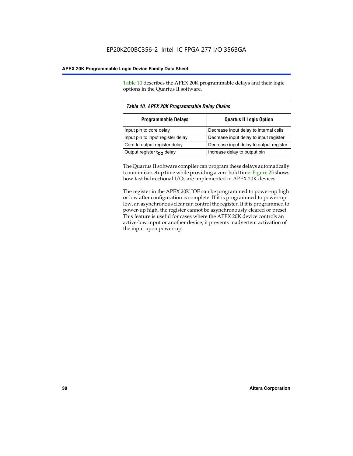Table 10 describes the APEX 20K programmable delays and their logic options in the Quartus II software.

| Table 10. APEX 20K Programmable Delay Chains                 |                                         |  |  |  |
|--------------------------------------------------------------|-----------------------------------------|--|--|--|
| <b>Programmable Delays</b><br><b>Quartus II Logic Option</b> |                                         |  |  |  |
| Input pin to core delay                                      | Decrease input delay to internal cells  |  |  |  |
| Input pin to input register delay                            | Decrease input delay to input register  |  |  |  |
| Core to output register delay                                | Decrease input delay to output register |  |  |  |
| Output register $t_{\rm CO}$ delay                           | Increase delay to output pin            |  |  |  |

The Quartus II software compiler can program these delays automatically to minimize setup time while providing a zero hold time. Figure 25 shows how fast bidirectional I/Os are implemented in APEX 20K devices.

The register in the APEX 20K IOE can be programmed to power-up high or low after configuration is complete. If it is programmed to power-up low, an asynchronous clear can control the register. If it is programmed to power-up high, the register cannot be asynchronously cleared or preset. This feature is useful for cases where the APEX 20K device controls an active-low input or another device; it prevents inadvertent activation of the input upon power-up.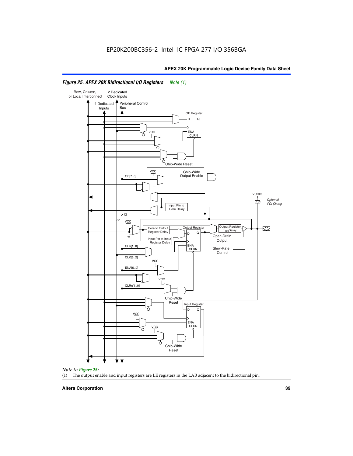

# *Figure 25. APEX 20K Bidirectional I/O Registers Note (1)*



#### **Altera Corporation 39**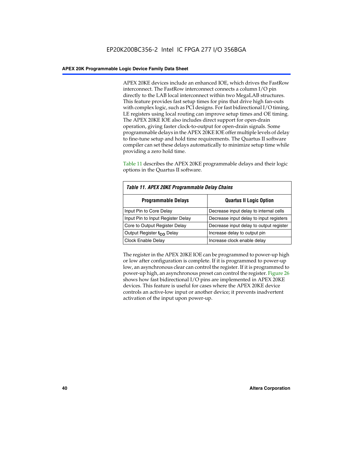APEX 20KE devices include an enhanced IOE, which drives the FastRow interconnect. The FastRow interconnect connects a column I/O pin directly to the LAB local interconnect within two MegaLAB structures. This feature provides fast setup times for pins that drive high fan-outs with complex logic, such as PCI designs. For fast bidirectional I/O timing, LE registers using local routing can improve setup times and OE timing. The APEX 20KE IOE also includes direct support for open-drain operation, giving faster clock-to-output for open-drain signals. Some programmable delays in the APEX 20KE IOE offer multiple levels of delay to fine-tune setup and hold time requirements. The Quartus II software compiler can set these delays automatically to minimize setup time while providing a zero hold time.

Table 11 describes the APEX 20KE programmable delays and their logic options in the Quartus II software.

| Table 11. APEX 20KE Programmable Delay Chains                |                                         |  |  |  |
|--------------------------------------------------------------|-----------------------------------------|--|--|--|
| <b>Programmable Delays</b><br><b>Quartus II Logic Option</b> |                                         |  |  |  |
| Input Pin to Core Delay                                      | Decrease input delay to internal cells  |  |  |  |
| Input Pin to Input Register Delay                            | Decrease input delay to input registers |  |  |  |
| Core to Output Register Delay                                | Decrease input delay to output register |  |  |  |
| Output Register t <sub>CO</sub> Delay                        | Increase delay to output pin            |  |  |  |
| <b>Clock Enable Delay</b>                                    | Increase clock enable delay             |  |  |  |

The register in the APEX 20KE IOE can be programmed to power-up high or low after configuration is complete. If it is programmed to power-up low, an asynchronous clear can control the register. If it is programmed to power-up high, an asynchronous preset can control the register. Figure 26 shows how fast bidirectional I/O pins are implemented in APEX 20KE devices. This feature is useful for cases where the APEX 20KE device controls an active-low input or another device; it prevents inadvertent activation of the input upon power-up.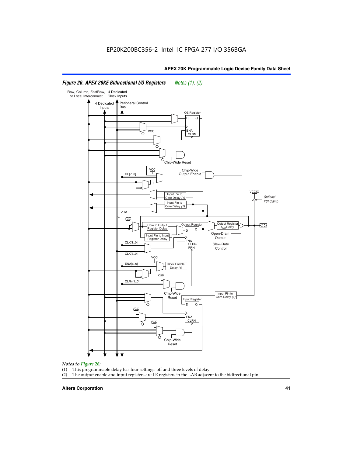#### Row, Column, FastRow, 4 Dedicated or Local Interconnect Clock Inputs Peripheral Control 4 Dedicated **Bus** Inputs OE Register D Q ENA VCC CLRN 7 Chip-Wide Reset YCC Chip-Wide Output Enable OE[7..0] VC Input Pin to **Optional** Core Delay (1) PCI Clamp Input Pin to Core Delay (1) 12 4 **VCC** Output Register **Output Registe**  $\approx$ Core to Output | Output Hegister | Durbut Tropieding | Contput Tropieding | Durbut Tropieding | Output Tropied<br>Register Delay | Durbut Tropieding | Contput Tropieding | Contput Tropieding | O t<sub>CO</sub>Delay  $D$  Q ŧ Open-Drain Input Pin to Input **Output** Register Delay ENA CLK[1..0] CLRN/ Slew-Rate PR<sub>N</sub> Control CLK[3..0] VCC ENA[5..0] Clock Enable Delay (1) VCC CLRn[1..0] Chip-Wide Input Pin to Core Delay (1) Reset Input Register D Q <u>vcc</u> .<br>ENA CLRN **VCC** Chip-Wide Reset

# *Figure 26. APEX 20KE Bidirectional I/O Registers Notes (1), (2)*

#### *Notes to Figure 26:*

- (1) This programmable delay has four settings: off and three levels of delay.<br>(2) The output enable and input registers are LE registers in the LAB adjacer
- The output enable and input registers are LE registers in the LAB adjacent to the bidirectional pin.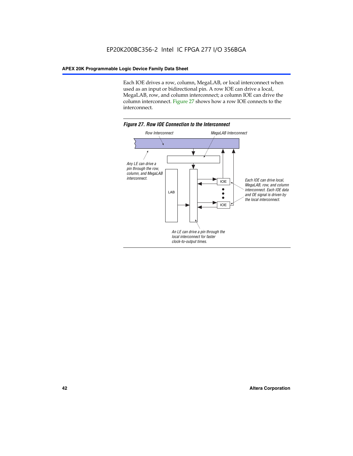Each IOE drives a row, column, MegaLAB, or local interconnect when used as an input or bidirectional pin. A row IOE can drive a local, MegaLAB, row, and column interconnect; a column IOE can drive the column interconnect. Figure 27 shows how a row IOE connects to the interconnect.

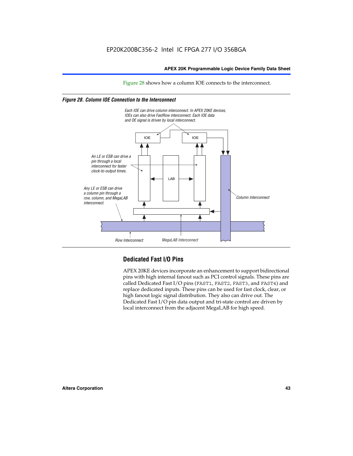Figure 28 shows how a column IOE connects to the interconnect.

# *Figure 28. Column IOE Connection to the Interconnect*



# **Dedicated Fast I/O Pins**

APEX 20KE devices incorporate an enhancement to support bidirectional pins with high internal fanout such as PCI control signals. These pins are called Dedicated Fast I/O pins (FAST1, FAST2, FAST3, and FAST4) and replace dedicated inputs. These pins can be used for fast clock, clear, or high fanout logic signal distribution. They also can drive out. The Dedicated Fast I/O pin data output and tri-state control are driven by local interconnect from the adjacent MegaLAB for high speed.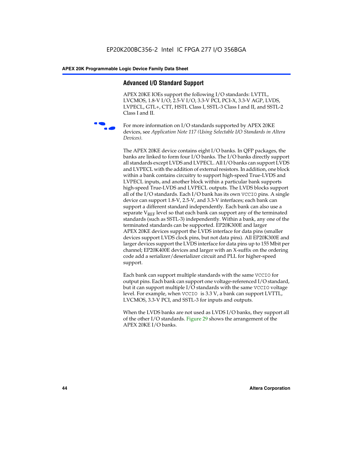# **Advanced I/O Standard Support**

APEX 20KE IOEs support the following I/O standards: LVTTL, LVCMOS, 1.8-V I/O, 2.5-V I/O, 3.3-V PCI, PCI-X, 3.3-V AGP, LVDS, LVPECL, GTL+, CTT, HSTL Class I, SSTL-3 Class I and II, and SSTL-2 Class I and II.



For more information on I/O standards supported by APEX 20KE devices, see *Application Note 117 (Using Selectable I/O Standards in Altera Devices)*.

The APEX 20KE device contains eight I/O banks. In QFP packages, the banks are linked to form four I/O banks. The I/O banks directly support all standards except LVDS and LVPECL. All I/O banks can support LVDS and LVPECL with the addition of external resistors. In addition, one block within a bank contains circuitry to support high-speed True-LVDS and LVPECL inputs, and another block within a particular bank supports high-speed True-LVDS and LVPECL outputs. The LVDS blocks support all of the I/O standards. Each I/O bank has its own VCCIO pins. A single device can support 1.8-V, 2.5-V, and 3.3-V interfaces; each bank can support a different standard independently. Each bank can also use a separate  $V_{\text{REF}}$  level so that each bank can support any of the terminated standards (such as SSTL-3) independently. Within a bank, any one of the terminated standards can be supported. EP20K300E and larger APEX 20KE devices support the LVDS interface for data pins (smaller devices support LVDS clock pins, but not data pins). All EP20K300E and larger devices support the LVDS interface for data pins up to 155 Mbit per channel; EP20K400E devices and larger with an X-suffix on the ordering code add a serializer/deserializer circuit and PLL for higher-speed support.

Each bank can support multiple standards with the same VCCIO for output pins. Each bank can support one voltage-referenced I/O standard, but it can support multiple I/O standards with the same VCCIO voltage level. For example, when VCCIO is 3.3 V, a bank can support LVTTL, LVCMOS, 3.3-V PCI, and SSTL-3 for inputs and outputs.

When the LVDS banks are not used as LVDS I/O banks, they support all of the other I/O standards. Figure 29 shows the arrangement of the APEX 20KE I/O banks.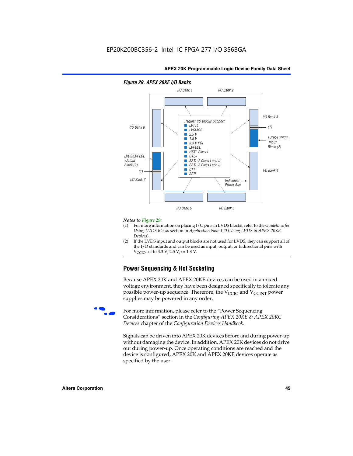

#### *Figure 29. APEX 20KE I/O Banks*

#### *Notes to Figure 29:*

- (1) For more information on placing I/O pins in LVDS blocks, refer to the *Guidelines for Using LVDS Blocks* section in *Application Note 120 (Using LVDS in APEX 20KE Devices*).
- (2) If the LVDS input and output blocks are not used for LVDS, they can support all of the I/O standards and can be used as input, output, or bidirectional pins with  $V_{\text{C} \cap \text{O}}$  set to 3.3 V, 2.5 V, or 1.8 V.

# **Power Sequencing & Hot Socketing**

Because APEX 20K and APEX 20KE devices can be used in a mixedvoltage environment, they have been designed specifically to tolerate any possible power-up sequence. Therefore, the  $V_{\text{CCIO}}$  and  $V_{\text{CCINT}}$  power supplies may be powered in any order.

For more information, please refer to the "Power Sequencing Considerations" section in the *Configuring APEX 20KE & APEX 20KC Devices* chapter of the *Configuration Devices Handbook*.

Signals can be driven into APEX 20K devices before and during power-up without damaging the device. In addition, APEX 20K devices do not drive out during power-up. Once operating conditions are reached and the device is configured, APEX 20K and APEX 20KE devices operate as specified by the user.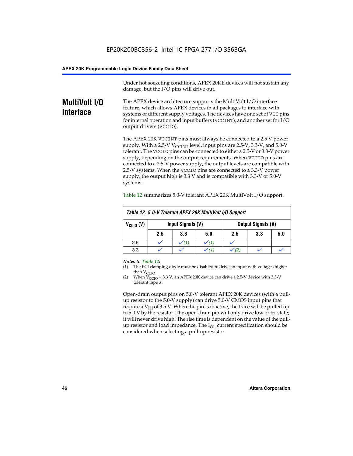Under hot socketing conditions, APEX 20KE devices will not sustain any damage, but the I/O pins will drive out.

# **MultiVolt I/O Interface**

The APEX device architecture supports the MultiVolt I/O interface feature, which allows APEX devices in all packages to interface with systems of different supply voltages. The devices have one set of VCC pins for internal operation and input buffers (VCCINT), and another set for I/O output drivers (VCCIO).

The APEX 20K VCCINT pins must always be connected to a 2.5 V power supply. With a 2.5-V  $V_{\text{CCMT}}$  level, input pins are 2.5-V, 3.3-V, and 5.0-V tolerant. The VCCIO pins can be connected to either a 2.5-V or 3.3-V power supply, depending on the output requirements. When VCCIO pins are connected to a 2.5-V power supply, the output levels are compatible with 2.5-V systems. When the VCCIO pins are connected to a 3.3-V power supply, the output high is 3.3 V and is compatible with 3.3-V or 5.0-V systems.

| Table 12. 5.0-V Tolerant APEX 20K MultiVolt I/O Support |     |                                                |     |     |     |     |
|---------------------------------------------------------|-----|------------------------------------------------|-----|-----|-----|-----|
| $V_{\text{CCIO}}(V)$                                    |     | Input Signals (V)<br><b>Output Signals (V)</b> |     |     |     |     |
|                                                         | 2.5 | 3.3                                            | 5.0 | 2.5 | 3.3 | 5.0 |
| 2.5                                                     |     | $\checkmark$ (1)                               |     |     |     |     |
| 3.3                                                     |     |                                                |     |     |     |     |

Table 12 summarizes 5.0-V tolerant APEX 20K MultiVolt I/O support.

#### *Notes to Table 12:*

- (1) The PCI clamping diode must be disabled to drive an input with voltages higher than  $V_{CCIO}$ .
- (2) When  $V_{CCIO} = 3.3 V$ , an APEX 20K device can drive a 2.5-V device with 3.3-V tolerant inputs.

Open-drain output pins on 5.0-V tolerant APEX 20K devices (with a pullup resistor to the 5.0-V supply) can drive 5.0-V CMOS input pins that require a  $V_{IH}$  of 3.5 V. When the pin is inactive, the trace will be pulled up to 5.0 V by the resistor. The open-drain pin will only drive low or tri-state; it will never drive high. The rise time is dependent on the value of the pullup resistor and load impedance. The  $I_{OI}$  current specification should be considered when selecting a pull-up resistor.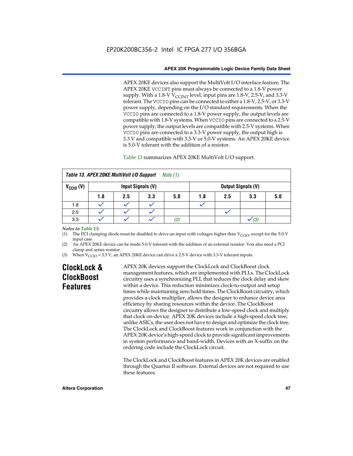APEX 20KE devices also support the MultiVolt I/O interface feature. The APEX 20KE VCCINT pins must always be connected to a 1.8-V power supply. With a 1.8-V  $V_{\text{CCINT}}$  level, input pins are 1.8-V, 2.5-V, and 3.3-V tolerant. The VCCIO pins can be connected to either a 1.8-V, 2.5-V, or 3.3-V power supply, depending on the I/O standard requirements. When the VCCIO pins are connected to a 1.8-V power supply, the output levels are compatible with 1.8-V systems. When VCCIO pins are connected to a 2.5-V power supply, the output levels are compatible with 2.5-V systems. When VCCIO pins are connected to a 3.3-V power supply, the output high is 3.3 V and compatible with 3.3-V or 5.0-V systems. An APEX 20KE device is 5.0-V tolerant with the addition of a resistor.

# Table 13 summarizes APEX 20KE MultiVolt I/O support.

| Table 13. APEX 20KE MultiVolt I/O Support<br><i>Note</i> $(1)$                |     |     |     |     |     |     |     |     |
|-------------------------------------------------------------------------------|-----|-----|-----|-----|-----|-----|-----|-----|
| $V_{\text{CCIO}}(V)$<br><b>Input Signals (V)</b><br><b>Output Signals (V)</b> |     |     |     |     |     |     |     |     |
|                                                                               | 1.8 | 2.5 | 3.3 | 5.0 | 1.8 | 2.5 | 3.3 | 5.0 |
| 1.8                                                                           |     |     |     |     |     |     |     |     |
| 2.5                                                                           |     |     |     |     |     |     |     |     |
| 3.3                                                                           |     |     |     | (2, |     |     | (3) |     |

### *Notes to Table 13:*

(1) The PCI clamping diode must be disabled to drive an input with voltages higher than  $V_{CCIO}$ , except for the 5.0-V input case.

(2) An APEX 20KE device can be made 5.0-V tolerant with the addition of an external resistor. You also need a PCI clamp and series resistor.

(3) When  $V_{\text{CCIO}} = 3.3$  V, an APEX 20KE device can drive a 2.5-V device with 3.3-V tolerant inputs.

# **ClockLock & ClockBoost Features**

APEX 20K devices support the ClockLock and ClockBoost clock management features, which are implemented with PLLs. The ClockLock circuitry uses a synchronizing PLL that reduces the clock delay and skew within a device. This reduction minimizes clock-to-output and setup times while maintaining zero hold times. The ClockBoost circuitry, which provides a clock multiplier, allows the designer to enhance device area efficiency by sharing resources within the device. The ClockBoost circuitry allows the designer to distribute a low-speed clock and multiply that clock on-device. APEX 20K devices include a high-speed clock tree; unlike ASICs, the user does not have to design and optimize the clock tree. The ClockLock and ClockBoost features work in conjunction with the APEX 20K device's high-speed clock to provide significant improvements in system performance and band-width. Devices with an X-suffix on the ordering code include the ClockLock circuit.

The ClockLock and ClockBoost features in APEX 20K devices are enabled through the Quartus II software. External devices are not required to use these features.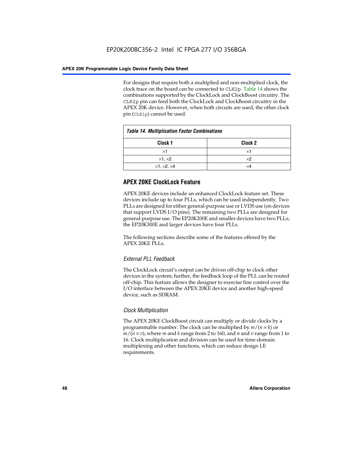For designs that require both a multiplied and non-multiplied clock, the clock trace on the board can be connected to CLK2p. Table 14 shows the combinations supported by the ClockLock and ClockBoost circuitry. The CLK2p pin can feed both the ClockLock and ClockBoost circuitry in the APEX 20K device. However, when both circuits are used, the other clock pin (CLK1p) cannot be used.

| <b>Table 14. Multiplication Factor Combinations</b> |                    |  |
|-----------------------------------------------------|--------------------|--|
| Clock 1                                             | Clock <sub>2</sub> |  |
| ×1                                                  | ×1                 |  |
| $\times$ 1, $\times$ 2                              | $\times 2$         |  |
| $\times$ 1, $\times$ 2, $\times$ 4                  | ×4                 |  |

# **APEX 20KE ClockLock Feature**

APEX 20KE devices include an enhanced ClockLock feature set. These devices include up to four PLLs, which can be used independently. Two PLLs are designed for either general-purpose use or LVDS use (on devices that support LVDS I/O pins). The remaining two PLLs are designed for general-purpose use. The EP20K200E and smaller devices have two PLLs; the EP20K300E and larger devices have four PLLs.

The following sections describe some of the features offered by the APEX 20KE PLLs.

# *External PLL Feedback*

The ClockLock circuit's output can be driven off-chip to clock other devices in the system; further, the feedback loop of the PLL can be routed off-chip. This feature allows the designer to exercise fine control over the I/O interface between the APEX 20KE device and another high-speed device, such as SDRAM.

# *Clock Multiplication*

The APEX 20KE ClockBoost circuit can multiply or divide clocks by a programmable number. The clock can be multiplied by *m*/(*n* × *k*) or  $m/(n \times v)$ , where *m* and *k* range from 2 to 160, and *n* and *v* range from 1 to 16. Clock multiplication and division can be used for time-domain multiplexing and other functions, which can reduce design LE requirements.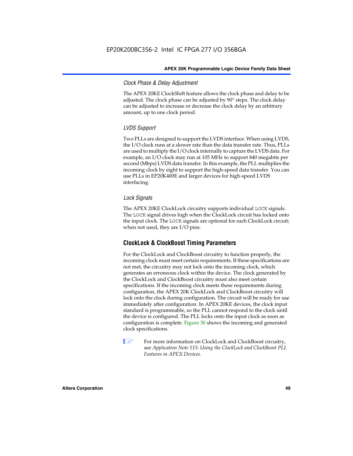# *Clock Phase & Delay Adjustment*

The APEX 20KE ClockShift feature allows the clock phase and delay to be adjusted. The clock phase can be adjusted by 90° steps. The clock delay can be adjusted to increase or decrease the clock delay by an arbitrary amount, up to one clock period.

# *LVDS Support*

Two PLLs are designed to support the LVDS interface. When using LVDS, the I/O clock runs at a slower rate than the data transfer rate. Thus, PLLs are used to multiply the I/O clock internally to capture the LVDS data. For example, an I/O clock may run at 105 MHz to support 840 megabits per second (Mbps) LVDS data transfer. In this example, the PLL multiplies the incoming clock by eight to support the high-speed data transfer. You can use PLLs in EP20K400E and larger devices for high-speed LVDS interfacing.

# *Lock Signals*

The APEX 20KE ClockLock circuitry supports individual LOCK signals. The LOCK signal drives high when the ClockLock circuit has locked onto the input clock. The LOCK signals are optional for each ClockLock circuit; when not used, they are I/O pins.

# **ClockLock & ClockBoost Timing Parameters**

For the ClockLock and ClockBoost circuitry to function properly, the incoming clock must meet certain requirements. If these specifications are not met, the circuitry may not lock onto the incoming clock, which generates an erroneous clock within the device. The clock generated by the ClockLock and ClockBoost circuitry must also meet certain specifications. If the incoming clock meets these requirements during configuration, the APEX 20K ClockLock and ClockBoost circuitry will lock onto the clock during configuration. The circuit will be ready for use immediately after configuration. In APEX 20KE devices, the clock input standard is programmable, so the PLL cannot respond to the clock until the device is configured. The PLL locks onto the input clock as soon as configuration is complete. Figure 30 shows the incoming and generated clock specifications.

 $\mathbb{I} \mathcal{F}$  For more information on ClockLock and ClockBoost circuitry, see *Application Note 115: Using the ClockLock and ClockBoost PLL Features in APEX Devices*.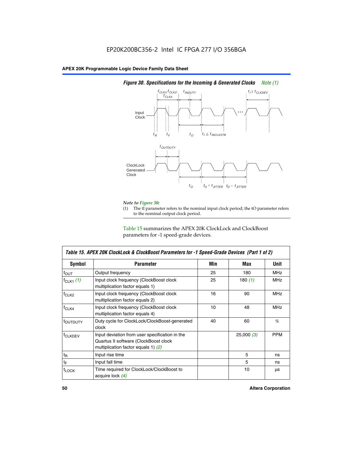

# *Figure 30. Specifications for the Incoming & Generated Clocks Note (1)*

# *Note to Figure 30:*

The tI parameter refers to the nominal input clock period; the tO parameter refers to the nominal output clock period.

Table 15 summarizes the APEX 20K ClockLock and ClockBoost parameters for -1 speed-grade devices.

| <b>Symbol</b>                                                                                                                                       | <b>Parameter</b>                                                                       | Min | Max        | <b>Unit</b> |
|-----------------------------------------------------------------------------------------------------------------------------------------------------|----------------------------------------------------------------------------------------|-----|------------|-------------|
| $f_{OUT}$                                                                                                                                           | Output frequency                                                                       | 25  | 180        | MHz         |
| $f_{CLK1}$ $(1)$                                                                                                                                    | Input clock frequency (ClockBoost clock<br>multiplication factor equals 1)             | 25  | 180 $(1)$  | <b>MHz</b>  |
| $f_{CLK2}$                                                                                                                                          | 16<br>Input clock frequency (ClockBoost clock<br>90<br>multiplication factor equals 2) |     | <b>MHz</b> |             |
| $f_{CLK4}$                                                                                                                                          | Input clock frequency (ClockBoost clock<br>multiplication factor equals 4)             | 10  | 48         | <b>MHz</b>  |
| toutputy                                                                                                                                            | Duty cycle for ClockLock/ClockBoost-generated<br>clock                                 |     | 60         | %           |
| Input deviation from user specification in the<br><b>f</b> CLKDEV<br>Quartus II software (ClockBoost clock<br>multiplication factor equals 1) $(2)$ |                                                                                        |     | 25,000(3)  | <b>PPM</b>  |
| $t_{\mathsf{R}}$                                                                                                                                    | Input rise time                                                                        |     | 5          | ns          |
| $t_{\mathsf{F}}$                                                                                                                                    | Input fall time                                                                        |     | 5          | ns          |
| <sup>t</sup> LOCK                                                                                                                                   | Time required for ClockLock/ClockBoost to<br>acquire lock (4)                          |     | 10         | μs          |

 $\mathsf I$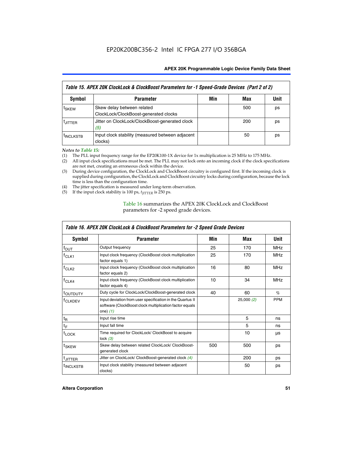| Table 15. APEX 20K ClockLock & ClockBoost Parameters for -1 Speed-Grade Devices (Part 2 of 2) |                                                                     |     |     |      |  |
|-----------------------------------------------------------------------------------------------|---------------------------------------------------------------------|-----|-----|------|--|
| <b>Symbol</b>                                                                                 | <b>Parameter</b>                                                    | Min | Max | Unit |  |
| t <sub>SKEW</sub>                                                                             | Skew delay between related<br>ClockLock/ClockBoost-generated clocks |     | 500 | ps   |  |
| <b>UITTER</b>                                                                                 | Jitter on ClockLock/ClockBoost-generated clock<br>(5)               |     | 200 | ps   |  |
| <b>INCLKSTB</b>                                                                               | Input clock stability (measured between adjacent<br>clocks)         |     | 50  | ps   |  |

*Notes to Table 15:*

- (1) The PLL input frequency range for the EP20K100-1X device for 1x multiplication is 25 MHz to 175 MHz.
- (2) All input clock specifications must be met. The PLL may not lock onto an incoming clock if the clock specifications are not met, creating an erroneous clock within the device.
- (3) During device configuration, the ClockLock and ClockBoost circuitry is configured first. If the incoming clock is supplied during configuration, the ClockLock and ClockBoost circuitry locks during configuration, because the lock time is less than the configuration time.
- (4) The jitter specification is measured under long-term observation.
- (5) If the input clock stability is 100 ps,  $t_{\text{JITTER}}$  is 250 ps.

# Table 16 summarizes the APEX 20K ClockLock and ClockBoost parameters for -2 speed grade devices.

| Symbol                                                                                                                                                    | <b>Parameter</b>                                                           | Min | Max       | Unit       |
|-----------------------------------------------------------------------------------------------------------------------------------------------------------|----------------------------------------------------------------------------|-----|-----------|------------|
| f <sub>ouт</sub>                                                                                                                                          | Output frequency                                                           | 25  | 170       | <b>MHz</b> |
| $f_{CLK1}$                                                                                                                                                | Input clock frequency (ClockBoost clock multiplication<br>factor equals 1) | 25  | 170       | <b>MHz</b> |
| $f_{CLK2}$                                                                                                                                                | Input clock frequency (ClockBoost clock multiplication<br>factor equals 2) |     | 80        | <b>MHz</b> |
| Input clock frequency (ClockBoost clock multiplication<br>$f_{CLK4}$<br>factor equals 4)                                                                  |                                                                            | 10  | 34        | <b>MHz</b> |
| <sup>t</sup> OUTDUTY                                                                                                                                      | Duty cycle for ClockLock/ClockBoost-generated clock                        | 40  | 60        | $\%$       |
| Input deviation from user specification in the Quartus II<br><sup>T</sup> CLKDEV<br>software (ClockBoost clock multiplication factor equals<br>one) $(1)$ |                                                                            |     | 25,000(2) | <b>PPM</b> |
| $t_{\mathsf{R}}$                                                                                                                                          | Input rise time                                                            |     | 5         | ns         |
| $t_F$                                                                                                                                                     | Input fall time                                                            |     | 5         | ns         |
| $t_{\text{LOCK}}$                                                                                                                                         | Time required for ClockLock/ ClockBoost to acquire<br>lock $(3)$           |     | 10        | μs         |
| t <sub>SKEW</sub>                                                                                                                                         | Skew delay between related ClockLock/ ClockBoost-<br>generated clock       | 500 | 500       | ps         |
| t <sub>JITTER</sub>                                                                                                                                       | Jitter on ClockLock/ ClockBoost-generated clock (4)                        |     | 200       | ps         |
| <sup>I</sup> INCLKSTB                                                                                                                                     | Input clock stability (measured between adjacent<br>clocks)                |     | 50        | ps         |

# *Table 16. APEX 20K ClockLock & ClockBoost Parameters for -2 Speed Grade Devices*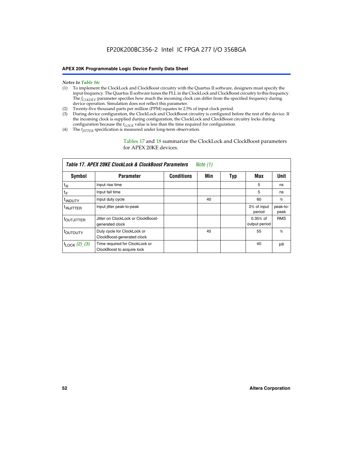#### *Notes to Table 16:*

- (1) To implement the ClockLock and ClockBoost circuitry with the Quartus II software, designers must specify the input frequency. The Quartus II software tunes the PLL in the ClockLock and ClockBoost circuitry to this frequency. The *f<sub>CLKDEV</sub>* parameter specifies how much the incoming clock can differ from the specified frequency during device operation. Simulation does not reflect this parameter.
- (2) Twenty-five thousand parts per million (PPM) equates to 2.5% of input clock period.
- (3) During device configuration, the ClockLock and ClockBoost circuitry is configured before the rest of the device. If the incoming clock is supplied during configuration, the ClockLock and ClockBoost circuitry locks during configuration because the  $t_{LOCK}$  value is less than the time required for configuration.
- (4) The  $t_{\text{ITTTER}}$  specification is measured under long-term observation.

Tables 17 and 18 summarize the ClockLock and ClockBoost parameters for APEX 20KE devices.

| Table 17. APEX 20KE ClockLock & ClockBoost Parameters<br>Note (1) |                                                              |                   |     |     |                             |                  |
|-------------------------------------------------------------------|--------------------------------------------------------------|-------------------|-----|-----|-----------------------------|------------------|
| Symbol                                                            | <b>Parameter</b>                                             | <b>Conditions</b> | Min | Typ | Max                         | <b>Unit</b>      |
| $t_{R}$                                                           | Input rise time                                              |                   |     |     | 5                           | ns               |
| tF                                                                | Input fall time                                              |                   |     |     | 5                           | ns               |
| <sup>t</sup> INDUTY                                               | Input duty cycle                                             |                   | 40  |     | 60                          | %                |
| <sup>t</sup> INJITTER                                             | Input jitter peak-to-peak                                    |                   |     |     | 2% of input<br>period       | peak-to-<br>peak |
| <sup>t</sup> OUTJITTER                                            | Jitter on ClockLock or ClockBoost-<br>generated clock        |                   |     |     | $0.35%$ of<br>output period | <b>RMS</b>       |
| toutbuty                                                          | Duty cycle for ClockLock or<br>ClockBoost-generated clock    |                   | 45  |     | 55                          | $\%$             |
| $t_{\text{LOCK}}$ (2), (3)                                        | Time required for ClockLock or<br>ClockBoost to acquire lock |                   |     |     | 40                          | μs               |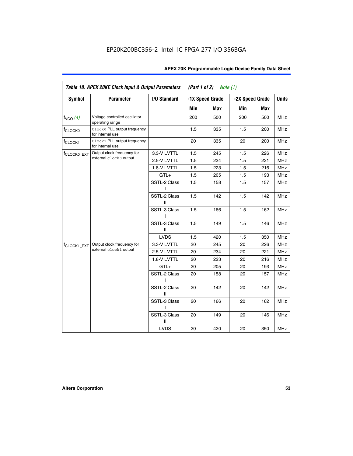| <b>Symbol</b>           | <b>Parameter</b>                                 | I/O Standard      |     | -1X Speed Grade |                 |     | <b>Units</b> |
|-------------------------|--------------------------------------------------|-------------------|-----|-----------------|-----------------|-----|--------------|
|                         |                                                  |                   |     |                 | -2X Speed Grade |     |              |
|                         |                                                  |                   | Min | Max             | Min             | Max |              |
| $f_{VCO}$ $(4)$         | Voltage controlled oscillator<br>operating range |                   | 200 | 500             | 200             | 500 | <b>MHz</b>   |
| f <sub>CLOCK0</sub>     | Clock0 PLL output frequency<br>for internal use  |                   | 1.5 | 335             | 1.5             | 200 | MHz          |
| f <sub>CLOCK1</sub>     | Clock1 PLL output frequency<br>for internal use  |                   | 20  | 335             | 20              | 200 | MHz          |
| f <sub>CLOCK0_EXT</sub> | Output clock frequency for                       | 3.3-V LVTTL       | 1.5 | 245             | 1.5             | 226 | <b>MHz</b>   |
|                         | external clock0 output                           | 2.5-V LVTTL       | 1.5 | 234             | 1.5             | 221 | <b>MHz</b>   |
|                         |                                                  | 1.8-V LVTTL       | 1.5 | 223             | 1.5             | 216 | <b>MHz</b>   |
|                         |                                                  | $GTL+$            | 1.5 | 205             | 1.5             | 193 | <b>MHz</b>   |
|                         |                                                  | SSTL-2 Class<br>L | 1.5 | 158             | 1.5             | 157 | <b>MHz</b>   |
|                         |                                                  | SSTL-2 Class<br>Ш | 1.5 | 142             | 1.5             | 142 | <b>MHz</b>   |
|                         |                                                  | SSTL-3 Class<br>I | 1.5 | 166             | 1.5             | 162 | <b>MHz</b>   |
|                         |                                                  | SSTL-3 Class<br>Ш | 1.5 | 149             | 1.5             | 146 | <b>MHz</b>   |
|                         |                                                  | <b>LVDS</b>       | 1.5 | 420             | 1.5             | 350 | <b>MHz</b>   |
| f <sub>CLOCK1_EXT</sub> | Output clock frequency for                       | 3.3-V LVTTL       | 20  | 245             | 20              | 226 | <b>MHz</b>   |
|                         | external clock1 output                           | 2.5-V LVTTL       | 20  | 234             | 20              | 221 | <b>MHz</b>   |
|                         |                                                  | 1.8-V LVTTL       | 20  | 223             | 20              | 216 | <b>MHz</b>   |
|                         |                                                  | $GTL+$            | 20  | 205             | 20              | 193 | MHz          |
|                         |                                                  | SSTL-2 Class      | 20  | 158             | 20              | 157 | <b>MHz</b>   |
|                         |                                                  | SSTL-2 Class<br>Ш | 20  | 142             | 20              | 142 | <b>MHz</b>   |
|                         |                                                  | SSTL-3 Class      | 20  | 166             | 20              | 162 | <b>MHz</b>   |
|                         |                                                  | SSTL-3 Class<br>Ш | 20  | 149             | 20              | 146 | <b>MHz</b>   |
|                         |                                                  | <b>LVDS</b>       | 20  | 420             | 20              | 350 | MHz          |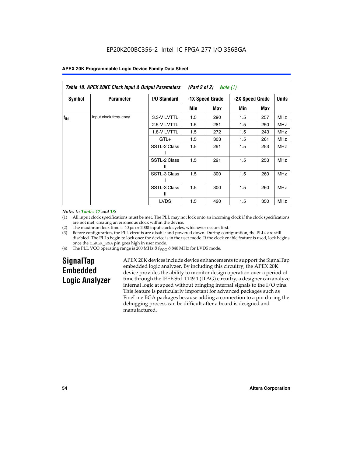| Table 18. APEX 20KE Clock Input & Output Parameters<br>(Part 2 of 2)<br>Note (1) |                       |                     |                 |     |                 |     |              |
|----------------------------------------------------------------------------------|-----------------------|---------------------|-----------------|-----|-----------------|-----|--------------|
| <b>Symbol</b>                                                                    | <b>Parameter</b>      | <b>I/O Standard</b> | -1X Speed Grade |     | -2X Speed Grade |     | <b>Units</b> |
|                                                                                  |                       |                     | Min             | Max | Min             | Max |              |
| $f_{IN}$                                                                         | Input clock frequency | 3.3-V LVTTL         | 1.5             | 290 | 1.5             | 257 | <b>MHz</b>   |
|                                                                                  |                       | 2.5-V LVTTL         | 1.5             | 281 | 1.5             | 250 | <b>MHz</b>   |
|                                                                                  |                       | 1.8-V LVTTL         | 1.5             | 272 | 1.5             | 243 | <b>MHz</b>   |
|                                                                                  |                       | $GTL+$              | 1.5             | 303 | 1.5             | 261 | <b>MHz</b>   |
|                                                                                  |                       | SSTL-2 Class        | 1.5             | 291 | 1.5             | 253 | <b>MHz</b>   |
|                                                                                  |                       | SSTL-2 Class<br>Ш   | 1.5             | 291 | 1.5             | 253 | <b>MHz</b>   |
|                                                                                  |                       | SSTL-3 Class        | 1.5             | 300 | 1.5             | 260 | <b>MHz</b>   |
|                                                                                  |                       | SSTL-3 Class<br>Ш   | 1.5             | 300 | 1.5             | 260 | <b>MHz</b>   |
|                                                                                  |                       | <b>LVDS</b>         | 1.5             | 420 | 1.5             | 350 | <b>MHz</b>   |

#### *Notes to Tables 17 and 18:*

(1) All input clock specifications must be met. The PLL may not lock onto an incoming clock if the clock specifications are not met, creating an erroneous clock within the device.

- (2) The maximum lock time is 40 µs or 2000 input clock cycles, whichever occurs first.
- (3) Before configuration, the PLL circuits are disable and powered down. During configuration, the PLLs are still disabled. The PLLs begin to lock once the device is in the user mode. If the clock enable feature is used, lock begins once the CLKLK\_ENA pin goes high in user mode.
- (4) The PLL VCO operating range is 200 MHz  $\eth$  f<sub>VCO</sub>  $\eth$  840 MHz for LVDS mode.

# **SignalTap Embedded Logic Analyzer**

APEX 20K devices include device enhancements to support the SignalTap embedded logic analyzer. By including this circuitry, the APEX 20K device provides the ability to monitor design operation over a period of time through the IEEE Std. 1149.1 (JTAG) circuitry; a designer can analyze internal logic at speed without bringing internal signals to the I/O pins. This feature is particularly important for advanced packages such as FineLine BGA packages because adding a connection to a pin during the debugging process can be difficult after a board is designed and manufactured.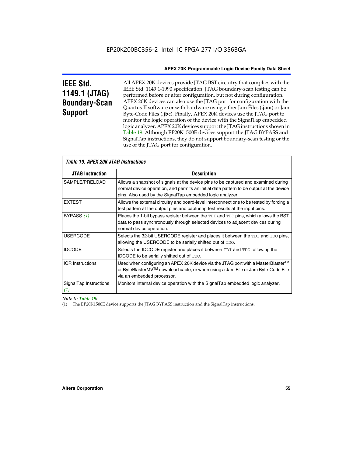# **IEEE Std. 1149.1 (JTAG) Boundary-Scan Support**

All APEX 20K devices provide JTAG BST circuitry that complies with the IEEE Std. 1149.1-1990 specification. JTAG boundary-scan testing can be performed before or after configuration, but not during configuration. APEX 20K devices can also use the JTAG port for configuration with the Quartus II software or with hardware using either Jam Files (**.jam**) or Jam Byte-Code Files (**.jbc**). Finally, APEX 20K devices use the JTAG port to monitor the logic operation of the device with the SignalTap embedded logic analyzer. APEX 20K devices support the JTAG instructions shown in Table 19. Although EP20K1500E devices support the JTAG BYPASS and SignalTap instructions, they do not support boundary-scan testing or the use of the JTAG port for configuration.

| <i><b>Table 19. APEX 20K JTAG Instructions</b></i> |                                                                                                                                                                                                                                            |  |  |
|----------------------------------------------------|--------------------------------------------------------------------------------------------------------------------------------------------------------------------------------------------------------------------------------------------|--|--|
| <b>JTAG Instruction</b>                            | <b>Description</b>                                                                                                                                                                                                                         |  |  |
| SAMPLE/PRELOAD                                     | Allows a snapshot of signals at the device pins to be captured and examined during<br>normal device operation, and permits an initial data pattern to be output at the device<br>pins. Also used by the SignalTap embedded logic analyzer. |  |  |
| <b>EXTEST</b>                                      | Allows the external circuitry and board-level interconnections to be tested by forcing a<br>test pattern at the output pins and capturing test results at the input pins.                                                                  |  |  |
| BYPASS (1)                                         | Places the 1-bit bypass register between the TDI and TDO pins, which allows the BST<br>data to pass synchronously through selected devices to adjacent devices during<br>normal device operation.                                          |  |  |
| <b>USERCODE</b>                                    | Selects the 32-bit USERCODE register and places it between the TDI and TDO pins,<br>allowing the USERCODE to be serially shifted out of TDO.                                                                                               |  |  |
| <b>IDCODE</b>                                      | Selects the IDCODE register and places it between TDI and TDO, allowing the<br><b>IDCODE</b> to be serially shifted out of TDO.                                                                                                            |  |  |
| <b>ICR Instructions</b>                            | Used when configuring an APEX 20K device via the JTAG port with a MasterBlaster™<br>or ByteBlasterMV™ download cable, or when using a Jam File or Jam Byte-Code File<br>via an embedded processor.                                         |  |  |
| SignalTap Instructions<br>(1)                      | Monitors internal device operation with the SignalTap embedded logic analyzer.                                                                                                                                                             |  |  |

# *Note to Table 19:*

(1) The EP20K1500E device supports the JTAG BYPASS instruction and the SignalTap instructions.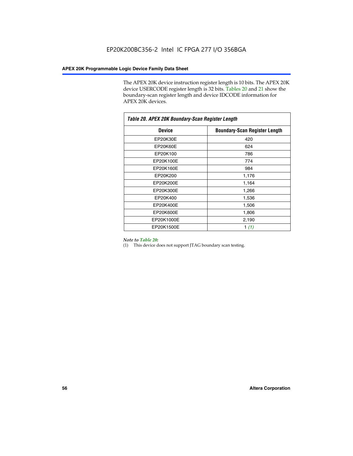The APEX 20K device instruction register length is 10 bits. The APEX 20K device USERCODE register length is 32 bits. Tables 20 and 21 show the boundary-scan register length and device IDCODE information for APEX 20K devices.

| Table 20. APEX 20K Boundary-Scan Register Length |                                      |  |  |  |
|--------------------------------------------------|--------------------------------------|--|--|--|
| <b>Device</b>                                    | <b>Boundary-Scan Register Length</b> |  |  |  |
| EP20K30E                                         | 420                                  |  |  |  |
| EP20K60E                                         | 624                                  |  |  |  |
| EP20K100                                         | 786                                  |  |  |  |
| EP20K100E                                        | 774                                  |  |  |  |
| EP20K160E                                        | 984                                  |  |  |  |
| EP20K200                                         | 1,176                                |  |  |  |
| EP20K200E                                        | 1,164                                |  |  |  |
| EP20K300E                                        | 1,266                                |  |  |  |
| EP20K400                                         | 1,536                                |  |  |  |
| EP20K400E                                        | 1,506                                |  |  |  |
| EP20K600E                                        | 1,806                                |  |  |  |
| EP20K1000E                                       | 2,190                                |  |  |  |
| EP20K1500E                                       | 1 $(1)$                              |  |  |  |

#### *Note to Table 20:*

(1) This device does not support JTAG boundary scan testing.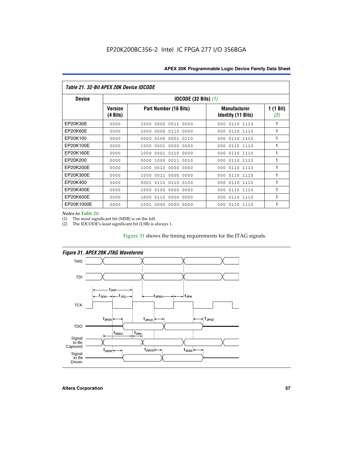| Table 21. 32-Bit APEX 20K Device IDCODE |                                          |                              |                                                  |                 |  |  |
|-----------------------------------------|------------------------------------------|------------------------------|--------------------------------------------------|-----------------|--|--|
| <b>Device</b>                           | <b>IDCODE (32 Bits) <math>(1)</math></b> |                              |                                                  |                 |  |  |
|                                         | <b>Version</b><br>(4 Bits)               | Part Number (16 Bits)        | <b>Manufacturer</b><br><b>Identity (11 Bits)</b> | 1(1 Bit)<br>(2) |  |  |
| EP20K30E                                | 0000                                     | 0000 0011 0000<br>1000       | 000<br>0110 1110                                 | 1               |  |  |
| EP20K60E                                | 0000                                     | 0000<br>0110<br>1000<br>0000 | 0110 1110<br>000                                 | 1               |  |  |
| EP20K100                                | 0000                                     | 0100<br>0000<br>0001 0110    | 000<br>0110 1110                                 | 1               |  |  |
| EP20K100E                               | 0000                                     | 0001 0000<br>0000<br>1000    | 0110 1110<br>000                                 | 1               |  |  |
| EP20K160E                               | 0000                                     | 0001 0110<br>0000<br>1000    | 0110 1110<br>000                                 | 1               |  |  |
| EP20K200                                | 0000                                     | 1000<br>0011 0010<br>0000    | 0110 1110<br>000                                 | 1               |  |  |
| EP20K200E                               | 0000                                     | 0010<br>0000 0000<br>1000    | 000<br>0110 1110                                 | 1               |  |  |
| EP20K300E                               | 0000                                     | 0011 0000<br>0000<br>1000    | 0110 1110<br>000                                 | 1               |  |  |
| EP20K400                                | 0000                                     | 0110<br>0110<br>0100<br>0001 | 0110 1110<br>000                                 | 1               |  |  |
| EP20K400E                               | 0000                                     | 0100<br>0000<br>0000<br>1000 | 0110 1110<br>000                                 | 1               |  |  |
| EP20K600E                               | 0000                                     | 1000<br>0110<br>0000<br>0000 | 0110 1110<br>000                                 | 1               |  |  |
| EP20K1000E                              | 0000                                     | 0000<br>0000<br>0000<br>1001 | 000<br>0110 1110                                 | 1               |  |  |

*Notes to Table 21:*

The most significant bit (MSB) is on the left.

(2) The IDCODE's least significant bit (LSB) is always 1.

# Figure 31 shows the timing requirements for the JTAG signals.



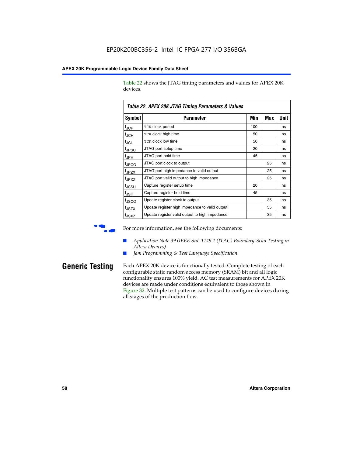Table 22 shows the JTAG timing parameters and values for APEX 20K devices.

|                   | TADIG LL. AF LA LUN JTAU THIIHIY FAIAHIGIGIS & VAIUGS |     |     |      |
|-------------------|-------------------------------------------------------|-----|-----|------|
| Symbol            | Parameter                                             | Min | Max | Unit |
| $t_{JCP}$         | <b>TCK clock period</b>                               | 100 |     | ns   |
| $t_{\text{JCH}}$  | TCK clock high time                                   | 50  |     | ns   |
| $t_{JCL}$         | TCK clock low time                                    | 50  |     | ns   |
| t <sub>JPSU</sub> | JTAG port setup time                                  | 20  |     | ns   |
| $t_{\rm JPH}$     | JTAG port hold time                                   | 45  |     | ns   |
| <sup>t</sup> JPCO | JTAG port clock to output                             |     | 25  | ns   |
| t <sub>JPZX</sub> | JTAG port high impedance to valid output              |     | 25  | ns   |
| t <sub>JPXZ</sub> | JTAG port valid output to high impedance              |     | 25  | ns   |
| tussu             | Capture register setup time                           | 20  |     | ns   |
| $t_{\rm JSH}$     | Capture register hold time                            | 45  |     | ns   |
| t <sub>JSCO</sub> | Update register clock to output                       |     | 35  | ns   |
| t <sub>JSZX</sub> | Update register high impedance to valid output        |     | 35  | ns   |
| t <sub>JSXZ</sub> | Update register valid output to high impedance        |     | 35  | ns   |

*Table 22. APEX 20K JTAG Timing Parameters & Values*

For more information, see the following documents:

- *Application Note 39 (IEEE Std. 1149.1 (JTAG) Boundary-Scan Testing in Altera Devices)*
- Jam Programming & Test Language Specification

**Generic Testing** Each APEX 20K device is functionally tested. Complete testing of each configurable static random access memory (SRAM) bit and all logic functionality ensures 100% yield. AC test measurements for APEX 20K devices are made under conditions equivalent to those shown in Figure 32. Multiple test patterns can be used to configure devices during all stages of the production flow.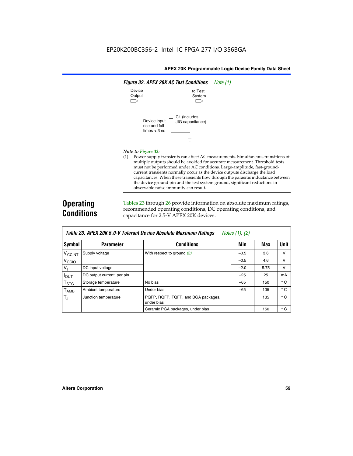

#### *Note to Figure 32:*

(1) Power supply transients can affect AC measurements. Simultaneous transitions of multiple outputs should be avoided for accurate measurement. Threshold tests must not be performed under AC conditions. Large-amplitude, fast-groundcurrent transients normally occur as the device outputs discharge the load capacitances. When these transients flow through the parasitic inductance between the device ground pin and the test system ground, significant reductions in observable noise immunity can result.

# **Operating Conditions**

Tables 23 through 26 provide information on absolute maximum ratings, recommended operating conditions, DC operating conditions, and capacitance for 2.5-V APEX 20K devices.

|                           |                            | TUDIO LO: TII LA LON 0.0 T TOIOIUM DOTIOO HIDOOIUW MUANMUM HUWMYO | $110100 + 11, 141$ |      |              |
|---------------------------|----------------------------|-------------------------------------------------------------------|--------------------|------|--------------|
| Symbol                    | <b>Parameter</b>           | <b>Conditions</b>                                                 | Min                | Max  | Unit         |
| V <sub>CCINT</sub>        | Supply voltage             | With respect to ground $(3)$                                      | $-0.5$             | 3.6  | v            |
| V <sub>CCIO</sub>         |                            |                                                                   | $-0.5$             | 4.6  | $\vee$       |
| $V_{1}$                   | DC input voltage           |                                                                   | $-2.0$             | 5.75 | v            |
| <b>IOUT</b>               | DC output current, per pin |                                                                   | $-25$              | 25   | mA           |
| $\mathsf{T}_{\text{STG}}$ | Storage temperature        | No bias                                                           | $-65$              | 150  | $^{\circ}$ C |
| Т <sub>АМВ</sub>          | Ambient temperature        | Under bias                                                        | $-65$              | 135  | $^{\circ}$ C |
| $T_J$                     | Junction temperature       | PQFP, RQFP, TQFP, and BGA packages,<br>under bias                 |                    | 135  | $^{\circ}$ C |
|                           |                            | Ceramic PGA packages, under bias                                  |                    | 150  | $^{\circ}$ C |

| <b>Table 23. APEX 20K 5.0-V Tolerant Device Absolute Maximum Ratings</b> Notes (1), (2) |  |
|-----------------------------------------------------------------------------------------|--|
|-----------------------------------------------------------------------------------------|--|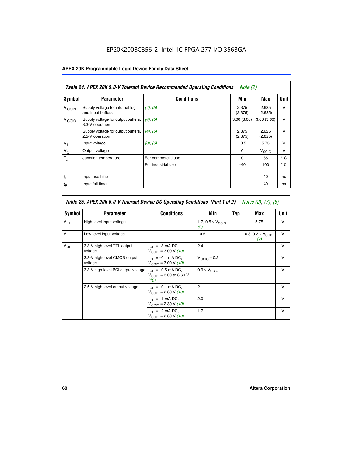# EP20K200BC356-2 Intel IC FPGA 277 I/O 356BGA

# **APEX 20K Programmable Logic Device Family Data Sheet**

|                          | Table 24. APEX 20K 5.0-V Tolerant Device Recommended Operating Conditions<br><i>Note</i> $(2)$ |                    |                  |                  |              |  |
|--------------------------|------------------------------------------------------------------------------------------------|--------------------|------------------|------------------|--------------|--|
| Symbol                   | <b>Parameter</b>                                                                               | <b>Conditions</b>  | Min              | Max              | <b>Unit</b>  |  |
| <b>V<sub>CCINT</sub></b> | Supply voltage for internal logic<br>and input buffers                                         | $(4)$ , $(5)$      | 2.375<br>(2.375) | 2.625<br>(2.625) | $\vee$       |  |
| V <sub>CCIO</sub>        | Supply voltage for output buffers,<br>3.3-V operation                                          | (4), (5)           | 3.00(3.00)       | 3.60(3.60)       | $\vee$       |  |
|                          | Supply voltage for output buffers,<br>2.5-V operation                                          | (4), (5)           | 2.375<br>(2.375) | 2.625<br>(2.625) | $\vee$       |  |
| $V_1$                    | Input voltage                                                                                  | (3), (6)           | $-0.5$           | 5.75             | $\vee$       |  |
| $V_{\rm O}$              | Output voltage                                                                                 |                    | $\Omega$         | V <sub>CCO</sub> | $\vee$       |  |
| $T_{\rm J}$              | Junction temperature                                                                           | For commercial use | 0                | 85               | $^{\circ}$ C |  |
|                          |                                                                                                | For industrial use | $-40$            | 100              | $^{\circ}$ C |  |
| $t_{R}$                  | Input rise time                                                                                |                    |                  | 40               | ns           |  |
| $t_{\mathsf{F}}$         | Input fall time                                                                                |                    |                  | 40               | ns           |  |

|                 | Table 25. APEX 20K 5.0-V Tolerant Device DC Operating Conditions (Part 1 of 2) Notes (2), (7), (8) |                                                                        |                                          |     |                                          |              |  |  |
|-----------------|----------------------------------------------------------------------------------------------------|------------------------------------------------------------------------|------------------------------------------|-----|------------------------------------------|--------------|--|--|
| Symbol          | <b>Parameter</b>                                                                                   | <b>Conditions</b>                                                      | Min                                      | Typ | Max                                      | Unit         |  |  |
| $V_{\text{IH}}$ | High-level input voltage                                                                           |                                                                        | 1.7, $0.5 \times V_{\text{CCIO}}$<br>(9) |     | 5.75                                     | $\mathsf{V}$ |  |  |
| $V_{\parallel}$ | Low-level input voltage                                                                            |                                                                        | $-0.5$                                   |     | 0.8, $0.3 \times V_{\text{CCIO}}$<br>(9) | $\mathsf{V}$ |  |  |
| $V_{OH}$        | 3.3-V high-level TTL output<br>voltage                                                             | $I_{OH} = -8$ mA DC,<br>$V_{\text{CCIO}} = 3.00 V (10)$                | 2.4                                      |     |                                          | $\mathsf{V}$ |  |  |
|                 | 3.3-V high-level CMOS output<br>voltage                                                            | $I_{OH} = -0.1$ mA DC,<br>$V_{\text{CCIO}} = 3.00 \text{ V} (10)$      | $V_{\text{CCIO}} - 0.2$                  |     |                                          | $\mathsf{v}$ |  |  |
|                 | 3.3-V high-level PCI output voltage                                                                | $I_{OH} = -0.5$ mA DC,<br>$V_{\text{GClO}} = 3.00$ to 3.60 V<br>(10)   | $0.9 \times V_{\text{CCIO}}$             |     |                                          | $\mathsf{V}$ |  |  |
|                 | 2.5-V high-level output voltage                                                                    | $I_{OH} = -0.1$ mA DC,<br>$V_{\text{CCIO}} = 2.30 \text{ V} (10)$      | 2.1                                      |     |                                          | $\mathsf{V}$ |  |  |
|                 |                                                                                                    | $I_{\text{OH}} = -1 \text{ mA DC},$<br>$V_{\text{CCIO}} = 2.30 V (10)$ | 2.0                                      |     |                                          | v            |  |  |
|                 |                                                                                                    | $I_{OH} = -2$ mA DC,<br>$V_{\text{CCIO}} = 2.30 V (10)$                | 1.7                                      |     |                                          | v            |  |  |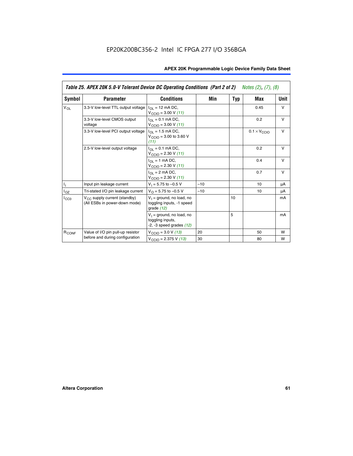|                   | Table 25. APEX 20K 5.0-V Tolerant Device DC Operating Conditions (Part 2 of 2) Notes (2), (7), (8) |                                                                                    |       |     |                              |        |  |
|-------------------|----------------------------------------------------------------------------------------------------|------------------------------------------------------------------------------------|-------|-----|------------------------------|--------|--|
| Symbol            | <b>Parameter</b>                                                                                   | <b>Conditions</b>                                                                  | Min   | Typ | Max                          | Unit   |  |
| $V_{OL}$          | 3.3-V low-level TTL output voltage                                                                 | $I_{\Omega}$ = 12 mA DC,<br>$V_{\text{CCIO}} = 3.00 V (11)$                        |       |     | 0.45                         | $\vee$ |  |
|                   | 3.3-V low-level CMOS output<br>voltage                                                             | $I_{\Omega I} = 0.1$ mA DC,<br>$V_{\text{CCIO}} = 3.00 V (11)$                     |       |     | 0.2                          | $\vee$ |  |
|                   | 3.3-V low-level PCI output voltage                                                                 | $I_{\Omega}$ = 1.5 mA DC,<br>$V_{CClO}$ = 3.00 to 3.60 V<br>(11)                   |       |     | $0.1 \times V_{\text{CCLO}}$ | $\vee$ |  |
|                   | 2.5-V low-level output voltage                                                                     | $I_{\Omega I} = 0.1$ mA DC,<br>$V_{\text{CCIO}} = 2.30 V (11)$                     |       |     | 0.2                          | $\vee$ |  |
|                   |                                                                                                    | $I_{\Omega}$ = 1 mA DC,<br>$V_{\text{CCIO}} = 2.30 V (11)$                         |       |     | 0.4                          | $\vee$ |  |
|                   |                                                                                                    | $I_{\Omega}$ = 2 mA DC,<br>$V_{\text{CCIO}} = 2.30 V (11)$                         |       |     | 0.7                          | $\vee$ |  |
| Τ,                | Input pin leakage current                                                                          | $V_1 = 5.75$ to $-0.5$ V                                                           | $-10$ |     | 10                           | μA     |  |
| $I_{OZ}$          | Tri-stated I/O pin leakage current                                                                 | $V_{\Omega}$ = 5.75 to -0.5 V                                                      | $-10$ |     | 10                           | μA     |  |
| $I_{CC0}$         | $V_{CC}$ supply current (standby)<br>(All ESBs in power-down mode)                                 | $V_1$ = ground, no load, no<br>toggling inputs, -1 speed<br>grade $(12)$           |       | 10  |                              | mA     |  |
|                   |                                                                                                    | $V_1$ = ground, no load, no<br>toggling inputs,<br>$-2$ , $-3$ speed grades $(12)$ |       | 5   |                              | mA     |  |
| R <sub>CONF</sub> | Value of I/O pin pull-up resistor                                                                  | $V_{\text{CCIO}} = 3.0 V (13)$                                                     | 20    |     | 50                           | W      |  |
|                   | before and during configuration                                                                    | $V_{\text{CCIO}} = 2.375 \text{ V} (13)$                                           | 30    |     | 80                           | W      |  |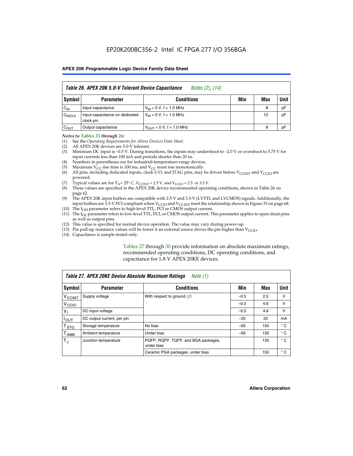|                    | Table 26. APEX 20K 5.0-V Tolerant Device Capacitance<br>Notes (2), (14) |                               |     |     |      |  |
|--------------------|-------------------------------------------------------------------------|-------------------------------|-----|-----|------|--|
| <b>Symbol</b>      | <b>Parameter</b>                                                        | <b>Conditions</b>             | Min | Max | Unit |  |
| $C_{IN}$           | Input capacitance                                                       | $V_{IN} = 0 V$ , f = 1.0 MHz  |     | 8   | pF   |  |
| C <sub>INCLK</sub> | Input capacitance on dedicated<br>clock pin                             | $V_{IN} = 0 V$ , f = 1.0 MHz  |     | 12  | pF   |  |
| $C_{OUT}$          | Output capacitance                                                      | $V_{OUIT} = 0 V, f = 1.0 MHz$ |     | 8   | pF   |  |

#### *Notes to Tables 23 through 26:*

- (1) See the *Operating Requirements for Altera Devices Data Sheet*.
- (2) All APEX 20K devices are 5.0-V tolerant.
- (3) Minimum DC input is –0.5 V. During transitions, the inputs may undershoot to –2.0 V or overshoot to 5.75 V for input currents less than 100 mA and periods shorter than 20 ns.
- (4) Numbers in parentheses are for industrial-temperature-range devices.
- (5) Maximum  $V_{CC}$  rise time is 100 ms, and  $V_{CC}$  must rise monotonically.<br>(6) All pins, including dedicated inputs, clock I/O, and JTAG pins, may b
- All pins, including dedicated inputs, clock I/O, and JTAG pins, may be driven before  $V_{\text{CCINT}}$  and  $V_{\text{CCIO}}$  are powered.
- (7) Typical values are for  $T_A = 25^\circ$  C, V<sub>CCINT</sub> = 2.5 V, and V<sub>CCIO</sub> = 2.5 or 3.3 V.<br>(8) These values are specified in the APEX 20K device recommended operat
- These values are specified in the APEX 20K device recommended operating conditions, shown in Table 26 on page 62.
- (9) The APEX 20K input buffers are compatible with 2.5-V and 3.3-V (LVTTL and LVCMOS) signals. Additionally, the input buffers are 3.3-V PCI compliant when  $V_{\text{CCIO}}$  and  $V_{\text{CCINI}}$  meet the relationship shown in Figure 33 on page 68.
- (10) The  $I<sub>OH</sub>$  parameter refers to high-level TTL, PCI or CMOS output current.
- (11) The I<sub>OL</sub> parameter refers to low-level TTL, PCI, or CMOS output current. This parameter applies to open-drain pins as well as output pins.
- (12) This value is specified for normal device operation. The value may vary during power-up.
- (13) Pin pull-up resistance values will be lower if an external source drives the pin higher than  $V_{\text{CCIO}}$ .
- (14) Capacitance is sample-tested only.

Tables 27 through 30 provide information on absolute maximum ratings, recommended operating conditions, DC operating conditions, and capacitance for 1.8-V APEX 20KE devices.

|                             | Table 27. APEX 20KE Device Absolute Maximum Ratings<br>Note (1) |                                                   |        |     |              |  |  |
|-----------------------------|-----------------------------------------------------------------|---------------------------------------------------|--------|-----|--------------|--|--|
| Symbol                      | <b>Parameter</b>                                                | <b>Conditions</b>                                 | Min    | Max | Unit         |  |  |
| $V_{\text{CCINT}}$          | Supply voltage                                                  | With respect to ground (2)                        | $-0.5$ | 2.5 | v            |  |  |
| V <sub>CCIO</sub>           |                                                                 |                                                   | $-0.5$ | 4.6 | v            |  |  |
| $V_{1}$                     | DC input voltage                                                |                                                   | $-0.5$ | 4.6 | $\vee$       |  |  |
| $I_{OUT}$                   | DC output current, per pin                                      |                                                   | $-25$  | 25  | mA           |  |  |
| $\mathsf{T}_{\texttt{STG}}$ | Storage temperature                                             | No bias                                           | $-65$  | 150 | $^{\circ}$ C |  |  |
| Т <sub>АМВ</sub>            | Ambient temperature                                             | Under bias                                        | $-65$  | 135 | $^{\circ}$ C |  |  |
| $\mathsf{T}_{\text{d}}$     | Junction temperature                                            | PQFP, RQFP, TQFP, and BGA packages,<br>under bias |        | 135 | $^{\circ}$ C |  |  |
|                             |                                                                 | Ceramic PGA packages, under bias                  |        | 150 | $^{\circ}$ C |  |  |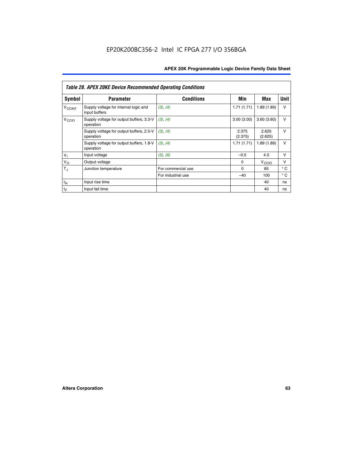|                             | <b>Table 28. APEX 20KE Device Recommended Operating Conditions</b> |                    |                  |                   |              |  |  |
|-----------------------------|--------------------------------------------------------------------|--------------------|------------------|-------------------|--------------|--|--|
| <b>Symbol</b>               | <b>Parameter</b>                                                   | <b>Conditions</b>  | Min              | Max               | <b>Unit</b>  |  |  |
| <b>V<sub>CCINT</sub></b>    | Supply voltage for internal logic and<br>input buffers             | (3), (4)           | 1.71(1.71)       | 1.89(1.89)        | $\vee$       |  |  |
| V <sub>CCIO</sub>           | Supply voltage for output buffers, 3.3-V<br>operation              | (3), (4)           | 3.00(3.00)       | 3.60(3.60)        | $\vee$       |  |  |
|                             | Supply voltage for output buffers, 2.5-V<br>operation              | (3), (4)           | 2.375<br>(2.375) | 2.625<br>(2.625)  | $\vee$       |  |  |
|                             | Supply voltage for output buffers, 1.8-V<br>operation              | (3), (4)           | 1.71(1.71)       | 1.89(1.89)        | $\vee$       |  |  |
| $V_1$                       | Input voltage                                                      | (5), (6)           | $-0.5$           | 4.0               | $\vee$       |  |  |
| $V_{\rm O}$                 | Output voltage                                                     |                    | $\Omega$         | V <sub>CCIO</sub> | v            |  |  |
| $T_{\rm J}$                 | Junction temperature                                               | For commercial use | $\Omega$         | 85                | $^{\circ}$ C |  |  |
|                             |                                                                    | For industrial use | $-40$            | 100               | $^{\circ}$ C |  |  |
| $t_{R}$                     | Input rise time                                                    |                    |                  | 40                | ns           |  |  |
| $\mathfrak{t}_{\mathsf{F}}$ | Input fall time                                                    |                    |                  | 40                | ns           |  |  |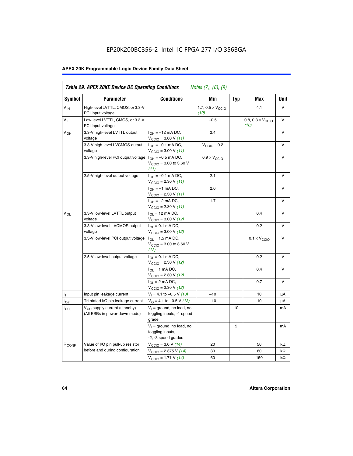# EP20K200BC356-2 Intel IC FPGA 277 I/O 356BGA

# **APEX 20K Programmable Logic Device Family Data Sheet**

| Symbol            | <b>Parameter</b>                                                   | <b>Conditions</b>                                                                                    | Min                                       | <b>Typ</b> | Max                                       | Unit      |
|-------------------|--------------------------------------------------------------------|------------------------------------------------------------------------------------------------------|-------------------------------------------|------------|-------------------------------------------|-----------|
| $V_{\text{IH}}$   | High-level LVTTL, CMOS, or 3.3-V<br>PCI input voltage              |                                                                                                      | 1.7, $0.5 \times V_{\text{CCIO}}$<br>(10) |            | 4.1                                       | V         |
| $V_{IL}$          | Low-level LVTTL, CMOS, or 3.3-V<br>PCI input voltage               |                                                                                                      | $-0.5$                                    |            | 0.8, $0.3 \times V_{\text{CCIO}}$<br>(10) | $\vee$    |
| $V_{OH}$          | 3.3-V high-level LVTTL output<br>voltage                           | $I_{OH} = -12$ mA DC,<br>$V_{\text{CCIO}}$ = 3.00 V (11)                                             | 2.4                                       |            |                                           | v         |
|                   | 3.3-V high-level LVCMOS output<br>voltage                          | $I_{OH} = -0.1$ mA DC,<br>$V_{\text{CCIO}} = 3.00 \text{ V} (11)$                                    | $V_{\text{CCIO}} - 0.2$                   |            |                                           | v         |
|                   | 3.3-V high-level PCI output voltage $1_{OH} = -0.5$ mA DC,         | $V_{\text{CGIO}} = 3.00$ to 3.60 V<br>(11)                                                           | $0.9 \times V_{\text{CCIO}}$              |            |                                           | $\vee$    |
|                   | 2.5-V high-level output voltage                                    | $I_{OH} = -0.1$ mA DC,<br>$V_{\text{CCIO}} = 2.30 V (11)$                                            | 2.1                                       |            |                                           | v         |
|                   |                                                                    | $I_{OH} = -1$ mA DC,<br>$V_{\text{CCIO}} = 2.30 V (11)$                                              | 2.0                                       |            |                                           | $\vee$    |
|                   |                                                                    | $I_{OH} = -2$ mA DC,<br>$V_{\text{CCIO}}$ = 2.30 V (11)                                              | 1.7                                       |            |                                           | v         |
| $V_{OL}$          | 3.3-V low-level LVTTL output<br>voltage                            | $I_{\text{OL}} = 12 \text{ mA DC}$ ,<br>$V_{\text{CCIO}} = 3.00 V (12)$                              |                                           |            | 0.4                                       | $\vee$    |
|                   | 3.3-V low-level LVCMOS output<br>voltage                           | $I_{\Omega} = 0.1$ mA DC,<br>$V_{\text{CCIO}} = 3.00 V (12)$                                         |                                           |            | 0.2                                       | $\vee$    |
|                   | 3.3-V low-level PCI output voltage                                 | $I_{\text{OL}} = 1.5 \text{ mA DC}$ ,<br>$V_{\text{CCIO}} = 3.00 \text{ to } 3.60 \text{ V}$<br>(12) |                                           |            | $0.1 \times V_{\text{CCIO}}$              | V         |
|                   | 2.5-V low-level output voltage                                     | $I_{OL} = 0.1$ mA DC,<br>V <sub>CCIO</sub> = 2.30 V (12)                                             |                                           |            | 0.2                                       | v         |
|                   |                                                                    | $I_{\Omega}$ = 1 mA DC,<br>$V_{\text{CCIO}} = 2.30 V (12)$                                           |                                           |            | 0.4                                       | v         |
|                   |                                                                    | $I_{\Omega} = 2 \text{ mA DC},$<br>$V_{\text{CCIO}}$ = 2.30 V (12)                                   |                                           |            | 0.7                                       | v         |
| Ъ.                | Input pin leakage current                                          | $V_1 = 4.1$ to -0.5 V (13)                                                                           | $-10$                                     |            | 10                                        | μA        |
| $I_{OZ}$          | Tri-stated I/O pin leakage current                                 | $V_{\Omega}$ = 4.1 to -0.5 V (13)                                                                    | $-10$                                     |            | 10                                        | μA        |
| ICCO              | $V_{CC}$ supply current (standby)<br>(All ESBs in power-down mode) | $V_1$ = ground, no load, no<br>toggling inputs, -1 speed<br>grade                                    |                                           | 10         |                                           | mA        |
|                   |                                                                    | $V_1$ = ground, no load, no<br>toggling inputs,<br>-2, -3 speed grades                               |                                           | 5          |                                           | mA        |
| R <sub>CONF</sub> | Value of I/O pin pull-up resistor                                  | $V_{\text{CCIO}} = 3.0 V (14)$                                                                       | 20                                        |            | 50                                        | $k\Omega$ |
|                   | before and during configuration                                    | $V_{\text{CGIO}} = 2.375 V (14)$                                                                     | 30                                        |            | 80                                        | kΩ        |
|                   |                                                                    | $V_{\text{CCIO}} = 1.71 V (14)$                                                                      | 60                                        |            | 150                                       | $k\Omega$ |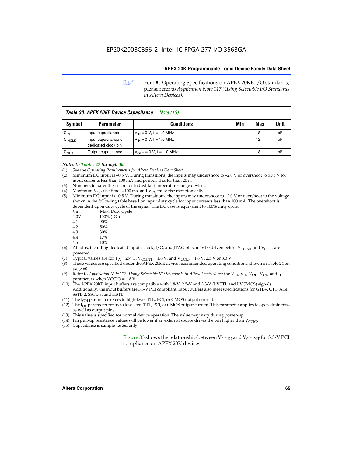**1 For DC Operating Specifications on APEX 20KE I/O standards,** please refer to *Application Note 117 (Using Selectable I/O Standards in Altera Devices).*

| Table 30. APEX 20KE Device Capacitance<br><i>Note</i> (15) |                                             |                               |     |     |      |  |
|------------------------------------------------------------|---------------------------------------------|-------------------------------|-----|-----|------|--|
| Symbol                                                     | <b>Parameter</b>                            | <b>Conditions</b>             | Min | Max | Unit |  |
| $C_{IN}$                                                   | Input capacitance                           | $V_{IN} = 0 V$ , f = 1.0 MHz  |     | 8   | pF   |  |
| $C_{\text{INCLK}}$                                         | Input capacitance on<br>dedicated clock pin | $V_{IN} = 0 V$ , f = 1.0 MHz  |     | 12  | pF   |  |
| $C_{\text{OUT}}$                                           | Output capacitance                          | $V_{OUT} = 0 V$ , f = 1.0 MHz |     | 8   | рF   |  |

# *Notes to Tables 27 through 30:*

- (1) See the *Operating Requirements for Altera Devices Data Sheet*.
- (2) Minimum DC input is –0.5 V. During transitions, the inputs may undershoot to –2.0 V or overshoot to 5.75 V for input currents less than 100 mA and periods shorter than 20 ns.
- (3) Numbers in parentheses are for industrial-temperature-range devices.
- (4) Maximum  $V_{CC}$  rise time is 100 ms, and  $V_{CC}$  must rise monotonically.<br>(5) Minimum DC input is -0.5 V. During transitions, the inputs may und
- Minimum DC input is  $-0.5$  V. During transitions, the inputs may undershoot to  $-2.0$  V or overshoot to the voltage shown in the following table based on input duty cycle for input currents less than 100 mA. The overshoot is dependent upon duty cycle of the signal. The DC case is equivalent to 100% duty cycle.

| Vin  | Max. Duty Cycle |
|------|-----------------|
| 4.0V | 100% (DC)       |
| 4.1  | 90%             |
| 4.2  | 50%             |
| 4.3  | 30%             |
|      |                 |

- 4.4  $17\%$ <br>4.5  $10\%$
- 10%
- (6) All pins, including dedicated inputs, clock, I/O, and JTAG pins, may be driven before  $V_{\text{CCINT}}$  and  $V_{\text{CCIO}}$  are powered.
- (7) Typical values are for  $T_A = 25^\circ$  C, V<sub>CCINT</sub> = 1.8 V, and V<sub>CCIO</sub> = 1.8 V, 2.5 V or 3.3 V.
- (8) These values are specified under the APEX 20KE device recommended operating conditions, shown in Table 24 on page 60.
- (9) Refer to *Application Note 117 (Using Selectable I/O Standards in Altera Devices)* for the V<sub>IH</sub>, V<sub>IL</sub>, V<sub>OH</sub>, V<sub>OL</sub>, and I<sub>I</sub> parameters when VCCIO = 1.8 V.
- (10) The APEX 20KE input buffers are compatible with 1.8-V, 2.5-V and 3.3-V (LVTTL and LVCMOS) signals. Additionally, the input buffers are 3.3-V PCI compliant. Input buffers also meet specifications for GTL+, CTT, AGP, SSTL-2, SSTL-3, and HSTL.
- (11) The  $I_{OH}$  parameter refers to high-level TTL, PCI, or CMOS output current.
- (12) The I<sub>OL</sub> parameter refers to low-level TTL, PCI, or CMOS output current. This parameter applies to open-drain pins as well as output pins.
- (13) This value is specified for normal device operation. The value may vary during power-up.
- (14) Pin pull-up resistance values will be lower if an external source drives the pin higher than  $V_{CCIO}$ .
- (15) Capacitance is sample-tested only.

Figure 33 shows the relationship between  $V_{\text{CCIO}}$  and  $V_{\text{CCINT}}$  for 3.3-V PCI compliance on APEX 20K devices.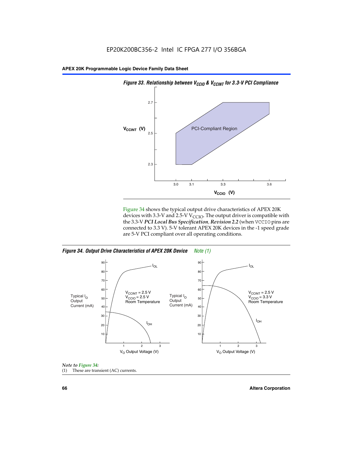

Figure 34 shows the typical output drive characteristics of APEX 20K devices with 3.3-V and 2.5-V V<sub>CCIO</sub>. The output driver is compatible with the 3.3-V *PCI Local Bus Specification, Revision 2.2* (when VCCIO pins are connected to 3.3 V). 5-V tolerant APEX 20K devices in the -1 speed grade are 5-V PCI compliant over all operating conditions.

*Figure 34. Output Drive Characteristics of APEX 20K Device Note (1)*





**66 Altera Corporation**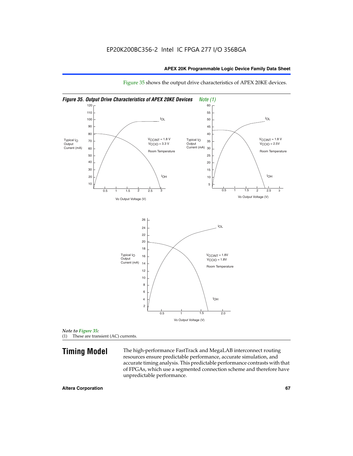

Figure 35 shows the output drive characteristics of APEX 20KE devices.

*Note to Figure 35:* (1) These are transient (AC) currents.

**Timing Model** The high-performance FastTrack and MegaLAB interconnect routing resources ensure predictable performance, accurate simulation, and accurate timing analysis. This predictable performance contrasts with that of FPGAs, which use a segmented connection scheme and therefore have unpredictable performance.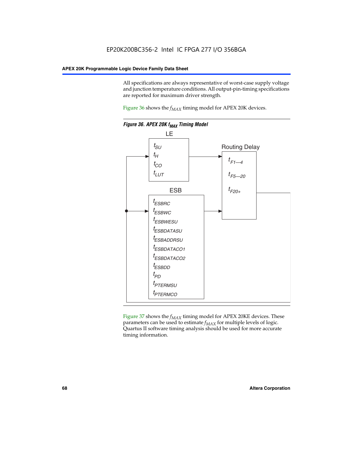All specifications are always representative of worst-case supply voltage and junction temperature conditions. All output-pin-timing specifications are reported for maximum driver strength.

Figure  $36$  shows the  $f_{MAX}$  timing model for APEX 20K devices.



Figure 37 shows the  $f_{MAX}$  timing model for APEX 20KE devices. These parameters can be used to estimate  $f_{MAX}$  for multiple levels of logic. Quartus II software timing analysis should be used for more accurate timing information.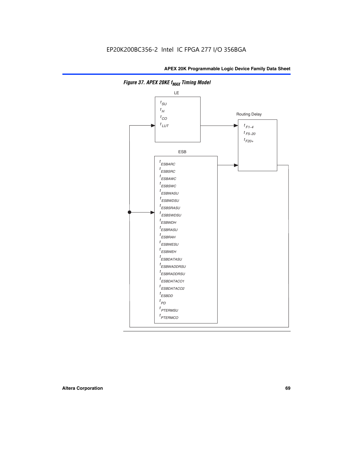

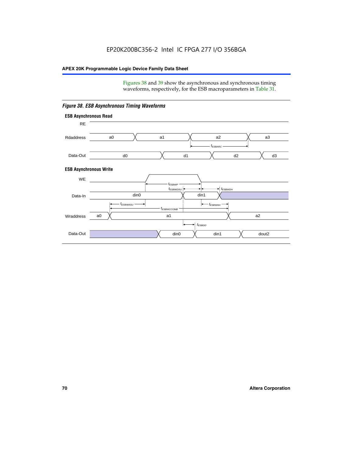Figures 38 and 39 show the asynchronous and synchronous timing waveforms, respectively, for the ESB macroparameters in Table 31.



*Figure 38. ESB Asynchronous Timing Waveforms*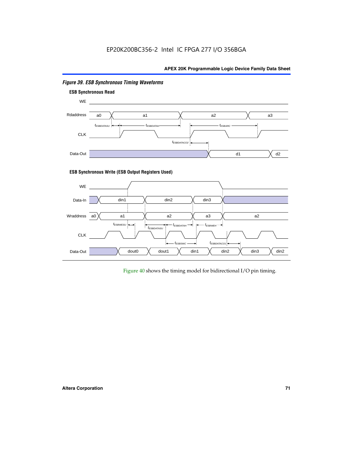

# *Figure 39. ESB Synchronous Timing Waveforms*

# **ESB Synchronous Write (ESB Output Registers Used)**



Figure 40 shows the timing model for bidirectional I/O pin timing.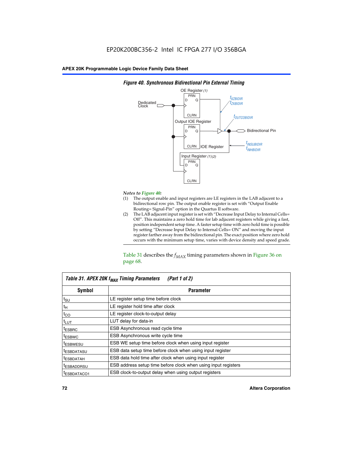

### *Figure 40. Synchronous Bidirectional Pin External Timing*

# *Notes to Figure 40:*

- The output enable and input registers are LE registers in the LAB adjacent to a bidirectional row pin. The output enable register is set with "Output Enable Routing= Signal-Pin" option in the Quartus II software.
- (2) The LAB adjacent input register is set with "Decrease Input Delay to Internal Cells= Off". This maintains a zero hold time for lab adjacent registers while giving a fast, position independent setup time. A faster setup time with zero hold time is possible by setting "Decrease Input Delay to Internal Cells= ON" and moving the input register farther away from the bidirectional pin. The exact position where zero hold occurs with the minimum setup time, varies with device density and speed grade.

Table 31 describes the  $f_{MAX}$  timing parameters shown in Figure 36 on page 68.

| Table 31. APEX 20K f <sub>MAX</sub> Timing Parameters<br>(Part 1 of 2) |                                                                |  |  |  |  |
|------------------------------------------------------------------------|----------------------------------------------------------------|--|--|--|--|
| Symbol                                                                 | <b>Parameter</b>                                               |  |  |  |  |
| $t_{\text{SU}}$                                                        | LE register setup time before clock                            |  |  |  |  |
| $t_H$                                                                  | LE register hold time after clock                              |  |  |  |  |
| $t_{CO}$                                                               | LE register clock-to-output delay                              |  |  |  |  |
| t <sub>LUT</sub>                                                       | LUT delay for data-in                                          |  |  |  |  |
| <sup>t</sup> ESBRC                                                     | ESB Asynchronous read cycle time                               |  |  |  |  |
| <sup>t</sup> ESBWC                                                     | ESB Asynchronous write cycle time                              |  |  |  |  |
| <sup>t</sup> ESBWESU                                                   | ESB WE setup time before clock when using input register       |  |  |  |  |
| <sup>t</sup> ESBDATASU                                                 | ESB data setup time before clock when using input register     |  |  |  |  |
| <sup>t</sup> ESBDATAH                                                  | ESB data hold time after clock when using input register       |  |  |  |  |
| <sup>t</sup> ESBADDRSU                                                 | ESB address setup time before clock when using input registers |  |  |  |  |
| ESBDATACO1                                                             | ESB clock-to-output delay when using output registers          |  |  |  |  |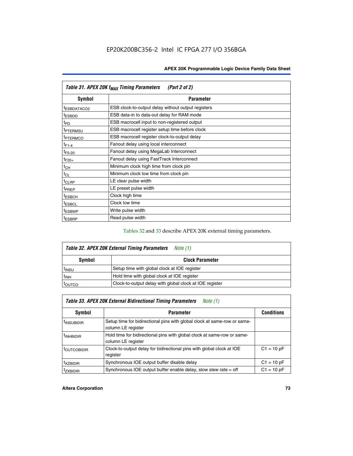| Table 31. APEX 20K f <sub>MAX</sub> Timing Parameters<br>(Part 2 of 2) |                                                    |  |  |  |  |
|------------------------------------------------------------------------|----------------------------------------------------|--|--|--|--|
| Symbol                                                                 | <b>Parameter</b>                                   |  |  |  |  |
| t <sub>ESBDATACO2</sub>                                                | ESB clock-to-output delay without output registers |  |  |  |  |
| <sup>t</sup> ESBDD                                                     | ESB data-in to data-out delay for RAM mode         |  |  |  |  |
| t <sub>PD</sub>                                                        | ESB macrocell input to non-registered output       |  |  |  |  |
| <sup>t</sup> PTERMSU                                                   | ESB macrocell register setup time before clock     |  |  |  |  |
| <sup>t</sup> PTERMCO                                                   | ESB macrocell register clock-to-output delay       |  |  |  |  |
| $t_{F1-4}$                                                             | Fanout delay using local interconnect              |  |  |  |  |
| $t_{F5-20}$                                                            | Fanout delay using MegaLab Interconnect            |  |  |  |  |
| $t_{F20+}$                                                             | Fanout delay using FastTrack Interconnect          |  |  |  |  |
| $t_{CH}$                                                               | Minimum clock high time from clock pin             |  |  |  |  |
| $t_{CL}$                                                               | Minimum clock low time from clock pin              |  |  |  |  |
| $t_{CLRP}$                                                             | LE clear pulse width                               |  |  |  |  |
| t <sub>PREP</sub>                                                      | LE preset pulse width                              |  |  |  |  |
| <sup>t</sup> ESBCH                                                     | Clock high time                                    |  |  |  |  |
| <sup>t</sup> ESBCL                                                     | Clock low time                                     |  |  |  |  |
| <sup>t</sup> ESBWP                                                     | Write pulse width                                  |  |  |  |  |
| <sup>t</sup> ESBRP                                                     | Read pulse width                                   |  |  |  |  |

## Tables 32 and 33 describe APEX 20K external timing parameters.

| Table 32. APEX 20K External Timing Parameters<br>Note (1) |                                                         |  |  |  |
|-----------------------------------------------------------|---------------------------------------------------------|--|--|--|
| Symbol                                                    | <b>Clock Parameter</b>                                  |  |  |  |
| <sup>t</sup> insu                                         | Setup time with global clock at IOE register            |  |  |  |
| $t_{\mathsf{INH}}$                                        | Hold time with global clock at IOE register             |  |  |  |
| toutco                                                    | Clock-to-output delay with global clock at IOE register |  |  |  |

| Table 33. APEX 20K External Bidirectional Timing Parameters<br>Note (1) |                                                                                                |              |  |  |  |  |
|-------------------------------------------------------------------------|------------------------------------------------------------------------------------------------|--------------|--|--|--|--|
| Symbol                                                                  | <b>Conditions</b><br><b>Parameter</b>                                                          |              |  |  |  |  |
| <sup>I</sup> INSUBIDIR                                                  | Setup time for bidirectional pins with global clock at same-row or same-<br>column LE register |              |  |  |  |  |
| <sup>t</sup> INHBIDIR                                                   | Hold time for bidirectional pins with global clock at same-row or same-<br>column LE register  |              |  |  |  |  |
| <sup>t</sup> OUTCOBIDIR                                                 | Clock-to-output delay for bidirectional pins with global clock at IOE<br>register              | $C1 = 10 pF$ |  |  |  |  |
| <sup>T</sup> XZBIDIR                                                    | Synchronous IOE output buffer disable delay                                                    | $C1 = 10 pF$ |  |  |  |  |
| <sup>I</sup> ZXBIDIR                                                    | Synchronous IOE output buffer enable delay, slow slew rate $=$ off                             | $C1 = 10 pF$ |  |  |  |  |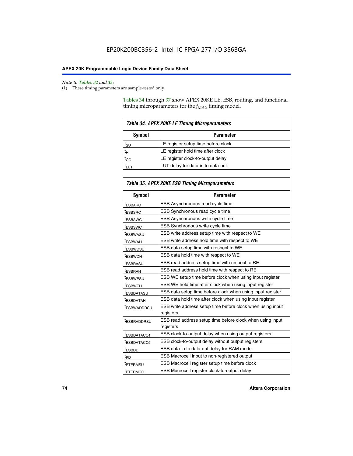$\mathbf{r}$ 

#### *Note to Tables 32 and 33:*

(1) These timing parameters are sample-tested only.

Tables 34 through 37 show APEX 20KE LE, ESB, routing, and functional timing microparameters for the  $f_{MAX}$  timing model.

| <b>Table 34. APEX 20KE LE Timing Microparameters</b> |                                     |  |  |  |  |
|------------------------------------------------------|-------------------------------------|--|--|--|--|
| Symbol<br><b>Parameter</b>                           |                                     |  |  |  |  |
| t <sub>SU</sub>                                      | LE register setup time before clock |  |  |  |  |
| $t_H$                                                | LE register hold time after clock   |  |  |  |  |
| $t_{CO}$                                             | LE register clock-to-output delay   |  |  |  |  |
|                                                      | LUT delay for data-in to data-out   |  |  |  |  |

| <b>Table 35. APEX 20KE ESB Timing Microparameters</b> |                                                            |  |  |  |
|-------------------------------------------------------|------------------------------------------------------------|--|--|--|
| Symbol                                                | <b>Parameter</b>                                           |  |  |  |
| <sup>t</sup> ESBARC                                   | ESB Asynchronous read cycle time                           |  |  |  |
| <sup>t</sup> ESBSRC                                   | ESB Synchronous read cycle time                            |  |  |  |
| <b><i>ESBAWC</i></b>                                  | ESB Asynchronous write cycle time                          |  |  |  |
| t <sub>ESBSWC</sub>                                   | ESB Synchronous write cycle time                           |  |  |  |
| t <sub>ESBWASU</sub>                                  | ESB write address setup time with respect to WE            |  |  |  |
| <sup>t</sup> ESBWAH                                   | ESB write address hold time with respect to WE             |  |  |  |
| t <sub>ESBWDSU</sub>                                  | ESB data setup time with respect to WE                     |  |  |  |
| <sup>t</sup> ESBWDH                                   | ESB data hold time with respect to WE                      |  |  |  |
| tESBRASU                                              | ESB read address setup time with respect to RE             |  |  |  |
| <sup>t</sup> ESBRAH                                   | ESB read address hold time with respect to RE              |  |  |  |
| <i>ESBWESU</i>                                        | ESB WE setup time before clock when using input register   |  |  |  |
| t <sub>ESBWEH</sub>                                   | ESB WE hold time after clock when using input register     |  |  |  |
| <b><i>t</i>ESBDATASU</b>                              | ESB data setup time before clock when using input register |  |  |  |
| t <sub>ESBDATAH</sub>                                 | ESB data hold time after clock when using input register   |  |  |  |
| t <sub>ESBWADDRSU</sub>                               | ESB write address setup time before clock when using input |  |  |  |
|                                                       | registers                                                  |  |  |  |
| <i><b>LESBRADDRSU</b></i>                             | ESB read address setup time before clock when using input  |  |  |  |
|                                                       | registers                                                  |  |  |  |
| t <sub>ESBDATACO1</sub>                               | ESB clock-to-output delay when using output registers      |  |  |  |
| t <sub>ESBDATACO2</sub>                               | ESB clock-to-output delay without output registers         |  |  |  |
| $t_{ESBDD}$                                           | ESB data-in to data-out delay for RAM mode                 |  |  |  |
| $t_{\mathsf{PD}}$                                     | ESB Macrocell input to non-registered output               |  |  |  |
| t <sub>PTERMSU</sub>                                  | ESB Macrocell register setup time before clock             |  |  |  |
| t <sub>PTERMCO</sub>                                  | ESB Macrocell register clock-to-output delay               |  |  |  |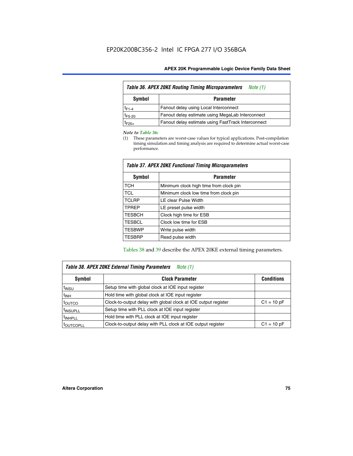| Table 36. APEX 20KE Routing Timing Microparameters<br>Note (1) |                                                    |  |  |  |  |  |
|----------------------------------------------------------------|----------------------------------------------------|--|--|--|--|--|
| Symbol                                                         | <b>Parameter</b>                                   |  |  |  |  |  |
| $t_{F1-4}$                                                     | Fanout delay using Local Interconnect              |  |  |  |  |  |
| $t_{F5-20}$                                                    | Fanout delay estimate using MegaLab Interconnect   |  |  |  |  |  |
| t <sub>F20+</sub>                                              | Fanout delay estimate using FastTrack Interconnect |  |  |  |  |  |

#### *Note to Table 36:*

(1) These parameters are worst-case values for typical applications. Post-compilation timing simulation and timing analysis are required to determine actual worst-case performance.

| Symbol        | <b>Parameter</b>                       |  |  |  |  |  |
|---------------|----------------------------------------|--|--|--|--|--|
| <b>TCH</b>    | Minimum clock high time from clock pin |  |  |  |  |  |
| <b>TCL</b>    | Minimum clock low time from clock pin  |  |  |  |  |  |
| <b>TCLRP</b>  | LE clear Pulse Width                   |  |  |  |  |  |
| <b>TPREP</b>  | LE preset pulse width                  |  |  |  |  |  |
| <b>TESBCH</b> | Clock high time for ESB                |  |  |  |  |  |
| <b>TESBCL</b> | Clock low time for ESB                 |  |  |  |  |  |
| <b>TESBWP</b> | Write pulse width                      |  |  |  |  |  |
| <b>TESBRP</b> | Read pulse width                       |  |  |  |  |  |

## *Table 37. APEX 20KE Functional Timing Microparameters*

Tables 38 and 39 describe the APEX 20KE external timing parameters.

| Table 38. APEX 20KE External Timing Parameters<br>Note (1) |                                                                |              |  |  |  |
|------------------------------------------------------------|----------------------------------------------------------------|--------------|--|--|--|
| <b>Clock Parameter</b><br>Symbol<br><b>Conditions</b>      |                                                                |              |  |  |  |
| <sup>t</sup> insu                                          | Setup time with global clock at IOE input register             |              |  |  |  |
| $t_{\text{INH}}$                                           | Hold time with global clock at IOE input register              |              |  |  |  |
| toutco                                                     | Clock-to-output delay with global clock at IOE output register | $C1 = 10 pF$ |  |  |  |
| <sup>t</sup> INSUPLL                                       | Setup time with PLL clock at IOE input register                |              |  |  |  |
| <sup>t</sup> INHPLL                                        | Hold time with PLL clock at IOE input register                 |              |  |  |  |
| <sup>I</sup> OUTCOPLL                                      | Clock-to-output delay with PLL clock at IOE output register    | $C1 = 10 pF$ |  |  |  |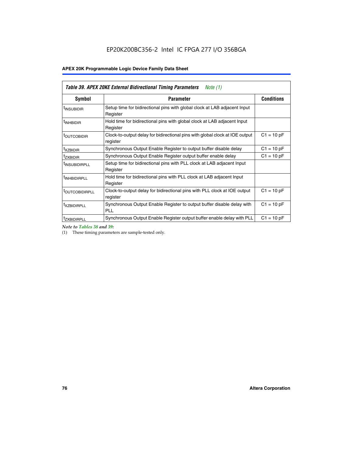| Table 39. APEX 20KE External Bidirectional Timing Parameters<br>Note $(1)$ |                                                                                                          |              |  |  |  |  |  |  |
|----------------------------------------------------------------------------|----------------------------------------------------------------------------------------------------------|--------------|--|--|--|--|--|--|
| <b>Symbol</b>                                                              | <b>Conditions</b><br><b>Parameter</b>                                                                    |              |  |  |  |  |  |  |
| <sup>t</sup> INSUBIDIR                                                     | Setup time for bidirectional pins with global clock at LAB adjacent Input<br>Register                    |              |  |  |  |  |  |  |
| <sup>t</sup> INHBIDIR                                                      | Hold time for bidirectional pins with global clock at LAB adjacent Input<br>Register                     |              |  |  |  |  |  |  |
| <b><i>LOUTCOBIDIR</i></b>                                                  | $C1 = 10 pF$<br>Clock-to-output delay for bidirectional pins with global clock at IOE output<br>register |              |  |  |  |  |  |  |
| t <sub>XZBIDIR</sub>                                                       | $C1 = 10 pF$<br>Synchronous Output Enable Register to output buffer disable delay                        |              |  |  |  |  |  |  |
| <sup>t</sup> zxbidir                                                       | Synchronous Output Enable Register output buffer enable delay                                            | $C1 = 10 pF$ |  |  |  |  |  |  |
| <sup>I</sup> INSUBIDIRPLL                                                  | Setup time for bidirectional pins with PLL clock at LAB adjacent Input<br>Register                       |              |  |  |  |  |  |  |
| <sup>t</sup> INHBIDIRPLL                                                   | Hold time for bidirectional pins with PLL clock at LAB adjacent Input<br>Register                        |              |  |  |  |  |  |  |
| <sup>t</sup> OUTCOBIDIRPLL                                                 | Clock-to-output delay for bidirectional pins with PLL clock at IOE output<br>register                    | $C1 = 10 pF$ |  |  |  |  |  |  |
| <sup>t</sup> XZBIDIRPLL                                                    | Synchronous Output Enable Register to output buffer disable delay with<br><b>PLL</b>                     | $C1 = 10 pF$ |  |  |  |  |  |  |
| <sup>I</sup> ZXBIDIRPLL                                                    | Synchronous Output Enable Register output buffer enable delay with PLL                                   | $C1 = 10 pF$ |  |  |  |  |  |  |

*Note to Tables 38 and 39:*

(1) These timing parameters are sample-tested only.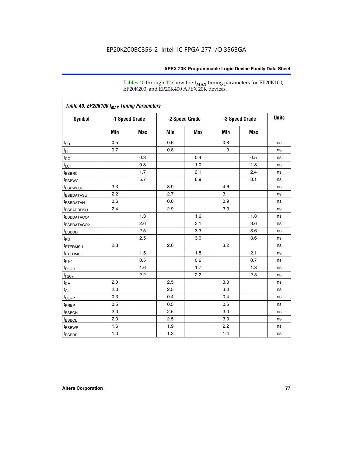Tables 40 through 42 show the **f<sub>MAX</sub>** timing parameters for EP20K100, EP20K200, and EP20K400 APEX 20K devices.

| Table 40. EP20K100 f <sub>MAX</sub> Timing Parameters |                |     |                |     |                |            |              |
|-------------------------------------------------------|----------------|-----|----------------|-----|----------------|------------|--------------|
| <b>Symbol</b>                                         | -1 Speed Grade |     | -2 Speed Grade |     | -3 Speed Grade |            | <b>Units</b> |
|                                                       | Min            | Max | Min            | Max | Min            | <b>Max</b> |              |
| $t_{\text{SU}}$                                       | 0.5            |     | 0.6            |     | 0.8            |            | ns           |
| $t_H$                                                 | 0.7            |     | 0.8            |     | 1.0            |            | ns           |
| $t_{CO}$                                              |                | 0.3 |                | 0.4 |                | 0.5        | ns           |
| $t_{LUT}$                                             |                | 0.8 |                | 1.0 |                | 1.3        | ns           |
| <sup>t</sup> ESBRC                                    |                | 1.7 |                | 2.1 |                | 2.4        | ns           |
| t <sub>ESBWC</sub>                                    |                | 5.7 |                | 6.9 |                | 8.1        | ns           |
| t <sub>ESBWESU</sub>                                  | 3.3            |     | 3.9            |     | 4.6            |            | ns           |
| <sup>t</sup> ESBDATASU                                | 2.2            |     | 2.7            |     | 3.1            |            | ns           |
| <sup>t</sup> ESBDATAH                                 | 0.6            |     | 0.8            |     | 0.9            |            | ns           |
| <sup>t</sup> ESBADDRSU                                | 2.4            |     | 2.9            |     | 3.3            |            | ns           |
| <sup>t</sup> ESBDATACO1                               |                | 1.3 |                | 1.6 |                | 1.8        | ns           |
| t <sub>ESBDATACO2</sub>                               |                | 2.6 |                | 3.1 |                | 3.6        | ns           |
| t <sub>ESBDD</sub>                                    |                | 2.5 |                | 3.3 |                | 3.6        | ns           |
| $t_{PD}$                                              |                | 2.5 |                | 3.0 |                | 3.6        | ns           |
| t <sub>PTERMSU</sub>                                  | 2.3            |     | 2.6            |     | 3.2            |            | ns           |
| t <sub>PTERMCO</sub>                                  |                | 1.5 |                | 1.8 |                | 2.1        | ns           |
| $t_{F1-4}$                                            |                | 0.5 |                | 0.6 |                | 0.7        | ns           |
| $t_{F5-20}$                                           |                | 1.6 |                | 1.7 |                | 1.8        | ns           |
| $t_{F20+}$                                            |                | 2.2 |                | 2.2 |                | 2.3        | ns           |
| $t_{\mathsf{CH}}$                                     | 2.0            |     | 2.5            |     | 3.0            |            | ns           |
| $t_{CL}$                                              | 2.0            |     | 2.5            |     | 3.0            |            | ns           |
| t <sub>CLRP</sub>                                     | 0.3            |     | 0.4            |     | 0.4            |            | ns           |
| t <sub>PREP</sub>                                     | 0.5            |     | 0.5            |     | 0.5            |            | ns           |
| <sup>t</sup> ESBCH                                    | 2.0            |     | 2.5            |     | 3.0            |            | ns           |
| <b>t</b> ESBCL                                        | 2.0            |     | 2.5            |     | 3.0            |            | ns           |
| t <sub>ESBWP</sub>                                    | 1.6            |     | 1.9            |     | 2.2            |            | ns           |
| $t_{ESBRP}$                                           | 1.0            |     | 1.3            |     | 1.4            |            | ns           |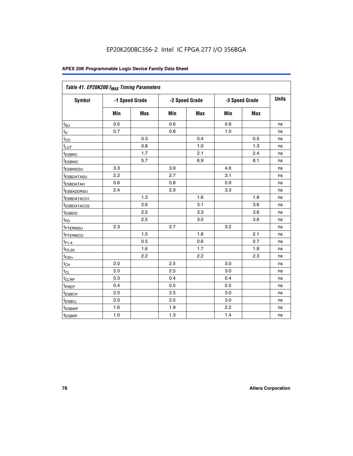| Table 41. EP20K200 f <sub>MAX</sub> Timing Parameters |                |            |     |                |     |                |    |
|-------------------------------------------------------|----------------|------------|-----|----------------|-----|----------------|----|
| Symbol                                                | -1 Speed Grade |            |     | -2 Speed Grade |     | -3 Speed Grade |    |
|                                                       | Min            | <b>Max</b> | Min | Max            | Min | <b>Max</b>     |    |
| $t_{\text{SU}}$                                       | 0.5            |            | 0.6 |                | 0.8 |                | ns |
| t <sub>Η</sub>                                        | 0.7            |            | 0.8 |                | 1.0 |                | ns |
| $t_{\rm CO}$                                          |                | 0.3        |     | 0.4            |     | 0.5            | ns |
| $t_{LUT}$                                             |                | 0.8        |     | 1.0            |     | 1.3            | ns |
| <sup>t</sup> ESBRC                                    |                | 1.7        |     | 2.1            |     | 2.4            | ns |
| t <sub>ESBWC</sub>                                    |                | 5.7        |     | 6.9            |     | 8.1            | ns |
| t <sub>ESBWESU</sub>                                  | 3.3            |            | 3.9 |                | 4.6 |                | ns |
| t <sub>esbdatasu</sub>                                | 2.2            |            | 2.7 |                | 3.1 |                | ns |
| t <sub>ESBDATAH</sub>                                 | 0.6            |            | 0.8 |                | 0.9 |                | ns |
| t <sub>ESBADDRSU</sub>                                | 2.4            |            | 2.9 |                | 3.3 |                | ns |
| <u>t<sub>ESBDATACO1</sub></u>                         |                | 1.3        |     | 1.6            |     | 1.8            | ns |
| t <sub>ESBDATACO2</sub>                               |                | 2.6        |     | 3.1            |     | 3.6            | ns |
| t <sub>ESBDD</sub>                                    |                | 2.5        |     | 3.3            |     | 3.6            | ns |
| $t_{\mathsf{PD}}$                                     |                | 2.5        |     | 3.0            |     | 3.6            | ns |
| t <sub>PTERMSU</sub>                                  | 2.3            |            | 2.7 |                | 3.2 |                | ns |
| t <sub>ptermco</sub>                                  |                | 1.5        |     | 1.8            |     | 2.1            | ns |
| $t_{F1-4}$                                            |                | 0.5        |     | 0.6            |     | 0.7            | ns |
| $t_{F5-20}$                                           |                | 1.6        |     | 1.7            |     | 1.8            | ns |
| $t_{F20+}$                                            |                | 2.2        |     | 2.2            |     | 2.3            | ns |
| $\textnormal{t}_{\textnormal{CH}}$                    | 2.0            |            | 2.5 |                | 3.0 |                | ns |
| $t_{CL}$                                              | 2.0            |            | 2.5 |                | 3.0 |                | ns |
| t <sub>CLRP</sub>                                     | 0.3            |            | 0.4 |                | 0.4 |                | ns |
| t <sub>PREP</sub>                                     | 0.4            |            | 0.5 |                | 0.5 |                | ns |
| t <sub>ESBCH</sub>                                    | 2.0            |            | 2.5 |                | 3.0 |                | ns |
| t <sub>ESBCL</sub>                                    | 2.0            |            | 2.5 |                | 3.0 |                | ns |
| t <sub>ESBWP</sub>                                    | 1.6            |            | 1.9 |                | 2.2 |                | ns |
| t <sub>ESBRP</sub>                                    | 1.0            |            | 1.3 |                | 1.4 |                | ns |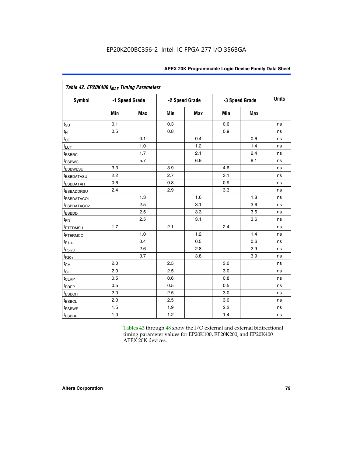| Table 42. EP20K400 f <sub>MAX</sub> Timing Parameters |     |                |     |                |     |                |              |  |  |  |
|-------------------------------------------------------|-----|----------------|-----|----------------|-----|----------------|--------------|--|--|--|
| <b>Symbol</b>                                         |     | -1 Speed Grade |     | -2 Speed Grade |     | -3 Speed Grade | <b>Units</b> |  |  |  |
|                                                       | Min | Max            | Min | <b>Max</b>     | Min | <b>Max</b>     |              |  |  |  |
| $t_{\text{SU}}$                                       | 0.1 |                | 0.3 |                | 0.6 |                | ns           |  |  |  |
| $t_H$                                                 | 0.5 |                | 0.8 |                | 0.9 |                | ns           |  |  |  |
| $t_{CO}$                                              |     | 0.1            |     | 0.4            |     | 0.6            | ns           |  |  |  |
| t <sub>LUT</sub>                                      |     | 1.0            |     | 1.2            |     | 1.4            | ns           |  |  |  |
| t <sub>ESBRC</sub>                                    |     | 1.7            |     | 2.1            |     | 2.4            | ns           |  |  |  |
| <sup>t</sup> ESBWC                                    |     | 5.7            |     | 6.9            |     | 8.1            | ns           |  |  |  |
| <i>t</i> ESBWESU                                      | 3.3 |                | 3.9 |                | 4.6 |                | ns           |  |  |  |
| <sup>t</sup> ESBDATASU                                | 2.2 |                | 2.7 |                | 3.1 |                | ns           |  |  |  |
| <sup>t</sup> ESBDATAH                                 | 0.6 |                | 0.8 |                | 0.9 |                | ns           |  |  |  |
| <sup>t</sup> ESBADDRSU                                | 2.4 |                | 2.9 |                | 3.3 |                | ns           |  |  |  |
| t <sub>ESBDATACO1</sub>                               |     | 1.3            |     | 1.6            |     | 1.8            | ns           |  |  |  |
| <sup>t</sup> ESBDATACO2                               |     | 2.5            |     | 3.1            |     | 3.6            | ns           |  |  |  |
| t <sub>ESBDD</sub>                                    |     | 2.5            |     | 3.3            |     | 3.6            | ns           |  |  |  |
| $t_{PD}$                                              |     | 2.5            |     | 3.1            |     | 3.6            | ns           |  |  |  |
| t <sub>PTERMSU</sub>                                  | 1.7 |                | 2.1 |                | 2.4 |                | ns           |  |  |  |
| t <sub>PTERMCO</sub>                                  |     | 1.0            |     | 1.2            |     | 1.4            | ns           |  |  |  |
| $t_{F1-4}$                                            |     | 0.4            |     | 0.5            |     | 0.6            | ns           |  |  |  |
| $t_{F5-20}$                                           |     | 2.6            |     | 2.8            |     | 2.9            | ns           |  |  |  |
| $t_{F20+}$                                            |     | 3.7            |     | 3.8            |     | 3.9            | ns           |  |  |  |
| $t_{CH}$                                              | 2.0 |                | 2.5 |                | 3.0 |                | ns           |  |  |  |
| $t_{CL}$                                              | 2.0 |                | 2.5 |                | 3.0 |                | ns           |  |  |  |
| t <sub>CLRP</sub>                                     | 0.5 |                | 0.6 |                | 0.8 |                | ns           |  |  |  |
| t <sub>PREP</sub>                                     | 0.5 |                | 0.5 |                | 0.5 |                | ns           |  |  |  |
| t <sub>ESBCH</sub>                                    | 2.0 |                | 2.5 |                | 3.0 |                | ns           |  |  |  |
| <b><i><u>LESBCL</u></i></b>                           | 2.0 |                | 2.5 |                | 3.0 |                | ns           |  |  |  |
| t <sub>ESBWP</sub>                                    | 1.5 |                | 1.9 |                | 2.2 |                | ns           |  |  |  |
| t <sub>ESBRP</sub>                                    | 1.0 |                | 1.2 |                | 1.4 |                | ns           |  |  |  |

Tables 43 through 48 show the I/O external and external bidirectional timing parameter values for EP20K100, EP20K200, and EP20K400 APEX 20K devices.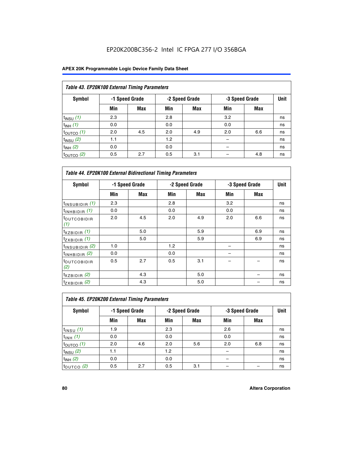| Table 43. EP20K100 External Timing Parameters |     |                |     |                |     |                |    |  |  |  |
|-----------------------------------------------|-----|----------------|-----|----------------|-----|----------------|----|--|--|--|
| Symbol                                        |     | -1 Speed Grade |     | -2 Speed Grade |     | -3 Speed Grade |    |  |  |  |
|                                               | Min | Max            | Min | <b>Max</b>     | Min | <b>Max</b>     |    |  |  |  |
| $t_{INSU}$ (1)                                | 2.3 |                | 2.8 |                | 3.2 |                | ns |  |  |  |
| $t_{INH}$ (1)                                 | 0.0 |                | 0.0 |                | 0.0 |                | ns |  |  |  |
| $t_{\text{OUTCO}}(1)$                         | 2.0 | 4.5            | 2.0 | 4.9            | 2.0 | 6.6            | ns |  |  |  |
| $t_{INSU}$ (2)                                | 1.1 |                | 1.2 |                |     |                | ns |  |  |  |
| $t_{INH}$ (2)                                 | 0.0 |                | 0.0 |                |     |                | ns |  |  |  |
| $t_{\text{OUTCO}}(2)$                         | 0.5 | 2.7            | 0.5 | 3.1            |     | 4.8            | ns |  |  |  |

|                                | <b>Table 44. EP20K100 External Bidirectional Timing Parameters</b> |                |     |                |     |                |    |  |  |  |  |
|--------------------------------|--------------------------------------------------------------------|----------------|-----|----------------|-----|----------------|----|--|--|--|--|
| Symbol                         |                                                                    | -1 Speed Grade |     | -2 Speed Grade |     | -3 Speed Grade |    |  |  |  |  |
|                                | Min                                                                | Max            | Min | Max            | Min | Max            |    |  |  |  |  |
| $t_{\text{INSUBIDIR}}(1)$      | 2.3                                                                |                | 2.8 |                | 3.2 |                | ns |  |  |  |  |
| $t_{INHBIDIR}$ (1)             | 0.0                                                                |                | 0.0 |                | 0.0 |                | ns |  |  |  |  |
| <sup>t</sup> OUTCOBIDIR<br>(1) | 2.0                                                                | 4.5            | 2.0 | 4.9            | 2.0 | 6.6            | ns |  |  |  |  |
| $t_{XZBIDIR}$ (1)              |                                                                    | 5.0            |     | 5.9            |     | 6.9            | ns |  |  |  |  |
| $t_{ZXBIDIR}$ (1)              |                                                                    | 5.0            |     | 5.9            |     | 6.9            | ns |  |  |  |  |
| $t_{INSUBIDIR}$ (2)            | 1.0                                                                |                | 1.2 |                |     |                | ns |  |  |  |  |
| $t_{INHBIDIR}$ (2)             | 0.0                                                                |                | 0.0 |                |     |                | ns |  |  |  |  |
| <sup>t</sup> OUTCOBIDIR<br>(2) | 0.5                                                                | 2.7            | 0.5 | 3.1            |     |                | ns |  |  |  |  |
| $t_{XZBIDIR}$ (2)              |                                                                    | 4.3            |     | 5.0            |     |                | ns |  |  |  |  |
| $t_{ZXBIDIR}$ (2)              |                                                                    | 4.3            |     | 5.0            |     |                | ns |  |  |  |  |

| Table 45. EP20K200 External Timing Parameters |                |            |     |                |     |                |    |  |  |  |  |
|-----------------------------------------------|----------------|------------|-----|----------------|-----|----------------|----|--|--|--|--|
| Symbol                                        | -1 Speed Grade |            |     | -2 Speed Grade |     | -3 Speed Grade |    |  |  |  |  |
|                                               | Min            | <b>Max</b> | Min | <b>Max</b>     | Min | <b>Max</b>     |    |  |  |  |  |
| $t$ <sub>INSU</sub> $(1)$                     | 1.9            |            | 2.3 |                | 2.6 |                | ns |  |  |  |  |
| $t_{INH}$ (1)                                 | 0.0            |            | 0.0 |                | 0.0 |                | ns |  |  |  |  |
| $t_{\text{OUTCO}}(1)$                         | 2.0            | 4.6        | 2.0 | 5.6            | 2.0 | 6.8            | ns |  |  |  |  |
| $t_{INSU}$ (2)                                | 1.1            |            | 1.2 |                |     |                | ns |  |  |  |  |
| $t_{INH}$ (2)                                 | 0.0            |            | 0.0 |                |     |                | ns |  |  |  |  |
| $t_{\text{OUTCO}}$ (2)                        | 0.5            | 2.7        | 0.5 | 3.1            |     |                | ns |  |  |  |  |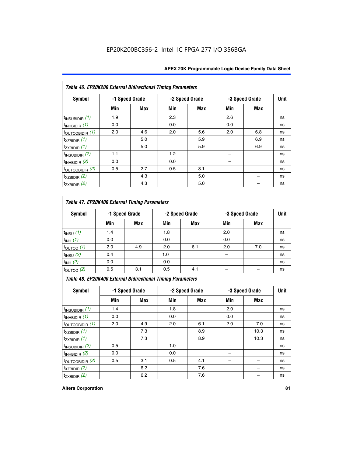|  | <b>APEX 20K Programmable Logic Device Family Data Sheet</b> |  |  |  |
|--|-------------------------------------------------------------|--|--|--|
|--|-------------------------------------------------------------|--|--|--|

|                             | Table 46. EP20K200 External Bidirectional Timing Parameters |                |     |                |     |                |    |  |  |  |  |
|-----------------------------|-------------------------------------------------------------|----------------|-----|----------------|-----|----------------|----|--|--|--|--|
| Symbol                      |                                                             | -1 Speed Grade |     | -2 Speed Grade |     | -3 Speed Grade |    |  |  |  |  |
|                             | Min                                                         | <b>Max</b>     | Min | Max            | Min | <b>Max</b>     |    |  |  |  |  |
| $t_{\text{INSUBIDIR}}(1)$   | 1.9                                                         |                | 2.3 |                | 2.6 |                | ns |  |  |  |  |
| $t_{INHBIDIR}$ (1)          | 0.0                                                         |                | 0.0 |                | 0.0 |                | ns |  |  |  |  |
| $t_{\text{OUTCOBIDIR}}(1)$  | 2.0                                                         | 4.6            | 2.0 | 5.6            | 2.0 | 6.8            | ns |  |  |  |  |
| $t_{XZBIDIR}$ (1)           |                                                             | 5.0            |     | 5.9            |     | 6.9            | ns |  |  |  |  |
| $t_{ZXBIDIR}$ (1)           |                                                             | 5.0            |     | 5.9            |     | 6.9            | ns |  |  |  |  |
| $t_{INSUBIDIR}$ (2)         | 1.1                                                         |                | 1.2 |                |     |                | ns |  |  |  |  |
| $t_{INHBIDIR}$ (2)          | 0.0                                                         |                | 0.0 |                |     |                | ns |  |  |  |  |
| $t_{\text{OUTCOBIDIR}}$ (2) | 0.5                                                         | 2.7            | 0.5 | 3.1            |     |                | ns |  |  |  |  |
| $t_{XZBIDIR}$ (2)           |                                                             | 4.3            |     | 5.0            |     |                | ns |  |  |  |  |
| $t_{ZXBIDIR}$ (2)           |                                                             | 4.3            |     | 5.0            |     |                | ns |  |  |  |  |

## *Table 47. EP20K400 External Timing Parameters*

| Symbol                |     | -1 Speed Grade |     | -2 Speed Grade |     | -3 Speed Grade |    |
|-----------------------|-----|----------------|-----|----------------|-----|----------------|----|
|                       | Min | <b>Max</b>     | Min | <b>Max</b>     | Min | <b>Max</b>     |    |
| $t_{INSU}$ (1)        | 1.4 |                | 1.8 |                | 2.0 |                | ns |
| $t_{INH}$ (1)         | 0.0 |                | 0.0 |                | 0.0 |                | ns |
| $t_{\text{OUTCO}}(1)$ | 2.0 | 4.9            | 2.0 | 6.1            | 2.0 | 7.0            | ns |
| $t_{INSU}$ (2)        | 0.4 |                | 1.0 |                |     |                | ns |
| $t_{INH}$ (2)         | 0.0 |                | 0.0 |                |     |                | ns |
| $t_{\text{OUTCO}}(2)$ | 0.5 | 3.1            | 0.5 | 4.1            |     |                | ns |

*Table 48. EP20K400 External Bidirectional Timing Parameters*

| Symbol                      | -1 Speed Grade |     | -2 Speed Grade |     |     | -3 Speed Grade | <b>Unit</b> |
|-----------------------------|----------------|-----|----------------|-----|-----|----------------|-------------|
|                             | Min            | Max | Min            | Max | Min | Max            |             |
| $t_{\text{INSUBIDIR}}(1)$   | 1.4            |     | 1.8            |     | 2.0 |                | ns          |
| $t_{INHBIDIR}$ (1)          | 0.0            |     | 0.0            |     | 0.0 |                | ns          |
| $t_{\text{OUTCOBIDIR}}(1)$  | 2.0            | 4.9 | 2.0            | 6.1 | 2.0 | 7.0            | ns          |
| $t_{XZBIDIR}$ (1)           |                | 7.3 |                | 8.9 |     | 10.3           | ns          |
| $t_{ZXBIDIR}$ (1)           |                | 7.3 |                | 8.9 |     | 10.3           | ns          |
| $t_{\text{INSUBIDIR}}(2)$   | 0.5            |     | 1.0            |     |     |                | ns          |
| $t_{INHBIDIR}$ (2)          | 0.0            |     | 0.0            |     |     |                | ns          |
| $t_{\text{OUTCOBIDIR}}$ (2) | 0.5            | 3.1 | 0.5            | 4.1 |     |                | ns          |
| $t_{XZBIDIR}$ (2)           |                | 6.2 |                | 7.6 |     |                | ns          |
| $t_{ZXBIDIR}$ (2)           |                | 6.2 |                | 7.6 |     |                | ns          |

#### **Altera Corporation 81**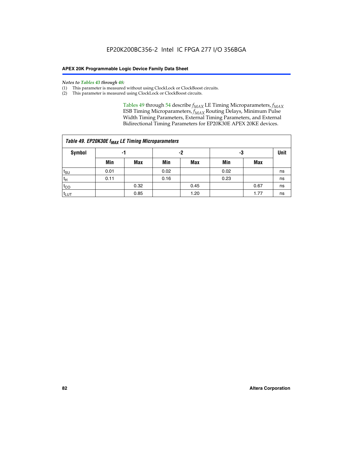#### *Notes to Tables 43 through 48:*

- (1) This parameter is measured without using ClockLock or ClockBoost circuits.
- (2) This parameter is measured using ClockLock or ClockBoost circuits.

Tables 49 through 54 describe  $f_{MAX}$  LE Timing Microparameters,  $f_{MAX}$ ESB Timing Microparameters, *f<sub>MAX</sub>* Routing Delays, Minimum Pulse Width Timing Parameters, External Timing Parameters, and External Bidirectional Timing Parameters for EP20K30E APEX 20KE devices.

| Table 49. EP20K30E f <sub>MAX</sub> LE Timing Microparameters |      |      |      |            |      |      |             |  |  |  |  |
|---------------------------------------------------------------|------|------|------|------------|------|------|-------------|--|--|--|--|
| <b>Symbol</b>                                                 | -1   |      | -2   |            | -3   |      | <b>Unit</b> |  |  |  |  |
|                                                               | Min  | Max  | Min  | <b>Max</b> | Min  | Max  |             |  |  |  |  |
| t <sub>SU</sub>                                               | 0.01 |      | 0.02 |            | 0.02 |      | ns          |  |  |  |  |
| $t_H$                                                         | 0.11 |      | 0.16 |            | 0.23 |      | ns          |  |  |  |  |
| $t_{CO}$                                                      |      | 0.32 |      | 0.45       |      | 0.67 | ns          |  |  |  |  |
| t <sub>LUT</sub>                                              |      | 0.85 |      | 1.20       |      | 1.77 | ns          |  |  |  |  |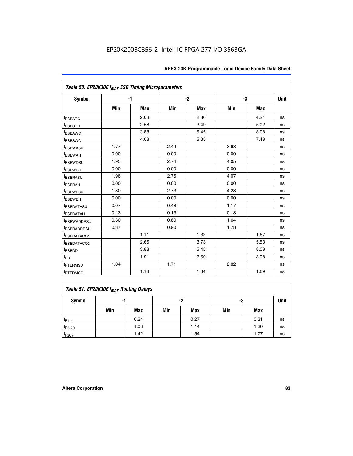| Table 50. EP20K30E f <sub>MAX</sub> ESB Timing Microparameters |      |            |      |            |      |            |             |
|----------------------------------------------------------------|------|------------|------|------------|------|------------|-------------|
| Symbol                                                         |      | $-1$       |      | $-2$       |      | -3         | <b>Unit</b> |
|                                                                | Min  | <b>Max</b> | Min  | <b>Max</b> | Min  | <b>Max</b> |             |
| <sup>t</sup> ESBARC                                            |      | 2.03       |      | 2.86       |      | 4.24       | ns          |
| <sup>t</sup> ESBSRC                                            |      | 2.58       |      | 3.49       |      | 5.02       | ns          |
| <sup>t</sup> ESBAWC                                            |      | 3.88       |      | 5.45       |      | 8.08       | ns          |
| <sup>t</sup> ESBSWC                                            |      | 4.08       |      | 5.35       |      | 7.48       | ns          |
| t <sub>ESBWASU</sub>                                           | 1.77 |            | 2.49 |            | 3.68 |            | ns          |
| <b><i>ESBWAH</i></b>                                           | 0.00 |            | 0.00 |            | 0.00 |            | ns          |
| <sup>t</sup> ESBWDSU                                           | 1.95 |            | 2.74 |            | 4.05 |            | ns          |
| t <sub>ESBWDH</sub>                                            | 0.00 |            | 0.00 |            | 0.00 |            | ns          |
| <sup>t</sup> ESBRASU                                           | 1.96 |            | 2.75 |            | 4.07 |            | ns          |
| t <sub>ESBRAH</sub>                                            | 0.00 |            | 0.00 |            | 0.00 |            | ns          |
| t <sub>ESBWESU</sub>                                           | 1.80 |            | 2.73 |            | 4.28 |            | ns          |
| <sup>I</sup> ESBWEH                                            | 0.00 |            | 0.00 |            | 0.00 |            | ns          |
| <sup>t</sup> ESBDATASU                                         | 0.07 |            | 0.48 |            | 1.17 |            | ns          |
| <b>ESBDATAH</b>                                                | 0.13 |            | 0.13 |            | 0.13 |            | ns          |
| <sup>t</sup> ESBWADDRSU                                        | 0.30 |            | 0.80 |            | 1.64 |            | ns          |
| <sup>I</sup> ESBRADDRSU                                        | 0.37 |            | 0.90 |            | 1.78 |            | ns          |
| ESBDATACO1                                                     |      | 1.11       |      | 1.32       |      | 1.67       | ns          |
| <sup>t</sup> ESBDATACO2                                        |      | 2.65       |      | 3.73       |      | 5.53       | ns          |
| t <sub>ESBDD</sub>                                             |      | 3.88       |      | 5.45       |      | 8.08       | ns          |
| $t_{\text{PD}}$                                                |      | 1.91       |      | 2.69       |      | 3.98       | ns          |
| <sup>t</sup> PTERMSU                                           | 1.04 |            | 1.71 |            | 2.82 |            | ns          |
| t <sub>PTERMCO</sub>                                           |      | 1.13       |      | 1.34       |      | 1.69       | ns          |

## **Table 51. EP20K30E f<sub>MAX</sub> Routing Delays**

| Symbol      | .,  |            | -2  |            | -3  |            | Unit |
|-------------|-----|------------|-----|------------|-----|------------|------|
|             | Min | <b>Max</b> | Min | <b>Max</b> | Min | <b>Max</b> |      |
| $t_{F1-4}$  |     | 0.24       |     | 0.27       |     | 0.31       | ns   |
| $t_{F5-20}$ |     | 1.03       |     | 1.14       |     | 1.30       | ns   |
| $t_{F20+}$  |     | 1.42       |     | 1.54       |     | 1.77       | ns   |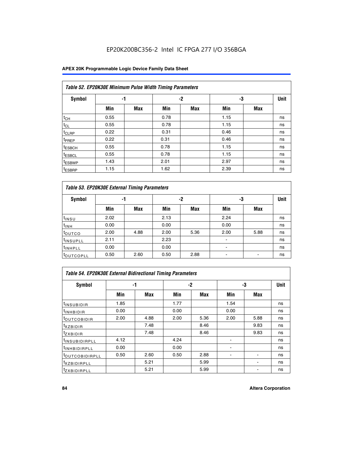### **APEX 20K Programmable Logic Device Family Data Sheet**

| Table 52. EP20K30E Minimum Pulse Width Timing Parameters |      |            |      |            |      |            |    |  |  |  |  |
|----------------------------------------------------------|------|------------|------|------------|------|------------|----|--|--|--|--|
| <b>Symbol</b>                                            | -1   |            |      | $-2$       | -3   |            |    |  |  |  |  |
|                                                          | Min  | <b>Max</b> | Min  | <b>Max</b> | Min  | <b>Max</b> |    |  |  |  |  |
| $t_{CH}$                                                 | 0.55 |            | 0.78 |            | 1.15 |            | ns |  |  |  |  |
| $t_{CL}$                                                 | 0.55 |            | 0.78 |            | 1.15 |            | ns |  |  |  |  |
| t <sub>CLRP</sub>                                        | 0.22 |            | 0.31 |            | 0.46 |            | ns |  |  |  |  |
| t <sub>PREP</sub>                                        | 0.22 |            | 0.31 |            | 0.46 |            | ns |  |  |  |  |
| <sup>t</sup> ESBCH                                       | 0.55 |            | 0.78 |            | 1.15 |            | ns |  |  |  |  |
| <sup>t</sup> ESBCL                                       | 0.55 |            | 0.78 |            | 1.15 |            | ns |  |  |  |  |
| <sup>t</sup> ESBWP                                       | 1.43 |            | 2.01 |            | 2.97 |            | ns |  |  |  |  |
| <sup>t</sup> ESBRP                                       | 1.15 |            | 1.62 |            | 2.39 |            | ns |  |  |  |  |

|                      | Table 53. EP20K30E External Timing Parameters |            |      |            |                |            |    |  |  |  |  |  |  |
|----------------------|-----------------------------------------------|------------|------|------------|----------------|------------|----|--|--|--|--|--|--|
| <b>Symbol</b>        | -1                                            |            |      | -2         |                | -3         |    |  |  |  |  |  |  |
|                      | Min                                           | <b>Max</b> | Min  | <b>Max</b> | Min            | <b>Max</b> |    |  |  |  |  |  |  |
| $t_{INSU}$           | 2.02                                          |            | 2.13 |            | 2.24           |            | ns |  |  |  |  |  |  |
| $t_{\rm INH}$        | 0.00                                          |            | 0.00 |            | 0.00           |            | ns |  |  |  |  |  |  |
| toutco               | 2.00                                          | 4.88       | 2.00 | 5.36       | 2.00           | 5.88       | ns |  |  |  |  |  |  |
| <sup>t</sup> INSUPLL | 2.11                                          |            | 2.23 |            |                |            | ns |  |  |  |  |  |  |
| <sup>t</sup> INHPLL  | 0.00                                          |            | 0.00 |            | $\blacksquare$ |            | ns |  |  |  |  |  |  |
| <b>LOUTCOPLL</b>     | 0.50                                          | 2.60       | 0.50 | 2.88       | -              |            | ns |  |  |  |  |  |  |

| Table 54. EP20K30E External Bidirectional Timing Parameters |      |      |      |            |      |             |    |  |  |  |
|-------------------------------------------------------------|------|------|------|------------|------|-------------|----|--|--|--|
| Symbol                                                      | -1   |      | -2   |            | -3   | <b>Unit</b> |    |  |  |  |
|                                                             | Min  | Max  | Min  | <b>Max</b> | Min  | <b>Max</b>  |    |  |  |  |
| <sup>t</sup> INSUBIDIR                                      | 1.85 |      | 1.77 |            | 1.54 |             | ns |  |  |  |
| <b>INHBIDIR</b>                                             | 0.00 |      | 0.00 |            | 0.00 |             | ns |  |  |  |
| <b>LOUTCOBIDIR</b>                                          | 2.00 | 4.88 | 2.00 | 5.36       | 2.00 | 5.88        | ns |  |  |  |
| <sup>T</sup> XZBIDIR                                        |      | 7.48 |      | 8.46       |      | 9.83        | ns |  |  |  |
| <sup>I</sup> ZXBIDIR                                        |      | 7.48 |      | 8.46       |      | 9.83        | ns |  |  |  |
| <sup>I</sup> INSUBIDIRPLL                                   | 4.12 |      | 4.24 |            |      |             | ns |  |  |  |
| <sup>I</sup> INHBIDIRPLL                                    | 0.00 |      | 0.00 |            |      |             | ns |  |  |  |
| <b>LOUTCOBIDIRPLL</b>                                       | 0.50 | 2.60 | 0.50 | 2.88       |      |             | ns |  |  |  |
| <sup>I</sup> XZBIDIRPLL                                     |      | 5.21 |      | 5.99       |      |             | ns |  |  |  |
| <sup>I</sup> ZXBIDIRPLL                                     |      | 5.21 |      | 5.99       |      |             | ns |  |  |  |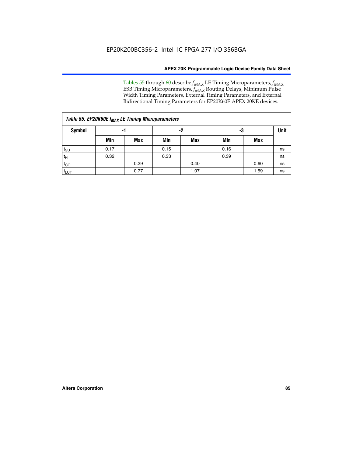Tables 55 through 60 describe *f<sub>MAX</sub>* LE Timing Microparameters, *f<sub>MAX</sub>* ESB Timing Microparameters, *f<sub>MAX</sub>* Routing Delays, Minimum Pulse Width Timing Parameters, External Timing Parameters, and External Bidirectional Timing Parameters for EP20K60E APEX 20KE devices.

| Table 55. EP20K60E f <sub>MAX</sub> LE Timing Microparameters |      |      |      |      |      |      |             |  |  |  |  |
|---------------------------------------------------------------|------|------|------|------|------|------|-------------|--|--|--|--|
| <b>Symbol</b>                                                 |      | -1   |      | -2   | -3   |      | <b>Unit</b> |  |  |  |  |
|                                                               | Min  | Max  | Min  | Max  | Min  | Max  |             |  |  |  |  |
| $t_{\text{SU}}$                                               | 0.17 |      | 0.15 |      | 0.16 |      | ns          |  |  |  |  |
| $t_H$                                                         | 0.32 |      | 0.33 |      | 0.39 |      | ns          |  |  |  |  |
| $t_{CO}$                                                      |      | 0.29 |      | 0.40 |      | 0.60 | ns          |  |  |  |  |
| t <sub>lut</sub>                                              |      | 0.77 |      | 1.07 |      | 1.59 | ns          |  |  |  |  |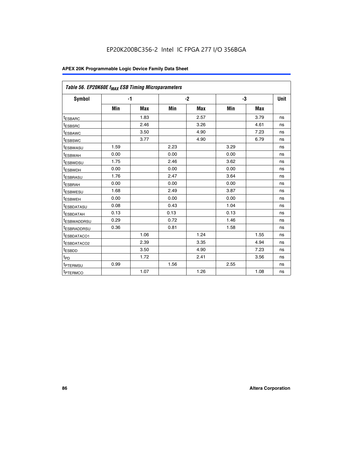| Table 56. EP20K60E f <sub>MAX</sub> ESB Timing Microparameters |      |            |      |            |      |            |             |
|----------------------------------------------------------------|------|------------|------|------------|------|------------|-------------|
| <b>Symbol</b>                                                  |      | $-1$       |      | $-2$       | -3   |            | <b>Unit</b> |
|                                                                | Min  | <b>Max</b> | Min  | <b>Max</b> | Min  | <b>Max</b> |             |
| <sup>t</sup> ESBARC                                            |      | 1.83       |      | 2.57       |      | 3.79       | ns          |
| t <sub>ESBSRC</sub>                                            |      | 2.46       |      | 3.26       |      | 4.61       | ns          |
| t <sub>ESBAWC</sub>                                            |      | 3.50       |      | 4.90       |      | 7.23       | ns          |
| <sup>t</sup> ESBSWC                                            |      | 3.77       |      | 4.90       |      | 6.79       | ns          |
| t <sub>ESBWASU</sub>                                           | 1.59 |            | 2.23 |            | 3.29 |            | ns          |
| <sup>t</sup> ESBWAH                                            | 0.00 |            | 0.00 |            | 0.00 |            | ns          |
| t <sub>ESBWDSU</sub>                                           | 1.75 |            | 2.46 |            | 3.62 |            | ns          |
| t <sub>ESBWDH</sub>                                            | 0.00 |            | 0.00 |            | 0.00 |            | ns          |
| t <sub>ESBRASU</sub>                                           | 1.76 |            | 2.47 |            | 3.64 |            | ns          |
| <sup>t</sup> ESBRAH                                            | 0.00 |            | 0.00 |            | 0.00 |            | ns          |
| t <sub>ESBWESU</sub>                                           | 1.68 |            | 2.49 |            | 3.87 |            | ns          |
| <sup>t</sup> ESBWEH                                            | 0.00 |            | 0.00 |            | 0.00 |            | ns          |
| <sup>t</sup> ESBDATASU                                         | 0.08 |            | 0.43 |            | 1.04 |            | ns          |
| <sup>t</sup> ESBDATAH                                          | 0.13 |            | 0.13 |            | 0.13 |            | ns          |
| <sup>t</sup> ESBWADDRSU                                        | 0.29 |            | 0.72 |            | 1.46 |            | ns          |
| <sup>t</sup> ESBRADDRSU                                        | 0.36 |            | 0.81 |            | 1.58 |            | ns          |
| t <sub>ESBDATACO1</sub>                                        |      | 1.06       |      | 1.24       |      | 1.55       | ns          |
| <sup>t</sup> ESBDATACO2                                        |      | 2.39       |      | 3.35       |      | 4.94       | ns          |
| <sup>t</sup> ESBDD                                             |      | 3.50       |      | 4.90       |      | 7.23       | ns          |
| t <sub>PD</sub>                                                |      | 1.72       |      | 2.41       |      | 3.56       | ns          |
| <sup>t</sup> PTERMSU                                           | 0.99 |            | 1.56 |            | 2.55 |            | ns          |
| t <sub>PTERMCO</sub>                                           |      | 1.07       |      | 1.26       |      | 1.08       | ns          |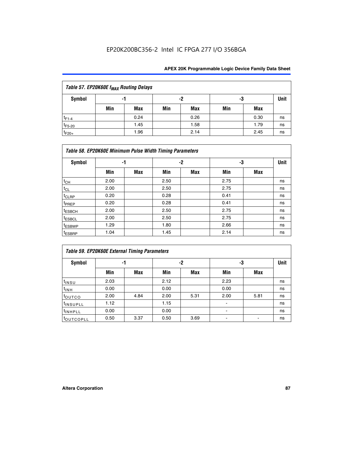| Table 57. EP20K60E f <sub>MAX</sub> Routing Delays |     |      |     |      |     |      |      |  |  |  |  |
|----------------------------------------------------|-----|------|-----|------|-----|------|------|--|--|--|--|
| Symbol                                             |     | -1   | -2  |      | -3  |      | Unit |  |  |  |  |
|                                                    | Min | Max  | Min | Max  | Min | Max  |      |  |  |  |  |
| $t_{F1-4}$                                         |     | 0.24 |     | 0.26 |     | 0.30 | ns   |  |  |  |  |
| $t_{F5-20}$                                        |     | 1.45 |     | 1.58 |     | 1.79 | ns   |  |  |  |  |
| $t_{F20+}$                                         |     | 1.96 |     | 2.14 |     | 2.45 | ns   |  |  |  |  |

|                    | Table 58. EP20K60E Minimum Pulse Width Timing Parameters |            |      |            |      |     |             |  |  |  |  |  |  |
|--------------------|----------------------------------------------------------|------------|------|------------|------|-----|-------------|--|--|--|--|--|--|
| Symbol             |                                                          | -1         |      | $-2$       |      | -3  | <b>Unit</b> |  |  |  |  |  |  |
|                    | Min                                                      | <b>Max</b> | Min  | <b>Max</b> | Min  | Max |             |  |  |  |  |  |  |
| $t_{CH}$           | 2.00                                                     |            | 2.50 |            | 2.75 |     | ns          |  |  |  |  |  |  |
| $t_{CL}$           | 2.00                                                     |            | 2.50 |            | 2.75 |     | ns          |  |  |  |  |  |  |
| t <sub>CLRP</sub>  | 0.20                                                     |            | 0.28 |            | 0.41 |     | ns          |  |  |  |  |  |  |
| t <sub>PREP</sub>  | 0.20                                                     |            | 0.28 |            | 0.41 |     | ns          |  |  |  |  |  |  |
| <sup>t</sup> ESBCH | 2.00                                                     |            | 2.50 |            | 2.75 |     | ns          |  |  |  |  |  |  |
| <sup>t</sup> ESBCL | 2.00                                                     |            | 2.50 |            | 2.75 |     | ns          |  |  |  |  |  |  |
| t <sub>ESBWP</sub> | 1.29                                                     |            | 1.80 |            | 2.66 |     | ns          |  |  |  |  |  |  |
| <sup>t</sup> ESBRP | 1.04                                                     |            | 1.45 |            | 2.14 |     | ns          |  |  |  |  |  |  |

| Table 59. EP20K60E External Timing Parameters |      |      |      |      |      |      |      |  |  |  |  |
|-----------------------------------------------|------|------|------|------|------|------|------|--|--|--|--|
| Symbol                                        | -1   |      |      | -2   | -3   |      | Unit |  |  |  |  |
|                                               | Min  | Max  | Min  | Max  | Min  | Max  |      |  |  |  |  |
| $t_{INSU}$                                    | 2.03 |      | 2.12 |      | 2.23 |      | ns   |  |  |  |  |
| t <sub>INH</sub>                              | 0.00 |      | 0.00 |      | 0.00 |      | ns   |  |  |  |  |
| toutco                                        | 2.00 | 4.84 | 2.00 | 5.31 | 2.00 | 5.81 | ns   |  |  |  |  |
| <sup>t</sup> INSUPLL                          | 1.12 |      | 1.15 |      |      |      | ns   |  |  |  |  |
| <sup>t</sup> INHPLL                           | 0.00 |      | 0.00 |      | ۰    |      | ns   |  |  |  |  |
| toutcopll                                     | 0.50 | 3.37 | 0.50 | 3.69 |      |      | ns   |  |  |  |  |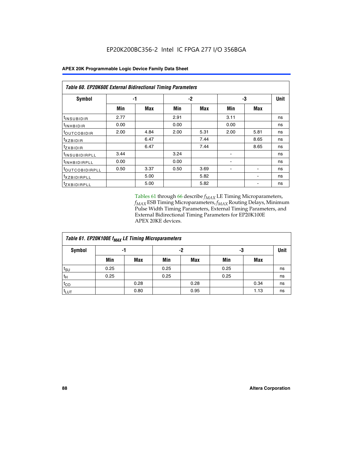| Table 60. EP20K60E External Bidirectional Timing Parameters |      |      |      |      |      |             |    |  |  |  |
|-------------------------------------------------------------|------|------|------|------|------|-------------|----|--|--|--|
| <b>Symbol</b>                                               | -1   |      |      | -2   | -3   | <b>Unit</b> |    |  |  |  |
|                                                             | Min  | Max  | Min  | Max  | Min  | Max         |    |  |  |  |
| t <sub>INSUBIDIR</sub>                                      | 2.77 |      | 2.91 |      | 3.11 |             | ns |  |  |  |
| $t_{\rm INHBIDIR}$                                          | 0.00 |      | 0.00 |      | 0.00 |             | ns |  |  |  |
| <sup>t</sup> OUTCOBIDIR                                     | 2.00 | 4.84 | 2.00 | 5.31 | 2.00 | 5.81        | ns |  |  |  |
| $t_{XZBIDIR}$                                               |      | 6.47 |      | 7.44 |      | 8.65        | ns |  |  |  |
| tzxbidir                                                    |      | 6.47 |      | 7.44 |      | 8.65        | ns |  |  |  |
| <sup>t</sup> INSUBIDIRPLL                                   | 3.44 |      | 3.24 |      |      |             | ns |  |  |  |
| <sup>t</sup> INHBIDIRPLL                                    | 0.00 |      | 0.00 |      |      |             | ns |  |  |  |
| <sup>t</sup> OUTCOBIDIRPLL                                  | 0.50 | 3.37 | 0.50 | 3.69 |      |             | ns |  |  |  |
| <sup>t</sup> XZBIDIRPLL                                     |      | 5.00 |      | 5.82 |      |             | ns |  |  |  |
| <sup>t</sup> zxbidirpll                                     |      | 5.00 |      | 5.82 |      |             | ns |  |  |  |

Tables 61 through 66 describe  $f_{MAX}$  LE Timing Microparameters, *fMAX* ESB Timing Microparameters, *fMAX* Routing Delays, Minimum Pulse Width Timing Parameters, External Timing Parameters, and External Bidirectional Timing Parameters for EP20K100E APEX 20KE devices.

| Table 61. EP20K100E f <sub>MAX</sub> LE Timing Microparameters |      |      |      |            |      |             |    |  |  |  |  |
|----------------------------------------------------------------|------|------|------|------------|------|-------------|----|--|--|--|--|
| <b>Symbol</b>                                                  |      | -1   |      | -2         | -3   | <b>Unit</b> |    |  |  |  |  |
|                                                                | Min  | Max  | Min  | <b>Max</b> | Min  | <b>Max</b>  |    |  |  |  |  |
| $t_{\text{SU}}$                                                | 0.25 |      | 0.25 |            | 0.25 |             | ns |  |  |  |  |
| tμ                                                             | 0.25 |      | 0.25 |            | 0.25 |             | ns |  |  |  |  |
| $t_{CO}$                                                       |      | 0.28 |      | 0.28       |      | 0.34        | ns |  |  |  |  |
| t <sub>LUT</sub>                                               |      | 0.80 |      | 0.95       |      | 1.13        | ns |  |  |  |  |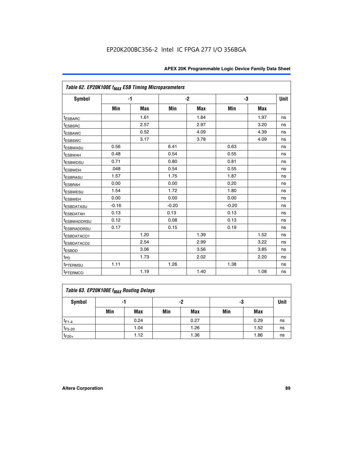| Table 62. EP20K100E f <sub>MAX</sub> ESB Timing Microparameters |         |            |         |            |         |            |             |
|-----------------------------------------------------------------|---------|------------|---------|------------|---------|------------|-------------|
| <b>Symbol</b>                                                   |         | $-1$       |         | $-2$       |         | -3         | <b>Unit</b> |
|                                                                 | Min     | <b>Max</b> | Min     | <b>Max</b> | Min     | <b>Max</b> |             |
| <sup>t</sup> ESBARC                                             |         | 1.61       |         | 1.84       |         | 1.97       | ns          |
| <sup>t</sup> ESBSRC                                             |         | 2.57       |         | 2.97       |         | 3.20       | ns          |
| <sup>t</sup> ESBAWC                                             |         | 0.52       |         | 4.09       |         | 4.39       | ns          |
| <sup>t</sup> ESBSWC                                             |         | 3.17       |         | 3.78       |         | 4.09       | ns          |
| t <sub>ESBWASU</sub>                                            | 0.56    |            | 6.41    |            | 0.63    |            | ns          |
| <sup>t</sup> ESBWAH                                             | 0.48    |            | 0.54    |            | 0.55    |            | ns          |
| <sup>t</sup> ESBWDSU                                            | 0.71    |            | 0.80    |            | 0.81    |            | ns          |
| <sup>t</sup> ESBWDH                                             | .048    |            | 0.54    |            | 0.55    |            | ns          |
| <sup>t</sup> ESBRASU                                            | 1.57    |            | 1.75    |            | 1.87    |            | ns          |
| t <sub>ESBRAH</sub>                                             | 0.00    |            | 0.00    |            | 0.20    |            | ns          |
| t <sub>ESBWESU</sub>                                            | 1.54    |            | 1.72    |            | 1.80    |            | ns          |
| <sup>t</sup> ESBWEH                                             | 0.00    |            | 0.00    |            | 0.00    |            | ns          |
| t <sub>ESBDATASU</sub>                                          | $-0.16$ |            | $-0.20$ |            | $-0.20$ |            | ns          |
| <b>ESBDATAH</b>                                                 | 0.13    |            | 0.13    |            | 0.13    |            | ns          |
| t <sub>ESBWADDRSU</sub>                                         | 0.12    |            | 0.08    |            | 0.13    |            | ns          |
| <sup>t</sup> ESBRADDRSU                                         | 0.17    |            | 0.15    |            | 0.19    |            | ns          |
| ESBDATACO1                                                      |         | 1.20       |         | 1.39       |         | 1.52       | ns          |
| <sup>t</sup> ESBDATACO <sub>2</sub>                             |         | 2.54       |         | 2.99       |         | 3.22       | ns          |
| t <sub>ESBDD</sub>                                              |         | 3.06       |         | 3.56       |         | 3.85       | ns          |
| t <sub>PD</sub>                                                 |         | 1.73       |         | 2.02       |         | 2.20       | ns          |
| <sup>t</sup> PTERMSU                                            | 1.11    |            | 1.26    |            | 1.38    |            | ns          |
| t <sub>PTERMCO</sub>                                            |         | 1.19       |         | 1.40       |         | 1.08       | ns          |

| Table 63. EP20K100E f <sub>MAX</sub> Routing Delays |     |      |     |            |     |      |             |  |  |  |  |
|-----------------------------------------------------|-----|------|-----|------------|-----|------|-------------|--|--|--|--|
| Symbol                                              |     | -1   |     | -2         | -3  |      | <b>Unit</b> |  |  |  |  |
|                                                     | Min | Max  | Min | <b>Max</b> | Min | Max  |             |  |  |  |  |
| $t_{F1-4}$                                          |     | 0.24 |     | 0.27       |     | 0.29 | ns          |  |  |  |  |
| $t_{F5-20}$                                         |     | 1.04 |     | 1.26       |     | 1.52 | ns          |  |  |  |  |
| $t_{F20+}$                                          |     | 1.12 |     | 1.36       |     | 1.86 | ns          |  |  |  |  |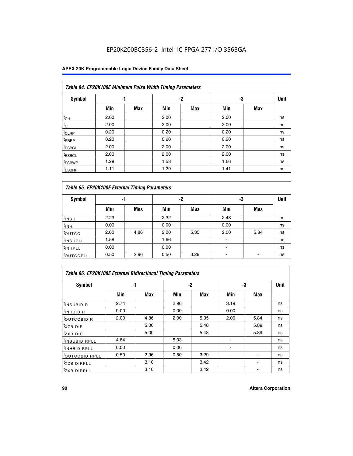### **APEX 20K Programmable Logic Device Family Data Sheet**

|                    | Table 64. EP20K100E Minimum Pulse Width Timing Parameters |            |      |            |      |            |             |  |  |  |  |  |
|--------------------|-----------------------------------------------------------|------------|------|------------|------|------------|-------------|--|--|--|--|--|
| <b>Symbol</b>      | -1                                                        |            |      | -2         | -3   |            | <b>Unit</b> |  |  |  |  |  |
|                    | Min                                                       | <b>Max</b> | Min  | <b>Max</b> | Min  | <b>Max</b> |             |  |  |  |  |  |
| $t_{CH}$           | 2.00                                                      |            | 2.00 |            | 2.00 |            | ns          |  |  |  |  |  |
| $t_{CL}$           | 2.00                                                      |            | 2.00 |            | 2.00 |            | ns          |  |  |  |  |  |
| t <sub>CLRP</sub>  | 0.20                                                      |            | 0.20 |            | 0.20 |            | ns          |  |  |  |  |  |
| <sup>t</sup> PREP  | 0.20                                                      |            | 0.20 |            | 0.20 |            | ns          |  |  |  |  |  |
| <sup>t</sup> ESBCH | 2.00                                                      |            | 2.00 |            | 2.00 |            | ns          |  |  |  |  |  |
| <sup>t</sup> ESBCL | 2.00                                                      |            | 2.00 |            | 2.00 |            | ns          |  |  |  |  |  |
| <sup>t</sup> ESBWP | 1.29                                                      |            | 1.53 |            | 1.66 |            | ns          |  |  |  |  |  |
| <sup>t</sup> ESBRP | 1.11                                                      |            | 1.29 |            | 1.41 |            | ns          |  |  |  |  |  |

| Table 65. EP20K100E External Timing Parameters |      |            |      |            |      |            |    |  |  |  |  |
|------------------------------------------------|------|------------|------|------------|------|------------|----|--|--|--|--|
| <b>Symbol</b>                                  |      | -1         |      | -2         |      | -3         |    |  |  |  |  |
|                                                | Min  | <b>Max</b> | Min  | <b>Max</b> | Min  | <b>Max</b> |    |  |  |  |  |
| t <sub>INSU</sub>                              | 2.23 |            | 2.32 |            | 2.43 |            | ns |  |  |  |  |
| $t_{\rm INH}$                                  | 0.00 |            | 0.00 |            | 0.00 |            | ns |  |  |  |  |
| toutco                                         | 2.00 | 4.86       | 2.00 | 5.35       | 2.00 | 5.84       | ns |  |  |  |  |
| <sup>t</sup> INSUPLL                           | 1.58 |            | 1.66 |            |      |            | ns |  |  |  |  |
| <sup>t</sup> INHPLL                            | 0.00 |            | 0.00 |            | ٠    |            | ns |  |  |  |  |
| <b>LOUTCOPLL</b>                               | 0.50 | 2.96       | 0.50 | 3.29       |      |            | ns |  |  |  |  |

| Table 66. EP20K100E External Bidirectional Timing Parameters |      |      |      |      |      |            |    |  |  |  |  |
|--------------------------------------------------------------|------|------|------|------|------|------------|----|--|--|--|--|
| Symbol                                                       |      | -1   |      | $-2$ | -3   | Unit       |    |  |  |  |  |
|                                                              | Min  | Max  | Min  | Max  | Min  | <b>Max</b> |    |  |  |  |  |
| <sup>t</sup> INSUBIDIR                                       | 2.74 |      | 2.96 |      | 3.19 |            | ns |  |  |  |  |
| <b>TINHBIDIR</b>                                             | 0.00 |      | 0.00 |      | 0.00 |            | ns |  |  |  |  |
| <b>LOUTCOBIDIR</b>                                           | 2.00 | 4.86 | 2.00 | 5.35 | 2.00 | 5.84       | ns |  |  |  |  |
| <sup>T</sup> XZBIDIR                                         |      | 5.00 |      | 5.48 |      | 5.89       | ns |  |  |  |  |
| $I_{Z}$ XBIDIR                                               |      | 5.00 |      | 5.48 |      | 5.89       | ns |  |  |  |  |
| <sup>t</sup> INSUBIDIRPLL                                    | 4.64 |      | 5.03 |      |      |            | ns |  |  |  |  |
| <sup>I</sup> INHBIDIRPLL                                     | 0.00 |      | 0.00 |      |      |            | ns |  |  |  |  |
| <b><i>COUTCOBIDIRPLL</i></b>                                 | 0.50 | 2.96 | 0.50 | 3.29 |      |            | ns |  |  |  |  |
| <sup>I</sup> XZBIDIRPLL                                      |      | 3.10 |      | 3.42 |      |            | ns |  |  |  |  |
| <sup>I</sup> ZXBIDIRPLL                                      |      | 3.10 |      | 3.42 |      |            | ns |  |  |  |  |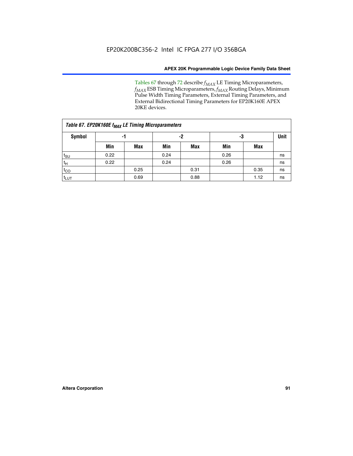Tables 67 through 72 describe *f<sub>MAX</sub>* LE Timing Microparameters, *f<sub>MAX</sub>* ESB Timing Microparameters, *f<sub>MAX</sub>* Routing Delays, Minimum Pulse Width Timing Parameters, External Timing Parameters, and External Bidirectional Timing Parameters for EP20K160E APEX 20KE devices.

| Table 67. EP20K160E f <sub>MAX</sub> LE Timing Microparameters |      |            |      |            |      |      |             |  |  |  |  |
|----------------------------------------------------------------|------|------------|------|------------|------|------|-------------|--|--|--|--|
| <b>Symbol</b>                                                  | -1   |            | -2   |            | -3   |      | <b>Unit</b> |  |  |  |  |
|                                                                | Min  | <b>Max</b> | Min  | <b>Max</b> | Min  | Max  |             |  |  |  |  |
| $t_{\text{SU}}$                                                | 0.22 |            | 0.24 |            | 0.26 |      | ns          |  |  |  |  |
| $t_H$                                                          | 0.22 |            | 0.24 |            | 0.26 |      | ns          |  |  |  |  |
| $t_{CO}$                                                       |      | 0.25       |      | 0.31       |      | 0.35 | ns          |  |  |  |  |
| t <sub>lut</sub>                                               |      | 0.69       |      | 0.88       |      | 1.12 | ns          |  |  |  |  |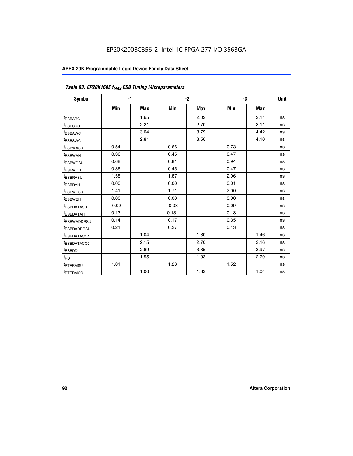| Table 68. EP20K160E f <sub>MAX</sub> ESB Timing Microparameters |         |            |         |            |      |      |      |
|-----------------------------------------------------------------|---------|------------|---------|------------|------|------|------|
| <b>Symbol</b>                                                   |         | $-1$       |         | $-2$       |      | -3   | Unit |
|                                                                 | Min     | <b>Max</b> | Min     | <b>Max</b> | Min  | Max  |      |
| <sup>I</sup> ESBARC                                             |         | 1.65       |         | 2.02       |      | 2.11 | ns   |
| t <sub>ESBSRC</sub>                                             |         | 2.21       |         | 2.70       |      | 3.11 | ns   |
| <sup>t</sup> ESBAWC                                             |         | 3.04       |         | 3.79       |      | 4.42 | ns   |
| t <sub>ESBSWC</sub>                                             |         | 2.81       |         | 3.56       |      | 4.10 | ns   |
| t <sub>ESBWASU</sub>                                            | 0.54    |            | 0.66    |            | 0.73 |      | ns   |
| t <sub>ESBWAH</sub>                                             | 0.36    |            | 0.45    |            | 0.47 |      | ns   |
| t <sub>ESBWDSU</sub>                                            | 0.68    |            | 0.81    |            | 0.94 |      | ns   |
| <sup>t</sup> ESBWDH                                             | 0.36    |            | 0.45    |            | 0.47 |      | ns   |
| t <sub>ESBRASU</sub>                                            | 1.58    |            | 1.87    |            | 2.06 |      | ns   |
| t <sub>ESBRAH</sub>                                             | 0.00    |            | 0.00    |            | 0.01 |      | ns   |
| <sup>t</sup> ESBWESU                                            | 1.41    |            | 1.71    |            | 2.00 |      | ns   |
| t <sub>ESBWEH</sub>                                             | 0.00    |            | 0.00    |            | 0.00 |      | ns   |
| <sup>t</sup> ESBDATASU                                          | $-0.02$ |            | $-0.03$ |            | 0.09 |      | ns   |
| t <sub>esbdatah</sub>                                           | 0.13    |            | 0.13    |            | 0.13 |      | ns   |
| <sup>t</sup> ESBWADDRSU                                         | 0.14    |            | 0.17    |            | 0.35 |      | ns   |
| <sup>t</sup> ESBRADDRSU                                         | 0.21    |            | 0.27    |            | 0.43 |      | ns   |
| <sup>I</sup> ESBDATACO1                                         |         | 1.04       |         | 1.30       |      | 1.46 | ns   |
| <sup>t</sup> ESBDATACO2                                         |         | 2.15       |         | 2.70       |      | 3.16 | ns   |
| t <sub>ESBDD</sub>                                              |         | 2.69       |         | 3.35       |      | 3.97 | ns   |
| t <sub>PD</sub>                                                 |         | 1.55       |         | 1.93       |      | 2.29 | ns   |
| <sup>t</sup> PTERMSU                                            | 1.01    |            | 1.23    |            | 1.52 |      | ns   |
| t <sub>PTERMCO</sub>                                            |         | 1.06       |         | 1.32       |      | 1.04 | ns   |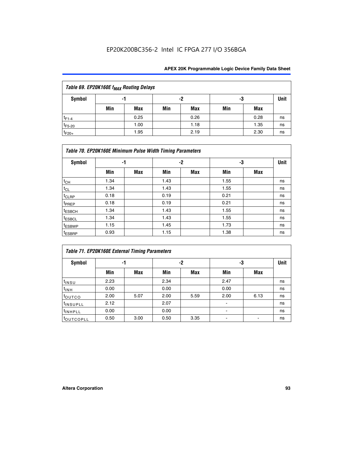| Table 69. EP20K160E f <sub>MAX</sub> Routing Delays |     |      |     |      |     |      |             |  |  |  |  |
|-----------------------------------------------------|-----|------|-----|------|-----|------|-------------|--|--|--|--|
| Symbol                                              | -1  |      |     | -2   | -3  |      | <b>Unit</b> |  |  |  |  |
|                                                     | Min | Max  | Min | Max  | Min | Max  |             |  |  |  |  |
| $t_{F1-4}$                                          |     | 0.25 |     | 0.26 |     | 0.28 | ns          |  |  |  |  |
| $t_{F5-20}$                                         |     | 1.00 |     | 1.18 |     | 1.35 | ns          |  |  |  |  |
| $t_{F20+}$                                          |     | 1.95 |     | 2.19 |     | 2.30 | ns          |  |  |  |  |

| Table 70. EP20K160E Minimum Pulse Width Timing Parameters |      |     |      |      |      |     |             |  |  |  |  |
|-----------------------------------------------------------|------|-----|------|------|------|-----|-------------|--|--|--|--|
| Symbol                                                    |      | -1  |      | $-2$ |      | -3  | <b>Unit</b> |  |  |  |  |
|                                                           | Min  | Max | Min  | Max  | Min  | Max |             |  |  |  |  |
| $t_{CH}$                                                  | 1.34 |     | 1.43 |      | 1.55 |     | ns          |  |  |  |  |
| $t_{CL}$                                                  | 1.34 |     | 1.43 |      | 1.55 |     | ns          |  |  |  |  |
| $t_{CLRP}$                                                | 0.18 |     | 0.19 |      | 0.21 |     | ns          |  |  |  |  |
| t <sub>PREP</sub>                                         | 0.18 |     | 0.19 |      | 0.21 |     | ns          |  |  |  |  |
| <sup>t</sup> ESBCH                                        | 1.34 |     | 1.43 |      | 1.55 |     | ns          |  |  |  |  |
| <sup>t</sup> ESBCL                                        | 1.34 |     | 1.43 |      | 1.55 |     | ns          |  |  |  |  |
| <sup>t</sup> ESBWP                                        | 1.15 |     | 1.45 |      | 1.73 |     | ns          |  |  |  |  |
| <sup>t</sup> ESBRP                                        | 0.93 |     | 1.15 |      | 1.38 |     | ns          |  |  |  |  |

| Table 71. EP20K160E External Timing Parameters |      |      |      |      |                |      |      |  |  |  |  |
|------------------------------------------------|------|------|------|------|----------------|------|------|--|--|--|--|
| Symbol                                         | -1   |      |      | -2   | -3             |      | Unit |  |  |  |  |
|                                                | Min  | Max  | Min  | Max  | Min            | Max  |      |  |  |  |  |
| $t_{INSU}$                                     | 2.23 |      | 2.34 |      | 2.47           |      | ns   |  |  |  |  |
| $t_{INH}$                                      | 0.00 |      | 0.00 |      | 0.00           |      | ns   |  |  |  |  |
| toutco                                         | 2.00 | 5.07 | 2.00 | 5.59 | 2.00           | 6.13 | ns   |  |  |  |  |
| <sup>t</sup> INSUPLL                           | 2.12 |      | 2.07 |      | $\blacksquare$ |      | ns   |  |  |  |  |
| <sup>t</sup> INHPLL                            | 0.00 |      | 0.00 |      | ۰              |      | ns   |  |  |  |  |
| toutcopll                                      | 0.50 | 3.00 | 0.50 | 3.35 |                |      | ns   |  |  |  |  |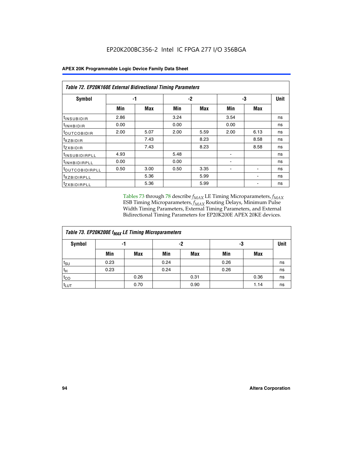|  | <b>APEX 20K Programmable Logic Device Family Data Sheet</b> |
|--|-------------------------------------------------------------|
|--|-------------------------------------------------------------|

|                               | <b>Table 72. EP20K160E External Bidirectional Timing Parameters</b> |      |      |            |                |      |    |  |  |  |  |  |
|-------------------------------|---------------------------------------------------------------------|------|------|------------|----------------|------|----|--|--|--|--|--|
| Symbol                        |                                                                     | -1   |      | -2         | -3             | Unit |    |  |  |  |  |  |
|                               | Min                                                                 | Max  | Min  | <b>Max</b> | Min            | Max  |    |  |  |  |  |  |
| t <sub>insu<u>bidir</u></sub> | 2.86                                                                |      | 3.24 |            | 3.54           |      | ns |  |  |  |  |  |
| <b>UNHBIDIR</b>               | 0.00                                                                |      | 0.00 |            | 0.00           |      | ns |  |  |  |  |  |
| <b>LOUTCOBIDIR</b>            | 2.00                                                                | 5.07 | 2.00 | 5.59       | 2.00           | 6.13 | ns |  |  |  |  |  |
| KZBIDIR                       |                                                                     | 7.43 |      | 8.23       |                | 8.58 | ns |  |  |  |  |  |
| <sup>t</sup> zxbidir          |                                                                     | 7.43 |      | 8.23       |                | 8.58 | ns |  |  |  |  |  |
| <sup>t</sup> INSUBIDIRPLL     | 4.93                                                                |      | 5.48 |            | ٠              |      | ns |  |  |  |  |  |
| <b>INHBIDIRPLL</b>            | 0.00                                                                |      | 0.00 |            | $\blacksquare$ |      | ns |  |  |  |  |  |
| <b><i>LOUTCOBIDIRPLL</i></b>  | 0.50                                                                | 3.00 | 0.50 | 3.35       |                |      | ns |  |  |  |  |  |
| <sup>T</sup> XZBIDIRPLL       |                                                                     | 5.36 |      | 5.99       |                |      | ns |  |  |  |  |  |
| <sup>t</sup> ZXBIDIRPLL       |                                                                     | 5.36 |      | 5.99       |                |      | ns |  |  |  |  |  |

Tables 73 through 78 describe  $f_{MAX}$  LE Timing Microparameters,  $f_{MAX}$ ESB Timing Microparameters, *f<sub>MAX</sub>* Routing Delays, Minimum Pulse Width Timing Parameters, External Timing Parameters, and External Bidirectional Timing Parameters for EP20K200E APEX 20KE devices.

| Table 73. EP20K200E f <sub>MAX</sub> LE Timing Microparameters |      |      |      |            |      |      |             |  |  |  |  |
|----------------------------------------------------------------|------|------|------|------------|------|------|-------------|--|--|--|--|
| <b>Symbol</b>                                                  | -1   |      | -2   |            | -3   |      | <b>Unit</b> |  |  |  |  |
|                                                                | Min  | Max  | Min  | <b>Max</b> | Min  | Max  |             |  |  |  |  |
| $t_{\text{SU}}$                                                | 0.23 |      | 0.24 |            | 0.26 |      | ns          |  |  |  |  |
| $t_H$                                                          | 0.23 |      | 0.24 |            | 0.26 |      | ns          |  |  |  |  |
| $t_{CO}$                                                       |      | 0.26 |      | 0.31       |      | 0.36 | ns          |  |  |  |  |
| t <sub>LUT</sub>                                               |      | 0.70 |      | 0.90       |      | 1.14 | ns          |  |  |  |  |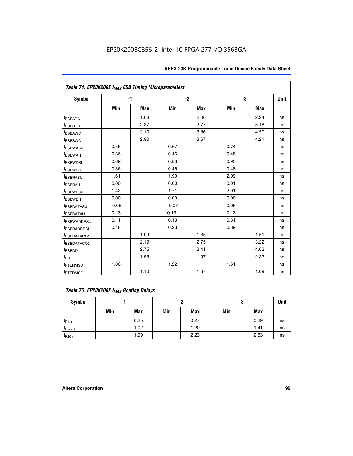| Table 74. EP20K200E f <sub>MAX</sub> ESB Timing Microparameters |         |            |         |      |      |      |    |
|-----------------------------------------------------------------|---------|------------|---------|------|------|------|----|
| Symbol                                                          |         | $-1$       |         | $-2$ |      | -3   |    |
|                                                                 | Min     | <b>Max</b> | Min     | Max  | Min  | Max  |    |
| <sup>t</sup> ESBARC                                             |         | 1.68       |         | 2.06 |      | 2.24 | ns |
| <sup>t</sup> ESBSRC                                             |         | 2.27       |         | 2.77 |      | 3.18 | ns |
| t <sub>ESBAWC</sub>                                             |         | 3.10       |         | 3.86 |      | 4.50 | ns |
| <sup>t</sup> ESBSWC                                             |         | 2.90       |         | 3.67 |      | 4.21 | ns |
| t <sub>ESBWASU</sub>                                            | 0.55    |            | 0.67    |      | 0.74 |      | ns |
| <sup>t</sup> ESBWAH                                             | 0.36    |            | 0.46    |      | 0.48 |      | ns |
| <sup>t</sup> ESBWDSU                                            | 0.69    |            | 0.83    |      | 0.95 |      | ns |
| <sup>t</sup> ESBWDH                                             | 0.36    |            | 0.46    |      | 0.48 |      | ns |
| <sup>t</sup> ESBRASU                                            | 1.61    |            | 1.90    |      | 2.09 |      | ns |
| t <sub>ESBRAH</sub>                                             | 0.00    |            | 0.00    |      | 0.01 |      | ns |
| t <sub>ESBWESU</sub>                                            | 1.42    |            | 1.71    |      | 2.01 |      | ns |
| <sup>I</sup> ESBWEH                                             | 0.00    |            | 0.00    |      | 0.00 |      | ns |
| t <sub>ESBDATASU</sub>                                          | $-0.06$ |            | $-0.07$ |      | 0.05 |      | ns |
| <b>ESBDATAH</b>                                                 | 0.13    |            | 0.13    |      | 0.13 |      | ns |
| t <sub>ESBWADDRSU</sub>                                         | 0.11    |            | 0.13    |      | 0.31 |      | ns |
| <sup>t</sup> ESBRADDRSU                                         | 0.18    |            | 0.23    |      | 0.39 |      | ns |
| ESBDATACO1                                                      |         | 1.09       |         | 1.35 |      | 1.51 | ns |
| <sup>t</sup> ESBDATACO <sub>2</sub>                             |         | 2.19       |         | 2.75 |      | 3.22 | ns |
| t <sub>ESBDD</sub>                                              |         | 2.75       |         | 3.41 |      | 4.03 | ns |
| $t_{PD}$                                                        |         | 1.58       |         | 1.97 |      | 2.33 | ns |
| <sup>t</sup> PTERMSU                                            | 1.00    |            | 1.22    |      | 1.51 |      | ns |
| t <sub>PTERMCO</sub>                                            |         | 1.10       |         | 1.37 |      | 1.09 | ns |

| Table 75. EP20K200E f <sub>MAX</sub> Routing Delays |                |      |     |            |     |      |    |  |  |  |
|-----------------------------------------------------|----------------|------|-----|------------|-----|------|----|--|--|--|
| Symbol                                              | -2<br>-3<br>-1 |      |     |            |     |      |    |  |  |  |
|                                                     | Min            | Max  | Min | <b>Max</b> | Min | Max  |    |  |  |  |
| $t_{F1-4}$                                          |                | 0.25 |     | 0.27       |     | 0.29 | ns |  |  |  |
| $t_{F5-20}$                                         |                | 1.02 |     | 1.20       |     | 1.41 | ns |  |  |  |
| $t_{F20+}$                                          |                | 1.99 |     | 2.23       |     | 2.53 | ns |  |  |  |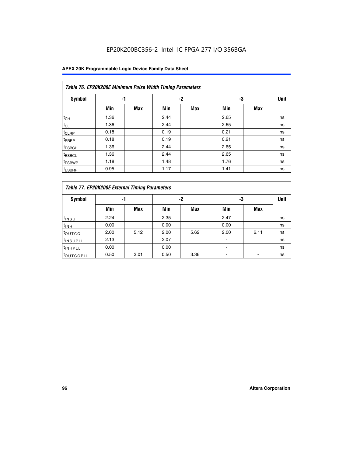| Table 76. EP20K200E Minimum Pulse Width Timing Parameters |      |            |      |      |      |            |             |  |  |  |
|-----------------------------------------------------------|------|------------|------|------|------|------------|-------------|--|--|--|
| Symbol                                                    | -1   |            |      | $-2$ | -3   |            | <b>Unit</b> |  |  |  |
|                                                           | Min  | <b>Max</b> | Min  | Max  | Min  | <b>Max</b> |             |  |  |  |
| $t_{CH}$                                                  | 1.36 |            | 2.44 |      | 2.65 |            | ns          |  |  |  |
| $t_{CL}$                                                  | 1.36 |            | 2.44 |      | 2.65 |            | ns          |  |  |  |
| $t_{CLRP}$                                                | 0.18 |            | 0.19 |      | 0.21 |            | ns          |  |  |  |
| <sup>t</sup> PREP                                         | 0.18 |            | 0.19 |      | 0.21 |            | ns          |  |  |  |
| <sup>t</sup> ESBCH                                        | 1.36 |            | 2.44 |      | 2.65 |            | ns          |  |  |  |
| <sup>t</sup> ESBCL                                        | 1.36 |            | 2.44 |      | 2.65 |            | ns          |  |  |  |
| <sup>t</sup> ESBWP                                        | 1.18 |            | 1.48 |      | 1.76 |            | ns          |  |  |  |
| <sup>t</sup> ESBRP                                        | 0.95 |            | 1.17 |      | 1.41 |            | ns          |  |  |  |

| Table 77. EP20K200E External Timing Parameters |      |            |      |            |      |      |             |  |  |  |  |
|------------------------------------------------|------|------------|------|------------|------|------|-------------|--|--|--|--|
| <b>Symbol</b>                                  |      | -1         |      | -2         |      | -3   | <b>Unit</b> |  |  |  |  |
|                                                | Min  | <b>Max</b> | Min  | <b>Max</b> | Min  | Max  |             |  |  |  |  |
| t <sub>INSU</sub>                              | 2.24 |            | 2.35 |            | 2.47 |      | ns          |  |  |  |  |
| $t_{\text{INH}}$                               | 0.00 |            | 0.00 |            | 0.00 |      | ns          |  |  |  |  |
| toutco                                         | 2.00 | 5.12       | 2.00 | 5.62       | 2.00 | 6.11 | ns          |  |  |  |  |
| <sup>t</sup> INSUPLL                           | 2.13 |            | 2.07 |            |      |      | ns          |  |  |  |  |
| <sup>t</sup> INHPLL                            | 0.00 |            | 0.00 |            |      |      | ns          |  |  |  |  |
| <sup>I</sup> OUTCOPLL                          | 0.50 | 3.01       | 0.50 | 3.36       |      |      | ns          |  |  |  |  |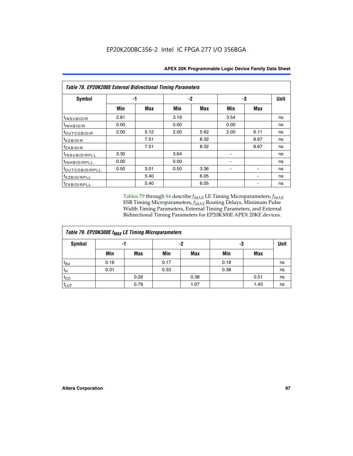|                           | <b>Table 78. EP20K200E External Bidirectional Timing Parameters</b> |      |      |      |      |            |             |  |  |  |  |
|---------------------------|---------------------------------------------------------------------|------|------|------|------|------------|-------------|--|--|--|--|
| Symbol                    |                                                                     | -1   | $-2$ |      |      | -3         | <b>Unit</b> |  |  |  |  |
|                           | Min                                                                 | Max  | Min  | Max  | Min  | <b>Max</b> |             |  |  |  |  |
| $t_{INSUBIDIR}$           | 2.81                                                                |      | 3.19 |      | 3.54 |            | ns          |  |  |  |  |
| t <sub>INHBIDIR</sub>     | 0.00                                                                |      | 0.00 |      | 0.00 |            | ns          |  |  |  |  |
| t <sub>outcobidir</sub>   | 2.00                                                                | 5.12 | 2.00 | 5.62 | 2.00 | 6.11       | ns          |  |  |  |  |
| <i>txzbidir</i>           |                                                                     | 7.51 |      | 8.32 |      | 8.67       | ns          |  |  |  |  |
| tzxbidir                  |                                                                     | 7.51 |      | 8.32 |      | 8.67       | ns          |  |  |  |  |
| t <sub>INSUBIDIRPLL</sub> | 3.30                                                                |      | 3.64 |      |      |            | ns          |  |  |  |  |
| <sup>t</sup> INHBIDIRPLL  | 0.00                                                                |      | 0.00 |      |      |            | ns          |  |  |  |  |
| tout COBIDIRPLL           | 0.50                                                                | 3.01 | 0.50 | 3.36 |      |            | ns          |  |  |  |  |
| <i>txzBIDIRPLL</i>        |                                                                     | 5.40 |      | 6.05 |      |            | ns          |  |  |  |  |
| tzxBIDIRPLL               |                                                                     | 5.40 |      | 6.05 |      |            | ns          |  |  |  |  |

Tables 79 through 84 describe  $f_{MAX}$  LE Timing Microparameters,  $f_{MAX}$ ESB Timing Microparameters, *f<sub>MAX</sub>* Routing Delays, Minimum Pulse Width Timing Parameters, External Timing Parameters, and External Bidirectional Timing Parameters for EP20K300E APEX 20KE devices.

| Table 79. EP20K300E f <sub>MAX</sub> LE Timing Microparameters |      |            |      |            |      |      |             |  |  |  |  |
|----------------------------------------------------------------|------|------------|------|------------|------|------|-------------|--|--|--|--|
| <b>Symbol</b>                                                  |      | -1         | -2   |            | -3   |      | <b>Unit</b> |  |  |  |  |
|                                                                | Min  | <b>Max</b> | Min  | <b>Max</b> | Min  | Max  |             |  |  |  |  |
| $t_{\text{SU}}$                                                | 0.16 |            | 0.17 |            | 0.18 |      | ns          |  |  |  |  |
| $t_H$                                                          | 0.31 |            | 0.33 |            | 0.38 |      | ns          |  |  |  |  |
| $t_{CO}$                                                       |      | 0.28       |      | 0.38       |      | 0.51 | ns          |  |  |  |  |
| $t_{LUT}$                                                      |      | 0.79       |      | 1.07       |      | 1.43 | ns          |  |  |  |  |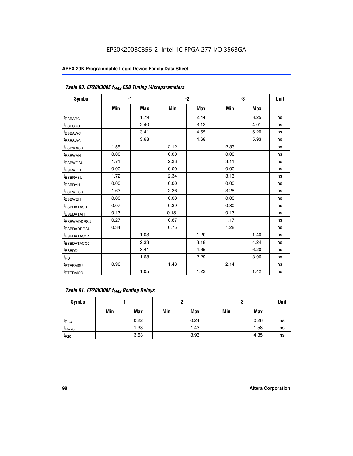| Table 80. EP20K300E f <sub>MAX</sub> ESB Timing Microparameters |      |      |      |      |      |      |      |
|-----------------------------------------------------------------|------|------|------|------|------|------|------|
| <b>Symbol</b>                                                   |      | $-1$ |      | $-2$ |      | -3   | Unit |
|                                                                 | Min  | Max  | Min  | Max  | Min  | Max  |      |
| <sup>t</sup> ESBARC                                             |      | 1.79 |      | 2.44 |      | 3.25 | ns   |
| t <sub>ESBSRC</sub>                                             |      | 2.40 |      | 3.12 |      | 4.01 | ns   |
| t <sub>ESBAWC</sub>                                             |      | 3.41 |      | 4.65 |      | 6.20 | ns   |
| <sup>t</sup> ESBSWC                                             |      | 3.68 |      | 4.68 |      | 5.93 | ns   |
| t <sub>ESBWASU</sub>                                            | 1.55 |      | 2.12 |      | 2.83 |      | ns   |
| t <sub>ESBWAH</sub>                                             | 0.00 |      | 0.00 |      | 0.00 |      | ns   |
| <sup>t</sup> ESBWDSU                                            | 1.71 |      | 2.33 |      | 3.11 |      | ns   |
| <sup>t</sup> ESBWDH                                             | 0.00 |      | 0.00 |      | 0.00 |      | ns   |
| t <sub>ESBRASU</sub>                                            | 1.72 |      | 2.34 |      | 3.13 |      | ns   |
| <sup>t</sup> ESBRAH                                             | 0.00 |      | 0.00 |      | 0.00 |      | ns   |
| t <sub>ESBWESU</sub>                                            | 1.63 |      | 2.36 |      | 3.28 |      | ns   |
| <sup>t</sup> ESBWEH                                             | 0.00 |      | 0.00 |      | 0.00 |      | ns   |
| <sup>t</sup> ESBDATASU                                          | 0.07 |      | 0.39 |      | 0.80 |      | ns   |
| <sup>t</sup> ESBDATAH                                           | 0.13 |      | 0.13 |      | 0.13 |      | ns   |
| <sup>t</sup> ESBWADDRSU                                         | 0.27 |      | 0.67 |      | 1.17 |      | ns   |
| tESBRADDRSU                                                     | 0.34 |      | 0.75 |      | 1.28 |      | ns   |
| <sup>I</sup> ESBDATACO1                                         |      | 1.03 |      | 1.20 |      | 1.40 | ns   |
| <sup>t</sup> ESBDATACO2                                         |      | 2.33 |      | 3.18 |      | 4.24 | ns   |
| <sup>t</sup> ESBDD                                              |      | 3.41 |      | 4.65 |      | 6.20 | ns   |
| t <sub>PD</sub>                                                 |      | 1.68 |      | 2.29 |      | 3.06 | ns   |
| t <sub>PTERMSU</sub>                                            | 0.96 |      | 1.48 |      | 2.14 |      | ns   |
| t <sub>PTERMCO</sub>                                            |      | 1.05 |      | 1.22 |      | 1.42 | ns   |

| Table 81. EP20K300E f <sub>MAX</sub> Routing Delays |     |      |     |            |     |      |      |  |  |  |
|-----------------------------------------------------|-----|------|-----|------------|-----|------|------|--|--|--|
| Symbol                                              |     | -1   | -2  |            | -3  |      | Unit |  |  |  |
|                                                     | Min | Max  | Min | <b>Max</b> | Min | Max  |      |  |  |  |
| $t_{F1-4}$                                          |     | 0.22 |     | 0.24       |     | 0.26 | ns   |  |  |  |
| $t_{F5-20}$                                         |     | 1.33 |     | 1.43       |     | 1.58 | ns   |  |  |  |
| $t_{F20+}$                                          |     | 3.63 |     | 3.93       |     | 4.35 | ns   |  |  |  |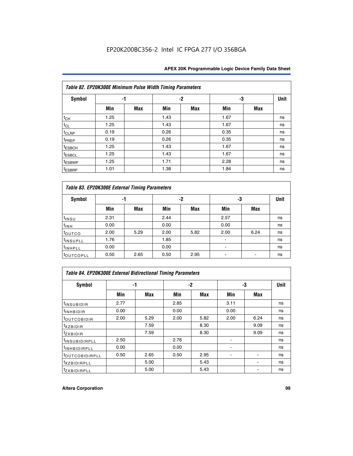|                    | Table 82. EP20K300E Minimum Pulse Width Timing Parameters |            |      |            |      |     |             |
|--------------------|-----------------------------------------------------------|------------|------|------------|------|-----|-------------|
| Symbol             | -1                                                        |            |      | -2         |      |     | <b>Unit</b> |
|                    | Min                                                       | <b>Max</b> | Min  | <b>Max</b> | Min  | Max |             |
| $t_{CH}$           | 1.25                                                      |            | 1.43 |            | 1.67 |     | ns          |
| $t_{CL}$           | 1.25                                                      |            | 1.43 |            | 1.67 |     | ns          |
| t <sub>CLRP</sub>  | 0.19                                                      |            | 0.26 |            | 0.35 |     | ns          |
| t <sub>PREP</sub>  | 0.19                                                      |            | 0.26 |            | 0.35 |     | ns          |
| <sup>t</sup> ESBCH | 1.25                                                      |            | 1.43 |            | 1.67 |     | ns          |
| <sup>t</sup> ESBCL | 1.25                                                      |            | 1.43 |            | 1.67 |     | ns          |
| <sup>t</sup> ESBWP | 1.25                                                      |            | 1.71 |            | 2.28 |     | ns          |
| <sup>t</sup> ESBRP | 1.01                                                      |            | 1.38 |            | 1.84 |     | ns          |

| Table 83. EP20K300E External Timing Parameters |      |      |      |      |      |            |             |  |  |  |  |
|------------------------------------------------|------|------|------|------|------|------------|-------------|--|--|--|--|
| Symbol                                         |      | -1   |      | -2   |      | -3         | <b>Unit</b> |  |  |  |  |
|                                                | Min  | Max  | Min  | Max  | Min  | <b>Max</b> |             |  |  |  |  |
| t <sub>INSU</sub>                              | 2.31 |      | 2.44 |      | 2.57 |            | ns          |  |  |  |  |
| $t_{INH}$                                      | 0.00 |      | 0.00 |      | 0.00 |            | ns          |  |  |  |  |
| toutco                                         | 2.00 | 5.29 | 2.00 | 5.82 | 2.00 | 6.24       | ns          |  |  |  |  |
| <sup>t</sup> INSUPLL                           | 1.76 |      | 1.85 |      |      |            | ns          |  |  |  |  |
| <sup>t</sup> INHPLL                            | 0.00 |      | 0.00 |      | -    |            | ns          |  |  |  |  |
| <sup>t</sup> OUTCOPLL                          | 0.50 | 2.65 | 0.50 | 2.95 |      |            | ns          |  |  |  |  |

| Table 84. EP20K300E External Bidirectional Timing Parameters |      |      |      |      |      |             |    |
|--------------------------------------------------------------|------|------|------|------|------|-------------|----|
| Symbol                                                       |      | -1   | $-2$ |      | -3   | <b>Unit</b> |    |
|                                                              | Min  | Max  | Min  | Max  | Min  | <b>Max</b>  |    |
| <sup>t</sup> INSUBIDIR                                       | 2.77 |      | 2.85 |      | 3.11 |             | ns |
| <b>TINHBIDIR</b>                                             | 0.00 |      | 0.00 |      | 0.00 |             | ns |
| <sup>t</sup> OUTCOBIDIR                                      | 2.00 | 5.29 | 2.00 | 5.82 | 2.00 | 6.24        | ns |
| KZBIDIR                                                      |      | 7.59 |      | 8.30 |      | 9.09        | ns |
| $t_{Z}$ <i>x</i> BIDIR                                       |      | 7.59 |      | 8.30 |      | 9.09        | ns |
| <b>INSUBIDIRPLL</b>                                          | 2.50 |      | 2.76 |      |      |             | ns |
| <sup>t</sup> INHBIDIRPLL                                     | 0.00 |      | 0.00 |      |      |             | ns |
| <sup>t</sup> OUTCOBIDIRPLL                                   | 0.50 | 2.65 | 0.50 | 2.95 |      |             | ns |
| <sup>t</sup> XZBIDIRPLL                                      |      | 5.00 |      | 5.43 |      |             | ns |
| <sup>t</sup> ZXBIDIRPLL                                      |      | 5.00 |      | 5.43 |      |             | ns |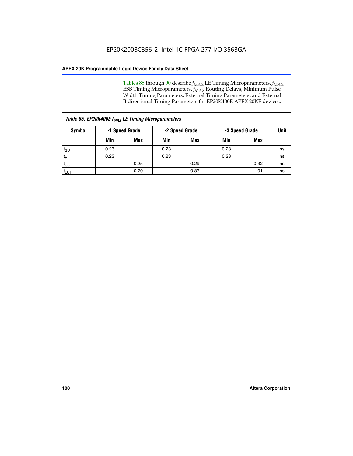Tables 85 through 90 describe  $f_{MAX}$  LE Timing Microparameters,  $f_{MAX}$ ESB Timing Microparameters, *f<sub>MAX</sub>* Routing Delays, Minimum Pulse Width Timing Parameters, External Timing Parameters, and External Bidirectional Timing Parameters for EP20K400E APEX 20KE devices.

| Table 85. EP20K400E f <sub>MAX</sub> LE Timing Microparameters |      |                |      |                |      |                |             |  |  |  |  |
|----------------------------------------------------------------|------|----------------|------|----------------|------|----------------|-------------|--|--|--|--|
| Symbol                                                         |      | -1 Speed Grade |      | -2 Speed Grade |      | -3 Speed Grade | <b>Unit</b> |  |  |  |  |
|                                                                | Min  | <b>Max</b>     | Min  | <b>Max</b>     | Min  | Max            |             |  |  |  |  |
| $t_{\text{SU}}$                                                | 0.23 |                | 0.23 |                | 0.23 |                | ns          |  |  |  |  |
| $t_H$                                                          | 0.23 |                | 0.23 |                | 0.23 |                | ns          |  |  |  |  |
| $t_{CO}$                                                       |      | 0.25           |      | 0.29           |      | 0.32           | ns          |  |  |  |  |
| ι <sup>t</sup> ιυτ                                             |      | 0.70           |      | 0.83           |      | 1.01           | ns          |  |  |  |  |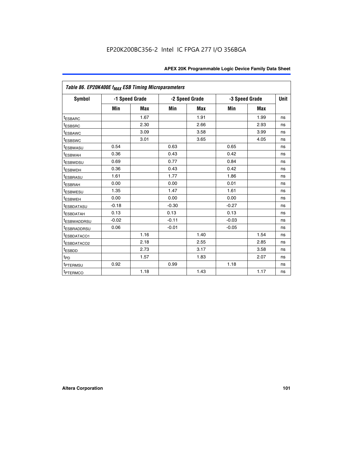| Table 86. EP20K400E f <sub>MAX</sub> ESB Timing Microparameters |         |                |         |                |         |                |             |
|-----------------------------------------------------------------|---------|----------------|---------|----------------|---------|----------------|-------------|
| Symbol                                                          |         | -1 Speed Grade |         | -2 Speed Grade |         | -3 Speed Grade | <b>Unit</b> |
|                                                                 | Min     | <b>Max</b>     | Min     | <b>Max</b>     | Min     | <b>Max</b>     |             |
| <sup>t</sup> ESBARC                                             |         | 1.67           |         | 1.91           |         | 1.99           | ns          |
| <sup>t</sup> ESBSRC                                             |         | 2.30           |         | 2.66           |         | 2.93           | ns          |
| <sup>t</sup> ESBAWC                                             |         | 3.09           |         | 3.58           |         | 3.99           | ns          |
| <sup>t</sup> ESBSWC                                             |         | 3.01           |         | 3.65           |         | 4.05           | ns          |
| <sup>t</sup> ESBWASU                                            | 0.54    |                | 0.63    |                | 0.65    |                | ns          |
| t <sub>ESBWAH</sub>                                             | 0.36    |                | 0.43    |                | 0.42    |                | ns          |
| <sup>t</sup> ESBWDSU                                            | 0.69    |                | 0.77    |                | 0.84    |                | ns          |
| <sup>t</sup> ESBWDH                                             | 0.36    |                | 0.43    |                | 0.42    |                | ns          |
| <sup>t</sup> ESBRASU                                            | 1.61    |                | 1.77    |                | 1.86    |                | ns          |
| <sup>t</sup> ESBRAH                                             | 0.00    |                | 0.00    |                | 0.01    |                | ns          |
| t <sub>ESBWESU</sub>                                            | 1.35    |                | 1.47    |                | 1.61    |                | ns          |
| t <sub>ESBWEH</sub>                                             | 0.00    |                | 0.00    |                | 0.00    |                | ns          |
| <sup>I</sup> ESBDATASU                                          | $-0.18$ |                | $-0.30$ |                | $-0.27$ |                | ns          |
| <b>ESBDATAH</b>                                                 | 0.13    |                | 0.13    |                | 0.13    |                | ns          |
| <sup>t</sup> ESBWADDRSU                                         | $-0.02$ |                | $-0.11$ |                | $-0.03$ |                | ns          |
| t <sub>ESBRADDRSU</sub>                                         | 0.06    |                | $-0.01$ |                | $-0.05$ |                | ns          |
| <sup>t</sup> ESBDATACO1                                         |         | 1.16           |         | 1.40           |         | 1.54           | ns          |
| <sup>I</sup> ESBDATACO2                                         |         | 2.18           |         | 2.55           |         | 2.85           | ns          |
| <sup>t</sup> ESBDD                                              |         | 2.73           |         | 3.17           |         | 3.58           | ns          |
| $t_{\mathsf{PD}}$                                               |         | 1.57           |         | 1.83           |         | 2.07           | ns          |
| t <sub>PTERMSU</sub>                                            | 0.92    |                | 0.99    |                | 1.18    |                | ns          |
| <sup>t</sup> PTERMCO                                            |         | 1.18           |         | 1.43           |         | 1.17           | ns          |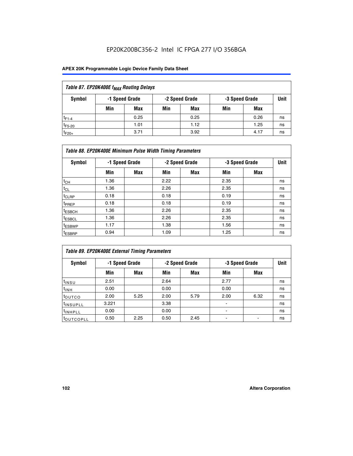| Table 87. EP20K400E f <sub>MAX</sub> Routing Delays |                                                    |            |     |      |     |      |    |  |  |  |  |
|-----------------------------------------------------|----------------------------------------------------|------------|-----|------|-----|------|----|--|--|--|--|
| Symbol                                              | -2 Speed Grade<br>-1 Speed Grade<br>-3 Speed Grade |            |     |      |     |      |    |  |  |  |  |
|                                                     | Min                                                | <b>Max</b> | Min | Max  | Min | Max  |    |  |  |  |  |
| $t_{F1-4}$                                          |                                                    | 0.25       |     | 0.25 |     | 0.26 | ns |  |  |  |  |
| $t_{F5-20}$                                         |                                                    | 1.01       |     | 1.12 |     | 1.25 | ns |  |  |  |  |
| $t_{F20+}$                                          |                                                    | 3.71       |     | 3.92 |     | 4.17 | ns |  |  |  |  |

|                    | Table 88. EP20K400E Minimum Pulse Width Timing Parameters |                |      |                |      |                |             |  |  |  |  |
|--------------------|-----------------------------------------------------------|----------------|------|----------------|------|----------------|-------------|--|--|--|--|
| Symbol             |                                                           | -1 Speed Grade |      | -2 Speed Grade |      | -3 Speed Grade | <b>Unit</b> |  |  |  |  |
|                    | Min                                                       | <b>Max</b>     | Min  | <b>Max</b>     | Min  | Max            |             |  |  |  |  |
| $t_{CH}$           | 1.36                                                      |                | 2.22 |                | 2.35 |                | ns          |  |  |  |  |
| $t_{\rm CL}$       | 1.36                                                      |                | 2.26 |                | 2.35 |                | ns          |  |  |  |  |
| $t_{CLRP}$         | 0.18                                                      |                | 0.18 |                | 0.19 |                | ns          |  |  |  |  |
| <sup>t</sup> PREP  | 0.18                                                      |                | 0.18 |                | 0.19 |                | ns          |  |  |  |  |
| <sup>t</sup> ESBCH | 1.36                                                      |                | 2.26 |                | 2.35 |                | ns          |  |  |  |  |
| <sup>t</sup> ESBCL | 1.36                                                      |                | 2.26 |                | 2.35 |                | ns          |  |  |  |  |
| <sup>t</sup> ESBWP | 1.17                                                      |                | 1.38 |                | 1.56 |                | ns          |  |  |  |  |
| <sup>t</sup> ESBRP | 0.94                                                      |                | 1.09 |                | 1.25 |                | ns          |  |  |  |  |

|                      | Table 89. EP20K400E External Timing Parameters |            |      |                |      |                |      |  |  |  |  |  |
|----------------------|------------------------------------------------|------------|------|----------------|------|----------------|------|--|--|--|--|--|
| Symbol               | -1 Speed Grade                                 |            |      | -2 Speed Grade |      | -3 Speed Grade | Unit |  |  |  |  |  |
|                      | Min                                            | <b>Max</b> | Min  | <b>Max</b>     | Min  | Max            |      |  |  |  |  |  |
| $t_{INSU}$           | 2.51                                           |            | 2.64 |                | 2.77 |                | ns   |  |  |  |  |  |
| $t_{INH}$            | 0.00                                           |            | 0.00 |                | 0.00 |                | ns   |  |  |  |  |  |
| t <sub>outco</sub>   | 2.00                                           | 5.25       | 2.00 | 5.79           | 2.00 | 6.32           | ns   |  |  |  |  |  |
| <sup>t</sup> INSUPLL | 3.221                                          |            | 3.38 |                |      |                | ns   |  |  |  |  |  |
| <sup>t</sup> INHPLL  | 0.00                                           |            | 0.00 |                | -    |                | ns   |  |  |  |  |  |
| toutcopll            | 0.50                                           | 2.25       | 0.50 | 2.45           |      |                | ns   |  |  |  |  |  |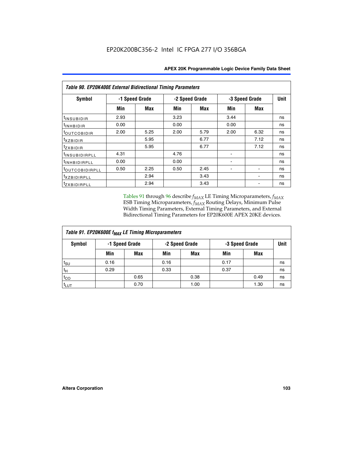| <b>Table 90. EP20K400E External Bidirectional Timing Parameters</b> |                |      |                |      |      |                |             |  |  |  |
|---------------------------------------------------------------------|----------------|------|----------------|------|------|----------------|-------------|--|--|--|
| Symbol                                                              | -1 Speed Grade |      | -2 Speed Grade |      |      | -3 Speed Grade | <b>Unit</b> |  |  |  |
|                                                                     | Min            | Max  | Min            | Max  | Min  | Max            |             |  |  |  |
| t <sub>INSUBIDIR</sub>                                              | 2.93           |      | 3.23           |      | 3.44 |                | ns          |  |  |  |
| t <sub>INHBIDIR</sub>                                               | 0.00           |      | 0.00           |      | 0.00 |                | ns          |  |  |  |
| t <sub>OUTCOBIDIR</sub>                                             | 2.00           | 5.25 | 2.00           | 5.79 | 2.00 | 6.32           | ns          |  |  |  |
| <i>txzbidir</i>                                                     |                | 5.95 |                | 6.77 |      | 7.12           | ns          |  |  |  |
| tzxbidir                                                            |                | 5.95 |                | 6.77 |      | 7.12           | ns          |  |  |  |
| <sup>t</sup> INSUBIDIRPLL                                           | 4.31           |      | 4.76           |      |      |                | ns          |  |  |  |
| t <sub>INHBIDIRPLL</sub>                                            | 0.00           |      | 0.00           |      |      |                | ns          |  |  |  |
| toutco <u>bidirpll</u>                                              | 0.50           | 2.25 | 0.50           | 2.45 |      |                | ns          |  |  |  |
| <sup>t</sup> xzbidirpll                                             |                | 2.94 |                | 3.43 |      |                | ns          |  |  |  |
| tzxBIDIRPLL                                                         |                | 2.94 |                | 3.43 |      |                | ns          |  |  |  |

Tables 91 through 96 describe  $f_{MAX}$  LE Timing Microparameters,  $f_{MAX}$ ESB Timing Microparameters, *f<sub>MAX</sub>* Routing Delays, Minimum Pulse Width Timing Parameters, External Timing Parameters, and External Bidirectional Timing Parameters for EP20K600E APEX 20KE devices.

| Table 91. EP20K600E f <sub>MAX</sub> LE Timing Microparameters |                |            |                |            |                |      |      |  |  |  |
|----------------------------------------------------------------|----------------|------------|----------------|------------|----------------|------|------|--|--|--|
| Symbol                                                         | -1 Speed Grade |            | -2 Speed Grade |            | -3 Speed Grade |      | Unit |  |  |  |
|                                                                | Min            | <b>Max</b> | Min            | <b>Max</b> | Min            | Max  |      |  |  |  |
| $t_{\text{SU}}$                                                | 0.16           |            | 0.16           |            | 0.17           |      | ns   |  |  |  |
| $t_H$                                                          | 0.29           |            | 0.33           |            | 0.37           |      | ns   |  |  |  |
| $t_{CO}$                                                       |                | 0.65       |                | 0.38       |                | 0.49 | ns   |  |  |  |
| $t_{LUT}$                                                      |                | 0.70       |                | 1.00       |                | 1.30 | ns   |  |  |  |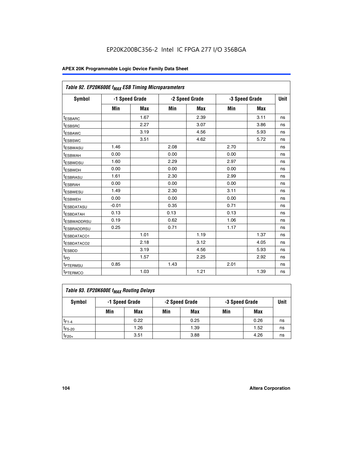| Table 92. EP20K600E f <sub>MAX</sub> ESB Timing Microparameters |         |                |      |                |      |                |             |
|-----------------------------------------------------------------|---------|----------------|------|----------------|------|----------------|-------------|
| <b>Symbol</b>                                                   |         | -1 Speed Grade |      | -2 Speed Grade |      | -3 Speed Grade | <b>Unit</b> |
|                                                                 | Min     | Max            | Min  | Max            | Min  | Max            |             |
| <sup>t</sup> ESBARC                                             |         | 1.67           |      | 2.39           |      | 3.11           | ns          |
| t <sub>ESBSRC</sub>                                             |         | 2.27           |      | 3.07           |      | 3.86           | ns          |
| <sup>t</sup> ESBAWC                                             |         | 3.19           |      | 4.56           |      | 5.93           | ns          |
| <sup>t</sup> ESBSWC                                             |         | 3.51           |      | 4.62           |      | 5.72           | ns          |
| <sup>t</sup> ESBWASU                                            | 1.46    |                | 2.08 |                | 2.70 |                | ns          |
| t <sub>ESBWAH</sub>                                             | 0.00    |                | 0.00 |                | 0.00 |                | ns          |
| t <sub>ESBWDSU</sub>                                            | 1.60    |                | 2.29 |                | 2.97 |                | ns          |
| t <sub>ESBWDH</sub>                                             | 0.00    |                | 0.00 |                | 0.00 |                | ns          |
| <sup>t</sup> ESBRASU                                            | 1.61    |                | 2.30 |                | 2.99 |                | ns          |
| <sup>t</sup> ESBRAH                                             | 0.00    |                | 0.00 |                | 0.00 |                | ns          |
| t <sub>ESBWESU</sub>                                            | 1.49    |                | 2.30 |                | 3.11 |                | ns          |
| t <sub>ESBWEH</sub>                                             | 0.00    |                | 0.00 |                | 0.00 |                | ns          |
| t <sub>ESBDATASU</sub>                                          | $-0.01$ |                | 0.35 |                | 0.71 |                | ns          |
| <sup>t</sup> ESBDATAH                                           | 0.13    |                | 0.13 |                | 0.13 |                | ns          |
| <sup>t</sup> ESBWADDRSU                                         | 0.19    |                | 0.62 |                | 1.06 |                | ns          |
| <sup>t</sup> ESBRADDRSU                                         | 0.25    |                | 0.71 |                | 1.17 |                | ns          |
| <sup>t</sup> ESBDATACO1                                         |         | 1.01           |      | 1.19           |      | 1.37           | ns          |
| <sup>t</sup> ESBDATACO2                                         |         | 2.18           |      | 3.12           |      | 4.05           | ns          |
| <sup>t</sup> ESBDD                                              |         | 3.19           |      | 4.56           |      | 5.93           | ns          |
| t <sub>PD</sub>                                                 |         | 1.57           |      | 2.25           |      | 2.92           | ns          |
| <b>TPTERMSU</b>                                                 | 0.85    |                | 1.43 |                | 2.01 |                | ns          |
| t <sub>PTERMCO</sub>                                            |         | 1.03           |      | 1.21           |      | 1.39           | ns          |

| Table 93. EP20K600E f <sub>MAX</sub> Routing Delays |                                                    |      |     |      |     |      |    |  |  |  |  |
|-----------------------------------------------------|----------------------------------------------------|------|-----|------|-----|------|----|--|--|--|--|
| Symbol                                              | -1 Speed Grade<br>-2 Speed Grade<br>-3 Speed Grade |      |     |      |     |      |    |  |  |  |  |
|                                                     | Min                                                | Max  | Min | Max  | Min | Max  |    |  |  |  |  |
| $t_{F1-4}$                                          |                                                    | 0.22 |     | 0.25 |     | 0.26 | ns |  |  |  |  |
| $t_{F5-20}$                                         |                                                    | 1.26 |     | 1.39 |     | 1.52 | ns |  |  |  |  |
| $t_{F20+}$                                          |                                                    | 3.51 |     | 3.88 |     | 4.26 | ns |  |  |  |  |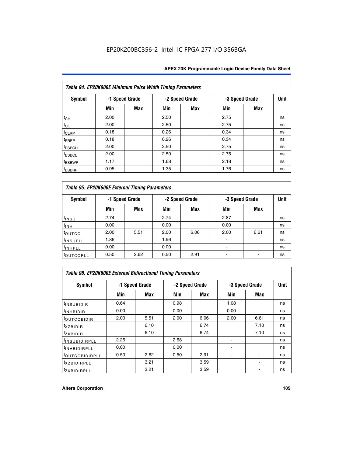|                    | Table 94. EP20K600E Minimum Pulse Width Timing Parameters |                |      |                |                |            |             |  |  |  |  |  |
|--------------------|-----------------------------------------------------------|----------------|------|----------------|----------------|------------|-------------|--|--|--|--|--|
| <b>Symbol</b>      |                                                           | -1 Speed Grade |      | -2 Speed Grade | -3 Speed Grade |            | <b>Unit</b> |  |  |  |  |  |
|                    | Min                                                       | <b>Max</b>     | Min  | Max            | Min            | <b>Max</b> |             |  |  |  |  |  |
| $t_{CH}$           | 2.00                                                      |                | 2.50 |                | 2.75           |            | ns          |  |  |  |  |  |
| $t_{CL}$           | 2.00                                                      |                | 2.50 |                | 2.75           |            | ns          |  |  |  |  |  |
| t <sub>CLRP</sub>  | 0.18                                                      |                | 0.26 |                | 0.34           |            | ns          |  |  |  |  |  |
| t <sub>PREP</sub>  | 0.18                                                      |                | 0.26 |                | 0.34           |            | ns          |  |  |  |  |  |
| <sup>t</sup> ESBCH | 2.00                                                      |                | 2.50 |                | 2.75           |            | ns          |  |  |  |  |  |
| <sup>t</sup> ESBCL | 2.00                                                      |                | 2.50 |                | 2.75           |            | ns          |  |  |  |  |  |
| <sup>t</sup> ESBWP | 1.17                                                      |                | 1.68 |                | 2.18           |            | ns          |  |  |  |  |  |
| <sup>t</sup> ESBRP | 0.95                                                      |                | 1.35 |                | 1.76           |            | ns          |  |  |  |  |  |

|                      | Table 95. EP20K600E External Timing Parameters |      |      |                |                          |                |             |  |  |  |  |  |  |
|----------------------|------------------------------------------------|------|------|----------------|--------------------------|----------------|-------------|--|--|--|--|--|--|
| Symbol               | -1 Speed Grade                                 |      |      | -2 Speed Grade |                          | -3 Speed Grade | <b>Unit</b> |  |  |  |  |  |  |
|                      | Min                                            | Max  | Min  | <b>Max</b>     | Min                      | Max            |             |  |  |  |  |  |  |
| t <sub>insu</sub>    | 2.74                                           |      | 2.74 |                | 2.87                     |                | ns          |  |  |  |  |  |  |
| $t_{INH}$            | 0.00                                           |      | 0.00 |                | 0.00                     |                | ns          |  |  |  |  |  |  |
| toutco               | 2.00                                           | 5.51 | 2.00 | 6.06           | 2.00                     | 6.61           | ns          |  |  |  |  |  |  |
| <sup>t</sup> INSUPLL | 1.86                                           |      | 1.96 |                |                          |                | ns          |  |  |  |  |  |  |
| <sup>t</sup> INHPLL  | 0.00                                           |      | 0.00 |                | $\overline{\phantom{a}}$ |                | ns          |  |  |  |  |  |  |
| <b>LOUTCOPLL</b>     | 0.50                                           | 2.62 | 0.50 | 2.91           |                          |                | ns          |  |  |  |  |  |  |

|                              | Table 96. EP20K600E External Bidirectional Timing Parameters |      |      |                |                |             |    |  |  |  |  |  |
|------------------------------|--------------------------------------------------------------|------|------|----------------|----------------|-------------|----|--|--|--|--|--|
| Symbol                       | -1 Speed Grade                                               |      |      | -2 Speed Grade | -3 Speed Grade | <b>Unit</b> |    |  |  |  |  |  |
|                              | Min                                                          | Max  | Min  | Max            | Min            | Max         |    |  |  |  |  |  |
| <sup>t</sup> INSUBIDIR       | 0.64                                                         |      | 0.98 |                | 1.08           |             | ns |  |  |  |  |  |
| <sup>t</sup> INHBIDIR        | 0.00                                                         |      | 0.00 |                | 0.00           |             | ns |  |  |  |  |  |
| <sup>t</sup> OUTCOBIDIR      | 2.00                                                         | 5.51 | 2.00 | 6.06           | 2.00           | 6.61        | ns |  |  |  |  |  |
| $txz$ BIDIR                  |                                                              | 6.10 |      | 6.74           |                | 7.10        | ns |  |  |  |  |  |
| $t_{ZXBIDIR}$                |                                                              | 6.10 |      | 6.74           |                | 7.10        | ns |  |  |  |  |  |
| <sup>t</sup> INSUBIDIRPLL    | 2.26                                                         |      | 2.68 |                |                |             | ns |  |  |  |  |  |
| <sup>t</sup> INHBIDIRPLL     | 0.00                                                         |      | 0.00 |                |                |             | ns |  |  |  |  |  |
| <b><i>LOUTCOBIDIRPLL</i></b> | 0.50                                                         | 2.62 | 0.50 | 2.91           |                |             | ns |  |  |  |  |  |
| <sup>t</sup> XZBIDIRPLL      |                                                              | 3.21 |      | 3.59           |                |             | ns |  |  |  |  |  |
| <sup>t</sup> zxbidirpll      |                                                              | 3.21 |      | 3.59           |                |             | ns |  |  |  |  |  |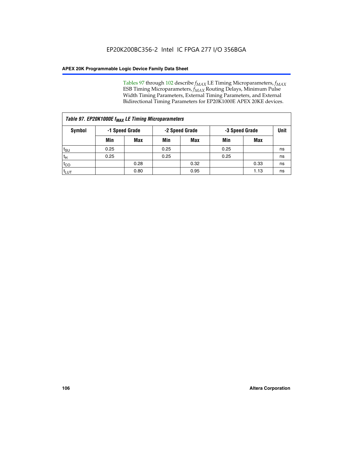Tables 97 through 102 describe  $f_{MAX}$  LE Timing Microparameters,  $f_{MAX}$ ESB Timing Microparameters, *f<sub>MAX</sub>* Routing Delays, Minimum Pulse Width Timing Parameters, External Timing Parameters, and External Bidirectional Timing Parameters for EP20K1000E APEX 20KE devices.

| Table 97. EP20K1000E f <sub>MAX</sub> LE Timing Microparameters |      |                |      |                |      |                |             |  |  |  |  |
|-----------------------------------------------------------------|------|----------------|------|----------------|------|----------------|-------------|--|--|--|--|
| Symbol                                                          |      | -1 Speed Grade |      | -2 Speed Grade |      | -3 Speed Grade | <b>Unit</b> |  |  |  |  |
|                                                                 | Min  | <b>Max</b>     | Min  | <b>Max</b>     | Min  | Max            |             |  |  |  |  |
| $t_{\text{SU}}$                                                 | 0.25 |                | 0.25 |                | 0.25 |                | ns          |  |  |  |  |
| $t_H$                                                           | 0.25 |                | 0.25 |                | 0.25 |                | ns          |  |  |  |  |
| $t_{CO}$                                                        |      | 0.28           |      | 0.32           |      | 0.33           | ns          |  |  |  |  |
| t <sub>LUT</sub>                                                |      | 0.80           |      | 0.95           |      | 1.13           | ns          |  |  |  |  |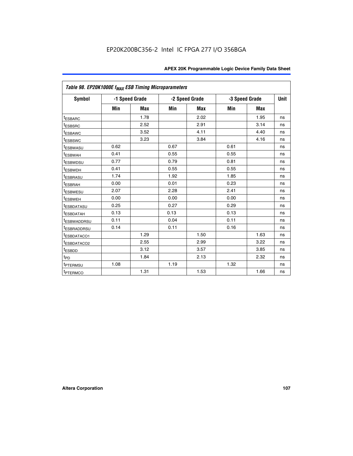| Table 98. EP20K1000E f <sub>MAX</sub> ESB Timing Microparameters |      |                |                |            |      |                |             |
|------------------------------------------------------------------|------|----------------|----------------|------------|------|----------------|-------------|
| Symbol                                                           |      | -1 Speed Grade | -2 Speed Grade |            |      | -3 Speed Grade | <b>Unit</b> |
|                                                                  | Min  | <b>Max</b>     | Min            | <b>Max</b> | Min  | <b>Max</b>     |             |
| <sup>t</sup> ESBARC                                              |      | 1.78           |                | 2.02       |      | 1.95           | ns          |
| <sup>t</sup> ESBSRC                                              |      | 2.52           |                | 2.91       |      | 3.14           | ns          |
| <sup>t</sup> ESBAWC                                              |      | 3.52           |                | 4.11       |      | 4.40           | ns          |
| <sup>t</sup> ESBSWC                                              |      | 3.23           |                | 3.84       |      | 4.16           | ns          |
| t <sub>ESBWASU</sub>                                             | 0.62 |                | 0.67           |            | 0.61 |                | ns          |
| <sup>t</sup> ESBWAH                                              | 0.41 |                | 0.55           |            | 0.55 |                | ns          |
| <sup>t</sup> ESBWDSU                                             | 0.77 |                | 0.79           |            | 0.81 |                | ns          |
| <sup>t</sup> ESBWDH                                              | 0.41 |                | 0.55           |            | 0.55 |                | ns          |
| <sup>t</sup> ESBRASU                                             | 1.74 |                | 1.92           |            | 1.85 |                | ns          |
| <sup>t</sup> ESBRAH                                              | 0.00 |                | 0.01           |            | 0.23 |                | ns          |
| <sup>t</sup> ESBWESU                                             | 2.07 |                | 2.28           |            | 2.41 |                | ns          |
| t <sub>ESBWEH</sub>                                              | 0.00 |                | 0.00           |            | 0.00 |                | ns          |
| <sup>t</sup> ESBDATASU                                           | 0.25 |                | 0.27           |            | 0.29 |                | ns          |
| <sup>t</sup> ESBDATAH                                            | 0.13 |                | 0.13           |            | 0.13 |                | ns          |
| <sup>t</sup> ESBWADDRSU                                          | 0.11 |                | 0.04           |            | 0.11 |                | ns          |
| <sup>t</sup> ESBRADDRSU                                          | 0.14 |                | 0.11           |            | 0.16 |                | ns          |
| <sup>t</sup> ESBDATACO1                                          |      | 1.29           |                | 1.50       |      | 1.63           | ns          |
| <sup>I</sup> ESBDATACO2                                          |      | 2.55           |                | 2.99       |      | 3.22           | ns          |
| <sup>t</sup> ESBDD                                               |      | 3.12           |                | 3.57       |      | 3.85           | ns          |
| $t_{\mathsf{PD}}$                                                |      | 1.84           |                | 2.13       |      | 2.32           | ns          |
| t <sub>PTERMSU</sub>                                             | 1.08 |                | 1.19           |            | 1.32 |                | ns          |
| <sup>t</sup> PTERMCO                                             |      | 1.31           |                | 1.53       |      | 1.66           | ns          |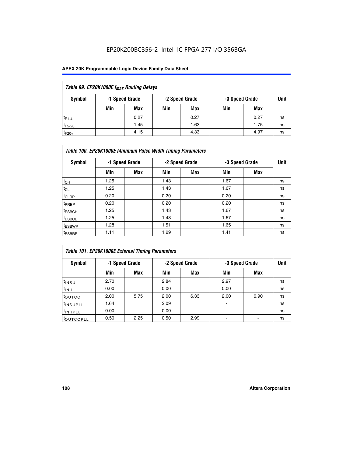## EP20K200BC356-2 Intel IC FPGA 277 I/O 356BGA

### **APEX 20K Programmable Logic Device Family Data Sheet**

| Table 99. EP20K1000E f <sub>MAX</sub> Routing Delays |     |                |     |                |     |                |             |  |  |  |
|------------------------------------------------------|-----|----------------|-----|----------------|-----|----------------|-------------|--|--|--|
| Symbol                                               |     | -1 Speed Grade |     | -2 Speed Grade |     | -3 Speed Grade | <b>Unit</b> |  |  |  |
|                                                      | Min | Max            | Min | Max            | Min | Max            |             |  |  |  |
| $t_{F1-4}$                                           |     | 0.27           |     | 0.27           |     | 0.27           | ns          |  |  |  |
| $t_{F5-20}$                                          |     | 1.45           |     | 1.63           |     | 1.75           | ns          |  |  |  |
| $t_{F20+}$                                           |     | 4.15           |     | 4.33           |     | 4.97           | ns          |  |  |  |

|                    | Table 100. EP20K1000E Minimum Pulse Width Timing Parameters |                |      |                |      |                |             |  |  |  |  |
|--------------------|-------------------------------------------------------------|----------------|------|----------------|------|----------------|-------------|--|--|--|--|
| Symbol             |                                                             | -1 Speed Grade |      | -2 Speed Grade |      | -3 Speed Grade | <b>Unit</b> |  |  |  |  |
|                    | Min                                                         | <b>Max</b>     | Min  | Max            | Min  | Max            |             |  |  |  |  |
| $t_{CH}$           | 1.25                                                        |                | 1.43 |                | 1.67 |                | ns          |  |  |  |  |
| $t_{CL}$           | 1.25                                                        |                | 1.43 |                | 1.67 |                | ns          |  |  |  |  |
| t <sub>CLRP</sub>  | 0.20                                                        |                | 0.20 |                | 0.20 |                | ns          |  |  |  |  |
| <sup>t</sup> PREP  | 0.20                                                        |                | 0.20 |                | 0.20 |                | ns          |  |  |  |  |
| <sup>t</sup> ESBCH | 1.25                                                        |                | 1.43 |                | 1.67 |                | ns          |  |  |  |  |
| <sup>t</sup> ESBCL | 1.25                                                        |                | 1.43 |                | 1.67 |                | ns          |  |  |  |  |
| <sup>t</sup> ESBWP | 1.28                                                        |                | 1.51 |                | 1.65 |                | ns          |  |  |  |  |
| <sup>t</sup> ESBRP | 1.11                                                        |                | 1.29 |                | 1.41 |                | ns          |  |  |  |  |

| Table 101. EP20K1000E External Timing Parameters |                |      |      |                |                |      |             |  |  |  |  |
|--------------------------------------------------|----------------|------|------|----------------|----------------|------|-------------|--|--|--|--|
| Symbol                                           | -1 Speed Grade |      |      | -2 Speed Grade | -3 Speed Grade |      | <b>Unit</b> |  |  |  |  |
|                                                  | Min            | Max  | Min  | <b>Max</b>     | Min            | Max  |             |  |  |  |  |
| $t_{INSU}$                                       | 2.70           |      | 2.84 |                | 2.97           |      | ns          |  |  |  |  |
| $t_{INH}$                                        | 0.00           |      | 0.00 |                | 0.00           |      | ns          |  |  |  |  |
| toutco                                           | 2.00           | 5.75 | 2.00 | 6.33           | 2.00           | 6.90 | ns          |  |  |  |  |
| <b>t</b> INSUPLL                                 | 1.64           |      | 2.09 |                |                |      | ns          |  |  |  |  |
| <sup>t</sup> INHPLL                              | 0.00           |      | 0.00 |                | -              |      | ns          |  |  |  |  |
| t <sub>outcopll</sub>                            | 0.50           | 2.25 | 0.50 | 2.99           |                |      | ns          |  |  |  |  |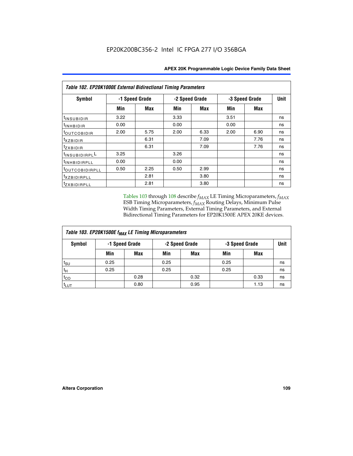|                          | Table 102. EP20K1000E External Bidirectional Timing Parameters |      |                |      |                |             |    |  |  |  |  |
|--------------------------|----------------------------------------------------------------|------|----------------|------|----------------|-------------|----|--|--|--|--|
| Symbol                   | -1 Speed Grade                                                 |      | -2 Speed Grade |      | -3 Speed Grade | <b>Unit</b> |    |  |  |  |  |
|                          | Min                                                            | Max  | Min            | Max  | Min            | <b>Max</b>  |    |  |  |  |  |
| t <sub>INSUBIDIR</sub>   | 3.22                                                           |      | 3.33           |      | 3.51           |             | ns |  |  |  |  |
| <sup>t</sup> INHBIDIR    | 0.00                                                           |      | 0.00           |      | 0.00           |             | ns |  |  |  |  |
| t <sub>outcobidir</sub>  | 2.00                                                           | 5.75 | 2.00           | 6.33 | 2.00           | 6.90        | ns |  |  |  |  |
| <i>txzbidir</i>          |                                                                | 6.31 |                | 7.09 |                | 7.76        | ns |  |  |  |  |
| tzxbidir                 |                                                                | 6.31 |                | 7.09 |                | 7.76        | ns |  |  |  |  |
| tINSUBIDIRPLL            | 3.25                                                           |      | 3.26           |      |                |             | ns |  |  |  |  |
| t <sub>INHBIDIRPLL</sub> | 0.00                                                           |      | 0.00           |      |                |             | ns |  |  |  |  |
| toutco <u>bidirpll</u>   | 0.50                                                           | 2.25 | 0.50           | 2.99 |                |             | ns |  |  |  |  |
| <i>txzBIDIRPLL</i>       |                                                                | 2.81 |                | 3.80 |                |             | ns |  |  |  |  |
| tzxBIDIRPLL              |                                                                | 2.81 |                | 3.80 |                |             | ns |  |  |  |  |

Tables 103 through 108 describe  $f_{MAX}$  LE Timing Microparameters,  $f_{MAX}$ ESB Timing Microparameters, *f<sub>MAX</sub>* Routing Delays, Minimum Pulse Width Timing Parameters, External Timing Parameters, and External Bidirectional Timing Parameters for EP20K1500E APEX 20KE devices.

| Table 103. EP20K1500E f <sub>MAX</sub> LE Timing Microparameters |      |                |                |            |                |      |             |  |  |  |
|------------------------------------------------------------------|------|----------------|----------------|------------|----------------|------|-------------|--|--|--|
| Symbol                                                           |      | -1 Speed Grade | -2 Speed Grade |            | -3 Speed Grade |      | <b>Unit</b> |  |  |  |
|                                                                  | Min  | <b>Max</b>     | Min            | <b>Max</b> | Min            | Max  |             |  |  |  |
| $t_{\sf SU}$                                                     | 0.25 |                | 0.25           |            | 0.25           |      | ns          |  |  |  |
| $t_H$                                                            | 0.25 |                | 0.25           |            | 0.25           |      | ns          |  |  |  |
| $t_{CO}$                                                         |      | 0.28           |                | 0.32       |                | 0.33 | ns          |  |  |  |
| t <sub>lut</sub>                                                 |      | 0.80           |                | 0.95       |                | 1.13 | ns          |  |  |  |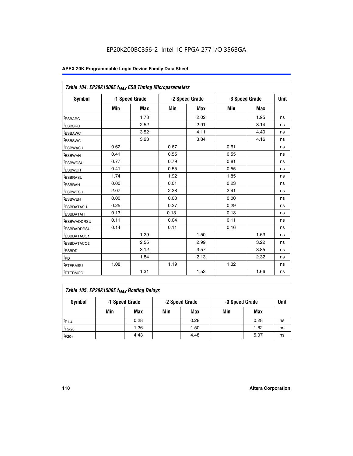| Table 104. EP20K1500E f <sub>MAX</sub> ESB Timing Microparameters |      |                |      |                |            |                |             |
|-------------------------------------------------------------------|------|----------------|------|----------------|------------|----------------|-------------|
| <b>Symbol</b>                                                     |      | -1 Speed Grade |      | -2 Speed Grade |            | -3 Speed Grade | <b>Unit</b> |
|                                                                   | Min  | <b>Max</b>     | Min  | <b>Max</b>     | <b>Min</b> | <b>Max</b>     |             |
| t <sub>ESBARC</sub>                                               |      | 1.78           |      | 2.02           |            | 1.95           | ns          |
| t <sub>ESBSRC</sub>                                               |      | 2.52           |      | 2.91           |            | 3.14           | ns          |
| <sup>t</sup> ESBAWC                                               |      | 3.52           |      | 4.11           |            | 4.40           | ns          |
| t <sub>ESBSWC</sub>                                               |      | 3.23           |      | 3.84           |            | 4.16           | ns          |
| <sup>t</sup> ESBWASU                                              | 0.62 |                | 0.67 |                | 0.61       |                | ns          |
| <sup>t</sup> ESBWAH                                               | 0.41 |                | 0.55 |                | 0.55       |                | ns          |
| t <sub>ESBWDSU</sub>                                              | 0.77 |                | 0.79 |                | 0.81       |                | ns          |
| <sup>t</sup> ESBWDH                                               | 0.41 |                | 0.55 |                | 0.55       |                | ns          |
| <sup>t</sup> ESBRASU                                              | 1.74 |                | 1.92 |                | 1.85       |                | ns          |
| <sup>t</sup> ESBRAH                                               | 0.00 |                | 0.01 |                | 0.23       |                | ns          |
| <sup>t</sup> ESBWESU                                              | 2.07 |                | 2.28 |                | 2.41       |                | ns          |
| t <sub>ESBWEH</sub>                                               | 0.00 |                | 0.00 |                | 0.00       |                | ns          |
| <sup>t</sup> ESBDATASU                                            | 0.25 |                | 0.27 |                | 0.29       |                | ns          |
| <sup>t</sup> ESBDATAH                                             | 0.13 |                | 0.13 |                | 0.13       |                | ns          |
| <sup>t</sup> ESBWADDRSU                                           | 0.11 |                | 0.04 |                | 0.11       |                | ns          |
| <sup>t</sup> ESBRADDRSU                                           | 0.14 |                | 0.11 |                | 0.16       |                | ns          |
| <sup>t</sup> ESBDATACO1                                           |      | 1.29           |      | 1.50           |            | 1.63           | ns          |
| t <sub>ESBDATACO2</sub>                                           |      | 2.55           |      | 2.99           |            | 3.22           | ns          |
| <sup>t</sup> ESBDD                                                |      | 3.12           |      | 3.57           |            | 3.85           | ns          |
| t <sub>PD</sub>                                                   |      | 1.84           |      | 2.13           |            | 2.32           | ns          |
| t <sub>PTERMSU</sub>                                              | 1.08 |                | 1.19 |                | 1.32       |                | ns          |
| t <sub>PTERMCO</sub>                                              |      | 1.31           |      | 1.53           |            | 1.66           | ns          |

| Table 105. EP20K1500E f <sub>MAX</sub> Routing Delays |     |                |                |      |      |      |    |  |  |  |
|-------------------------------------------------------|-----|----------------|----------------|------|------|------|----|--|--|--|
| Symbol                                                |     | -1 Speed Grade | -3 Speed Grade |      | Unit |      |    |  |  |  |
|                                                       | Min | Max            | Min            | Max  | Min  | Max  |    |  |  |  |
| $t_{F1-4}$                                            |     | 0.28           |                | 0.28 |      | 0.28 | ns |  |  |  |
| $t_{F5-20}$                                           |     | 1.36           |                | 1.50 |      | 1.62 | ns |  |  |  |
| $t_{F20+}$                                            |     | 4.43           |                | 4.48 |      | 5.07 | ns |  |  |  |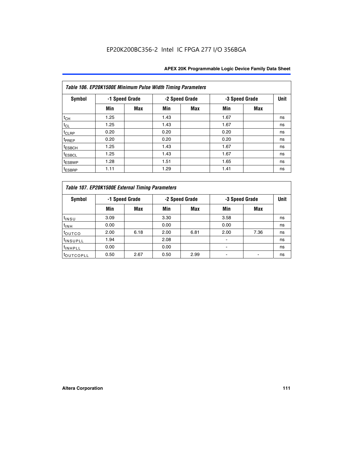|                    | Table 106. EP20K1500E Minimum Pulse Width Timing Parameters |            |      |                |                |            |             |  |  |  |  |  |
|--------------------|-------------------------------------------------------------|------------|------|----------------|----------------|------------|-------------|--|--|--|--|--|
| Symbol             | -1 Speed Grade                                              |            |      | -2 Speed Grade | -3 Speed Grade |            | <b>Unit</b> |  |  |  |  |  |
|                    | Min                                                         | <b>Max</b> | Min  | Max            | Min            | <b>Max</b> |             |  |  |  |  |  |
| $t_{CH}$           | 1.25                                                        |            | 1.43 |                | 1.67           |            | ns          |  |  |  |  |  |
| $t_{CL}$           | 1.25                                                        |            | 1.43 |                | 1.67           |            | ns          |  |  |  |  |  |
| $t_{CLRP}$         | 0.20                                                        |            | 0.20 |                | 0.20           |            | ns          |  |  |  |  |  |
| t <sub>PREP</sub>  | 0.20                                                        |            | 0.20 |                | 0.20           |            | ns          |  |  |  |  |  |
| <sup>t</sup> ESBCH | 1.25                                                        |            | 1.43 |                | 1.67           |            | ns          |  |  |  |  |  |
| <sup>t</sup> ESBCL | 1.25                                                        |            | 1.43 |                | 1.67           |            | ns          |  |  |  |  |  |
| t <sub>ESBWP</sub> | 1.28                                                        |            | 1.51 |                | 1.65           |            | ns          |  |  |  |  |  |
| <sup>t</sup> ESBRP | 1.11                                                        |            | 1.29 |                | 1.41           |            | ns          |  |  |  |  |  |

|                       | Table 107. EP20K1500E External Timing Parameters |            |      |                |      |                |             |  |  |  |  |  |
|-----------------------|--------------------------------------------------|------------|------|----------------|------|----------------|-------------|--|--|--|--|--|
| Symbol                | -1 Speed Grade                                   |            |      | -2 Speed Grade |      | -3 Speed Grade | <b>Unit</b> |  |  |  |  |  |
|                       | Min                                              | <b>Max</b> | Min  | <b>Max</b>     | Min  | Max            |             |  |  |  |  |  |
| t <sub>insu</sub>     | 3.09                                             |            | 3.30 |                | 3.58 |                | ns          |  |  |  |  |  |
| $t_{INH}$             | 0.00                                             |            | 0.00 |                | 0.00 |                | ns          |  |  |  |  |  |
| toutco                | 2.00                                             | 6.18       | 2.00 | 6.81           | 2.00 | 7.36           | ns          |  |  |  |  |  |
| <sup>t</sup> INSUPLL  | 1.94                                             |            | 2.08 |                |      |                | ns          |  |  |  |  |  |
| <sup>t</sup> INHPLL   | 0.00                                             |            | 0.00 |                |      |                | ns          |  |  |  |  |  |
| <sup>t</sup> OUTCOPLL | 0.50                                             | 2.67       | 0.50 | 2.99           |      |                | ns          |  |  |  |  |  |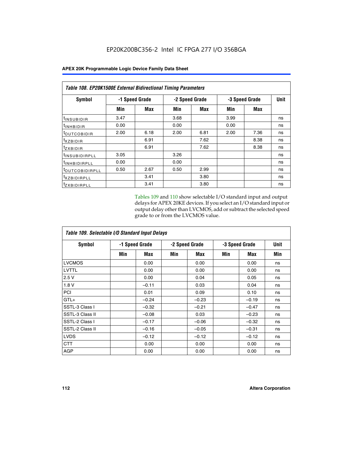|                            | Table 108. EP20K1500E External Bidirectional Timing Parameters |      |                |      |                |             |    |  |  |  |  |
|----------------------------|----------------------------------------------------------------|------|----------------|------|----------------|-------------|----|--|--|--|--|
| Symbol                     | -1 Speed Grade                                                 |      | -2 Speed Grade |      | -3 Speed Grade | <b>Unit</b> |    |  |  |  |  |
|                            | Min                                                            | Max  | Min            | Max  | Min            | Max         |    |  |  |  |  |
| <sup>t</sup> INSUBIDIR     | 3.47                                                           |      | 3.68           |      | 3.99           |             | ns |  |  |  |  |
| <sup>t</sup> INHBIDIR      | 0.00                                                           |      | 0.00           |      | 0.00           |             | ns |  |  |  |  |
| <sup>t</sup> OUTCOBIDIR    | 2.00                                                           | 6.18 | 2.00           | 6.81 | 2.00           | 7.36        | ns |  |  |  |  |
| txzBIDIR                   |                                                                | 6.91 |                | 7.62 |                | 8.38        | ns |  |  |  |  |
| $t_{Z}$ <i>x</i> BIDIR     |                                                                | 6.91 |                | 7.62 |                | 8.38        | ns |  |  |  |  |
| <sup>t</sup> INSUBIDIRPLL  | 3.05                                                           |      | 3.26           |      |                |             | ns |  |  |  |  |
| <sup>t</sup> INHBIDIRPLL   | 0.00                                                           |      | 0.00           |      |                |             | ns |  |  |  |  |
| <sup>t</sup> OUTCOBIDIRPLL | 0.50                                                           | 2.67 | 0.50           | 2.99 |                |             | ns |  |  |  |  |
| <sup>t</sup> XZBIDIRPLL    |                                                                | 3.41 |                | 3.80 |                |             | ns |  |  |  |  |
| <sup>t</sup> zxbidirpll    |                                                                | 3.41 |                | 3.80 |                |             | ns |  |  |  |  |

Tables 109 and 110 show selectable I/O standard input and output delays for APEX 20KE devices. If you select an I/O standard input or output delay other than LVCMOS, add or subtract the selected speed grade to or from the LVCMOS value.

| Table 109. Selectable I/O Standard Input Delays |                |         |     |                |     |                |     |  |  |  |
|-------------------------------------------------|----------------|---------|-----|----------------|-----|----------------|-----|--|--|--|
| <b>Symbol</b>                                   | -1 Speed Grade |         |     | -2 Speed Grade |     | -3 Speed Grade |     |  |  |  |
|                                                 | Min            | Max     | Min | Max            | Min | Max            | Min |  |  |  |
| <b>LVCMOS</b>                                   |                | 0.00    |     | 0.00           |     | 0.00           | ns  |  |  |  |
| <b>LVTTL</b>                                    |                | 0.00    |     | 0.00           |     | 0.00           | ns  |  |  |  |
| 2.5V                                            |                | 0.00    |     | 0.04           |     | 0.05           | ns  |  |  |  |
| 1.8V                                            |                | $-0.11$ |     | 0.03           |     | 0.04           | ns  |  |  |  |
| PCI                                             |                | 0.01    |     | 0.09           |     | 0.10           | ns  |  |  |  |
| $GTL+$                                          |                | $-0.24$ |     | $-0.23$        |     | $-0.19$        | ns  |  |  |  |
| SSTL-3 Class I                                  |                | $-0.32$ |     | $-0.21$        |     | $-0.47$        | ns  |  |  |  |
| SSTL-3 Class II                                 |                | $-0.08$ |     | 0.03           |     | $-0.23$        | ns  |  |  |  |
| SSTL-2 Class I                                  |                | $-0.17$ |     | $-0.06$        |     | $-0.32$        | ns  |  |  |  |
| SSTL-2 Class II                                 |                | $-0.16$ |     | $-0.05$        |     | $-0.31$        | ns  |  |  |  |
| <b>LVDS</b>                                     |                | $-0.12$ |     | $-0.12$        |     | $-0.12$        | ns  |  |  |  |
| <b>CTT</b>                                      |                | 0.00    |     | 0.00           |     | 0.00           | ns  |  |  |  |
| <b>AGP</b>                                      |                | 0.00    |     | 0.00           |     | 0.00           | ns  |  |  |  |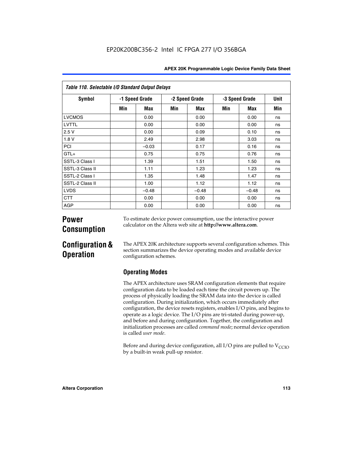|                 | Table 110. Selectable I/O Standard Output Delays |                |     |                |     |                |     |  |  |  |  |  |
|-----------------|--------------------------------------------------|----------------|-----|----------------|-----|----------------|-----|--|--|--|--|--|
| <b>Symbol</b>   |                                                  | -1 Speed Grade |     | -2 Speed Grade |     | -3 Speed Grade |     |  |  |  |  |  |
|                 | Min                                              | Max            | Min | Max            | Min | Max            | Min |  |  |  |  |  |
| LVCMOS          |                                                  | 0.00           |     | 0.00           |     | 0.00           | ns  |  |  |  |  |  |
| LVTTL           |                                                  | 0.00           |     | 0.00           |     | 0.00           | ns  |  |  |  |  |  |
| 2.5V            |                                                  | 0.00           |     | 0.09           |     | 0.10           | ns  |  |  |  |  |  |
| 1.8V            |                                                  | 2.49           |     | 2.98           |     | 3.03           | ns  |  |  |  |  |  |
| PCI             |                                                  | $-0.03$        |     | 0.17           |     | 0.16           | ns  |  |  |  |  |  |
| $GTL+$          |                                                  | 0.75           |     | 0.75           |     | 0.76           | ns  |  |  |  |  |  |
| SSTL-3 Class I  |                                                  | 1.39           |     | 1.51           |     | 1.50           | ns  |  |  |  |  |  |
| SSTL-3 Class II |                                                  | 1.11           |     | 1.23           |     | 1.23           | ns  |  |  |  |  |  |
| SSTL-2 Class I  |                                                  | 1.35           |     | 1.48           |     | 1.47           | ns  |  |  |  |  |  |
| SSTL-2 Class II |                                                  | 1.00           |     | 1.12           |     | 1.12           | ns  |  |  |  |  |  |
| <b>LVDS</b>     |                                                  | $-0.48$        |     | $-0.48$        |     | $-0.48$        | ns  |  |  |  |  |  |
| <b>CTT</b>      |                                                  | 0.00           |     | 0.00           |     | 0.00           | ns  |  |  |  |  |  |
| <b>AGP</b>      |                                                  | 0.00           |     | 0.00           |     | 0.00           | ns  |  |  |  |  |  |

# **Power Consumption**

To estimate device power consumption, use the interactive power calculator on the Altera web site at **http://www.altera.com**.

# **Configuration & Operation**

The APEX 20K architecture supports several configuration schemes. This section summarizes the device operating modes and available device configuration schemes.

## **Operating Modes**

The APEX architecture uses SRAM configuration elements that require configuration data to be loaded each time the circuit powers up. The process of physically loading the SRAM data into the device is called configuration. During initialization, which occurs immediately after configuration, the device resets registers, enables I/O pins, and begins to operate as a logic device. The I/O pins are tri-stated during power-up, and before and during configuration. Together, the configuration and initialization processes are called *command mode*; normal device operation is called *user mode*.

Before and during device configuration, all I/O pins are pulled to  $V_{\text{CCIO}}$ by a built-in weak pull-up resistor.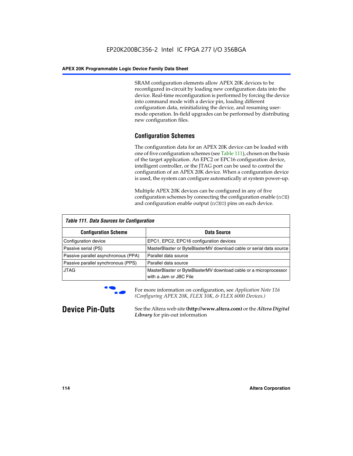SRAM configuration elements allow APEX 20K devices to be reconfigured in-circuit by loading new configuration data into the device. Real-time reconfiguration is performed by forcing the device into command mode with a device pin, loading different configuration data, reinitializing the device, and resuming usermode operation. In-field upgrades can be performed by distributing new configuration files.

## **Configuration Schemes**

The configuration data for an APEX 20K device can be loaded with one of five configuration schemes (see Table 111), chosen on the basis of the target application. An EPC2 or EPC16 configuration device, intelligent controller, or the JTAG port can be used to control the configuration of an APEX 20K device. When a configuration device is used, the system can configure automatically at system power-up.

Multiple APEX 20K devices can be configured in any of five configuration schemes by connecting the configuration enable (nCE) and configuration enable output (nCEO) pins on each device.

| <b>Table 111. Data Sources for Configuration</b> |                                                                                             |
|--------------------------------------------------|---------------------------------------------------------------------------------------------|
| <b>Configuration Scheme</b>                      | Data Source                                                                                 |
| Configuration device                             | EPC1, EPC2, EPC16 configuration devices                                                     |
| Passive serial (PS)                              | MasterBlaster or ByteBlasterMV download cable or serial data source                         |
| Passive parallel asynchronous (PPA)              | Parallel data source                                                                        |
| Passive parallel synchronous (PPS)               | Parallel data source                                                                        |
| <b>JTAG</b>                                      | MasterBlaster or ByteBlasterMV download cable or a microprocessor<br>with a Jam or JBC File |



**For more information on configuration, see Application Note 116** *(Configuring APEX 20K, FLEX 10K, & FLEX 6000 Devices.)*

**Device Pin-Outs** See the Altera web site **(http://www.altera.com)** or the *Altera Digital Library* for pin-out information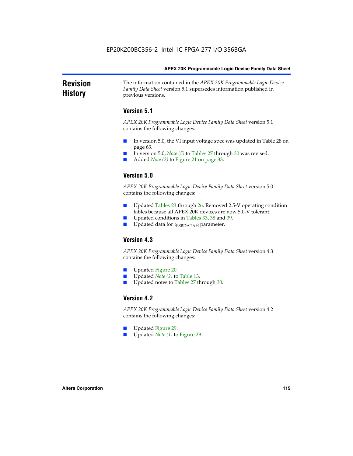### **Revision History** The information contained in the *APEX 20K Programmable Logic Device Family Data Sheet* version 5.1 supersedes information published in previous versions.

## **Version 5.1**

*APEX 20K Programmable Logic Device Family Data Sheet* version 5.1 contains the following changes:

- In version 5.0, the VI input voltage spec was updated in Table 28 on page 63.
- In version 5.0, *Note* (5) to Tables 27 through 30 was revised.
- Added *Note* (2) to Figure 21 on page 33.

## **Version 5.0**

*APEX 20K Programmable Logic Device Family Data Sheet* version 5.0 contains the following changes:

- Updated Tables 23 through 26. Removed 2.5-V operating condition tables because all APEX 20K devices are now 5.0-V tolerant.
- Updated conditions in Tables 33, 38 and 39.
- Updated data for t<sub>ESBDATAH</sub> parameter.

## **Version 4.3**

*APEX 20K Programmable Logic Device Family Data Sheet* version 4.3 contains the following changes:

- Updated Figure 20.
- Updated *Note (2)* to Table 13.
- Updated notes to Tables 27 through 30.

## **Version 4.2**

*APEX 20K Programmable Logic Device Family Data Sheet* version 4.2 contains the following changes:

- Updated Figure 29.
- Updated *Note (1)* to Figure 29.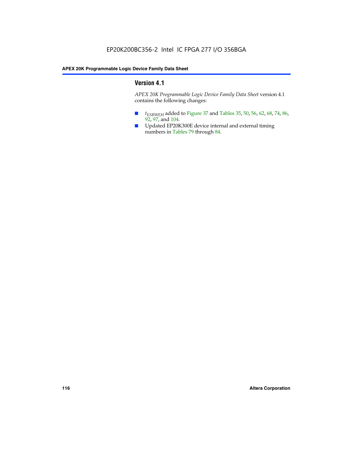## **Version 4.1**

*APEX 20K Programmable Logic Device Family Data Sheet* version 4.1 contains the following changes:

- *t<sub>ESBWEH</sub>* added to Figure 37 and Tables 35, 50, 56, 62, 68, 74, 86, 92, 97, and 104.
- Updated EP20K300E device internal and external timing numbers in Tables 79 through 84.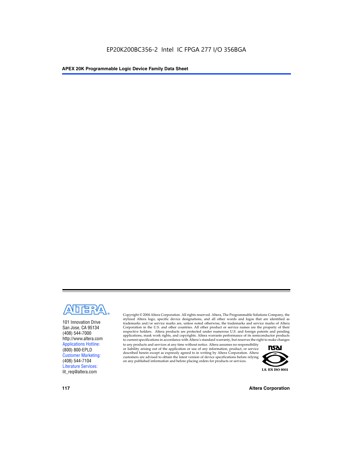

101 Innovation Drive San Jose, CA 95134 (408) 544-7000 http://www.altera.com Applications Hotline: (800) 800-EPLD Customer Marketing: (408) 544-7104 Literature Services: lit\_req@altera.com

Copyright © 2004 Altera Corporation. All rights reserved. Altera, The Programmable Solutions Company, the stylized Altera logo, specific device designations, and all other words and logos that are identified as trademarks and/or service marks are, unless noted otherwise, the trademarks and service marks of Altera Corporation in the U.S. and other countries. All other product or service names are the property of their respective holders. Altera products are protected under numerous U.S. and foreign patents and pending applications, mask work rights, and copyrights. Altera warrants performance of its semiconductor products to current specifications in accordance with Altera's standard warranty, but reserves the right to make changes

to any products and services at any time without notice. Altera assumes no responsibility or liability arising out of the application or use of any information, product, or service described herein except as expressly agreed to in writing by Altera Corporation. Altera customers are advised to obtain the latest version of device specifications before relying on any published information and before placing orders for products or services.



**117 Altera Corporation**